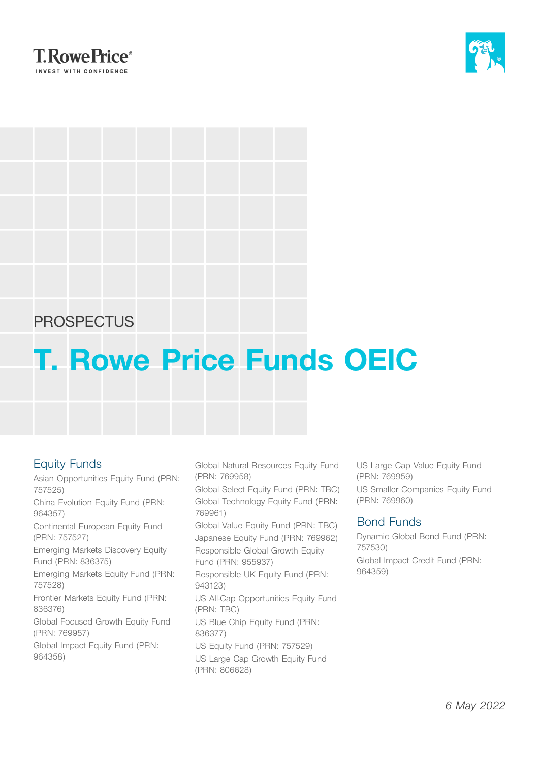



## **PROSPECTUS**

# **T. Rowe Price Funds OEIC**

### Equity Funds

Asian Opportunities Equity Fund (PRN: 757525)

China Evolution Equity Fund (PRN: 964357)

Continental European Equity Fund (PRN: 757527)

Emerging Markets Discovery Equity Fund (PRN: 836375)

Emerging Markets Equity Fund (PRN: 757528)

Frontier Markets Equity Fund (PRN: 836376)

Global Focused Growth Equity Fund (PRN: 769957)

Global Impact Equity Fund (PRN: 964358)

Global Natural Resources Equity Fund (PRN: 769958)

Global Select Equity Fund (PRN: TBC) Global Technology Equity Fund (PRN: 769961)

Global Value Equity Fund (PRN: TBC) Japanese Equity Fund (PRN: 769962) Responsible Global Growth Equity Fund (PRN: 955937)

Responsible UK Equity Fund (PRN: 943123) US All-Cap Opportunities Equity Fund (PRN: TBC) US Blue Chip Equity Fund (PRN:

836377) US Equity Fund (PRN: 757529)

US Large Cap Growth Equity Fund (PRN: 806628)

US Large Cap Value Equity Fund (PRN: 769959) US Smaller Companies Equity Fund (PRN: 769960)

### Bond Funds

Dynamic Global Bond Fund (PRN: 757530) Global Impact Credit Fund (PRN: 964359)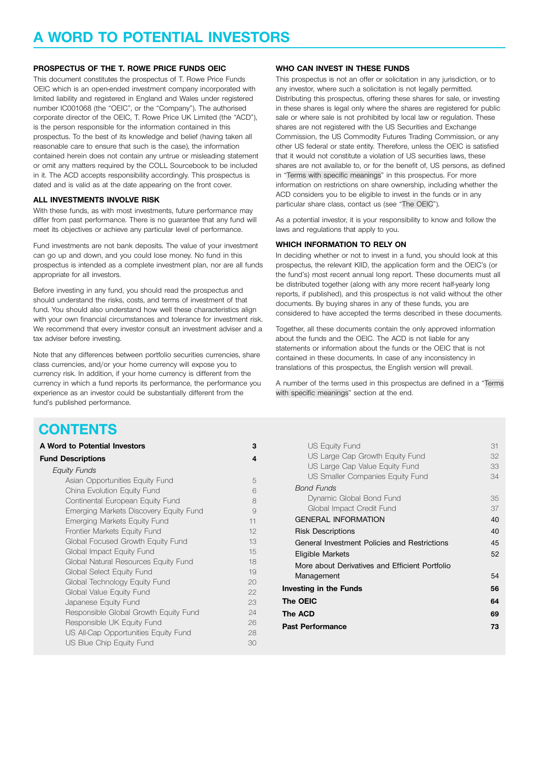## **A WORD TO POTENTIAL INVESTORS**

#### **PROSPECTUS OF THE T. ROWE PRICE FUNDS OEIC**

This document constitutes the prospectus of T. Rowe Price Funds OEIC which is an open-ended investment company incorporated with limited liability and registered in England and Wales under registered number IC001068 (the "OEIC", or the "Company"). The authorised corporate director of the OEIC, T. Rowe Price UK Limited (the "ACD"), is the person responsible for the information contained in this prospectus. To the best of its knowledge and belief (having taken all reasonable care to ensure that such is the case), the information contained herein does not contain any untrue or misleading statement or omit any matters required by the COLL Sourcebook to be included in it. The ACD accepts responsibility accordingly. This prospectus is dated and is valid as at the date appearing on the front cover.

#### **ALL INVESTMENTS INVOLVE RISK**

With these funds, as with most investments, future performance may differ from past performance. There is no guarantee that any fund will meet its objectives or achieve any particular level of performance.

Fund investments are not bank deposits. The value of your investment can go up and down, and you could lose money. No fund in this prospectus is intended as a complete investment plan, nor are all funds appropriate for all investors.

Before investing in any fund, you should read the prospectus and should understand the risks, costs, and terms of investment of that fund. You should also understand how well these characteristics align with your own financial circumstances and tolerance for investment risk. We recommend that every investor consult an investment adviser and a tax adviser before investing.

Note that any differences between portfolio securities currencies, share class currencies, and/or your home currency will expose you to currency risk. In addition, if your home currency is different from the currency in which a fund reports its performance, the performance you experience as an investor could be substantially different from the fund's published performance.

#### **WHO CAN INVEST IN THESE FUNDS**

This prospectus is not an offer or solicitation in any jurisdiction, or to any investor, where such a solicitation is not legally permitted. Distributing this prospectus, offering these shares for sale, or investing in these shares is legal only where the shares are registered for public sale or where sale is not prohibited by local law or regulation. These shares are not registered with the US Securities and Exchange Commission, the US Commodity Futures Trading Commission, or any other US federal or state entity. Therefore, unless the OEIC is satisfied that it would not constitute a violation of US securities laws, these shares are not available to, or for the benefit of, US persons, as defined in "Terms with specific [meanings](#page-70-0)" in this prospectus. For more information on restrictions on share ownership, including whether the ACD considers you to be eligible to invest in the funds or in any particular share class, contact us (see "The [OEIC"](#page-63-0)).

As a potential investor, it is your responsibility to know and follow the laws and regulations that apply to you.

#### **WHICH INFORMATION TO RELY ON**

In deciding whether or not to invest in a fund, you should look at this prospectus, the relevant KIID, the application form and the OEIC's (or the fund's) most recent annual long report. These documents must all be distributed together (along with any more recent half-yearly long reports, if published), and this prospectus is not valid without the other documents. By buying shares in any of these funds, you are considered to have accepted the terms described in these documents.

Together, all these documents contain the only approved information about the funds and the OEIC. The ACD is not liable for any statements or information about the funds or the OEIC that is not contained in these documents. In case of any inconsistency in translations of this prospectus, the English version will prevail.

A number of the terms used in this prospectus are defined in a ["Terms](#page-70-0) with specific [meanings](#page-70-0)" section at the end.

## **CONTENTS**

| A Word to Potential Investors          | 3  |
|----------------------------------------|----|
| <b>Fund Descriptions</b>               | 4  |
| Equity Funds                           |    |
| Asian Opportunities Equity Fund        | 5  |
| China Evolution Equity Fund            | 6  |
| Continental European Equity Fund       | 8  |
| Emerging Markets Discovery Equity Fund | 9  |
| Emerging Markets Equity Fund           | 11 |
| Frontier Markets Equity Fund           | 12 |
| Global Focused Growth Equity Fund      | 13 |
| Global Impact Equity Fund              | 15 |
| Global Natural Resources Equity Fund   | 18 |
| Global Select Equity Fund              | 19 |
| Global Technology Equity Fund          | 20 |
| Global Value Equity Fund               | 22 |
| Japanese Equity Fund                   | 23 |
| Responsible Global Growth Equity Fund  | 24 |
| Responsible UK Equity Fund             | 26 |
| US All-Cap Opportunities Equity Fund   | 28 |
| US Blue Chip Equity Fund               | 30 |

| US Equity Fund                                 | 31 |
|------------------------------------------------|----|
| US Large Cap Growth Equity Fund                | 32 |
| US Large Cap Value Equity Fund                 | 33 |
| US Smaller Companies Equity Fund               | 34 |
| Bond Funds                                     |    |
| Dynamic Global Bond Fund                       | 35 |
| Global Impact Credit Fund                      | 37 |
| <b>GENERAL INFORMATION</b>                     | 40 |
| <b>Risk Descriptions</b>                       | 40 |
| General Investment Policies and Restrictions   | 45 |
| Eligible Markets                               | 52 |
| More about Derivatives and Efficient Portfolio |    |
| Management                                     | 54 |
| Investing in the Funds                         | 56 |
| The OEIC                                       | 64 |
| The ACD                                        | 69 |
| <b>Past Performance</b>                        | 73 |
|                                                |    |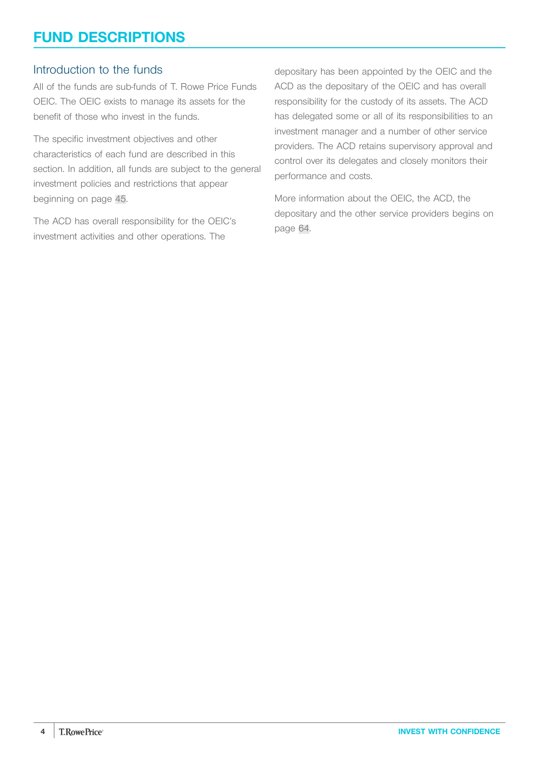## <span id="page-3-0"></span>**FUND DESCRIPTIONS**

### Introduction to the funds

All of the funds are sub-funds of T. Rowe Price Funds OEIC. The OEIC exists to manage its assets for the benefit of those who invest in the funds.

The specific investment objectives and other characteristics of each fund are described in this section. In addition, all funds are subject to the general investment policies and restrictions that appear beginning on page [45](#page-44-0).

The ACD has overall responsibility for the OEIC's investment activities and other operations. The

depositary has been appointed by the OEIC and the ACD as the depositary of the OEIC and has overall responsibility for the custody of its assets. The ACD has delegated some or all of its responsibilities to an investment manager and a number of other service providers. The ACD retains supervisory approval and control over its delegates and closely monitors their performance and costs.

More information about the OEIC, the ACD, the depositary and the other service providers begins on page [64.](#page-63-0)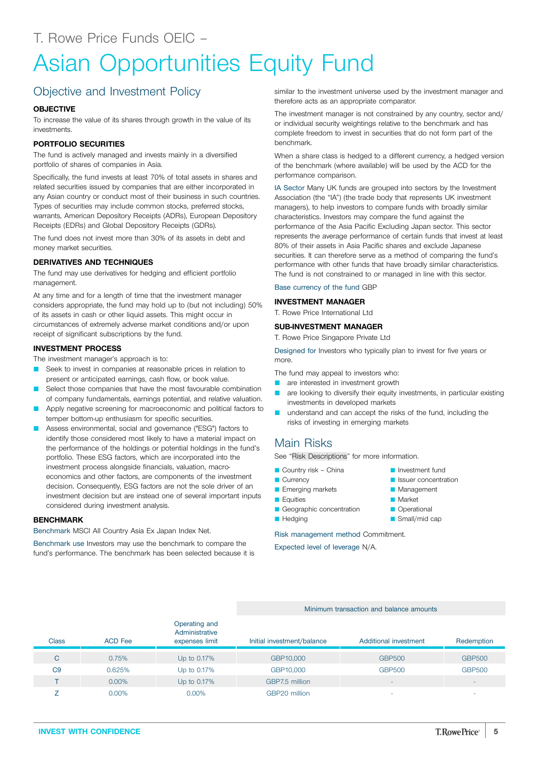## <span id="page-4-0"></span>Asian Opportunities Equity Fund

## Objective and Investment Policy

#### **OBJECTIVE**

To increase the value of its shares through growth in the value of its investments.

#### **PORTFOLIO SECURITIES**

The fund is actively managed and invests mainly in a diversified portfolio of shares of companies in Asia.

Specifically, the fund invests at least 70% of total assets in shares and related securities issued by companies that are either incorporated in any Asian country or conduct most of their business in such countries. Types of securities may include common stocks, preferred stocks, warrants, American Depository Receipts (ADRs), European Depository Receipts (EDRs) and Global Depository Receipts (GDRs).

The fund does not invest more than 30% of its assets in debt and money market securities.

#### **DERIVATIVES AND TECHNIQUES**

The fund may use derivatives for hedging and efficient portfolio management.

At any time and for a length of time that the investment manager considers appropriate, the fund may hold up to (but not including) 50% of its assets in cash or other liquid assets. This might occur in circumstances of extremely adverse market conditions and/or upon receipt of significant subscriptions by the fund.

#### **INVESTMENT PROCESS**

The investment manager's approach is to:

- Seek to invest in companies at reasonable prices in relation to present or anticipated earnings, cash flow, or book value.
- Select those companies that have the most favourable combination of company fundamentals, earnings potential, and relative valuation.
- Apply negative screening for macroeconomic and political factors to temper bottom-up enthusiasm for specific securities.
- Assess environmental, social and governance ("ESG") factors to identify those considered most likely to have a material impact on the performance of the holdings or potential holdings in the fund's portfolio. These ESG factors, which are incorporated into the investment process alongside financials, valuation, macroeconomics and other factors, are components of the investment decision. Consequently, ESG factors are not the sole driver of an investment decision but are instead one of several important inputs considered during investment analysis.

#### **BENCHMARK**

Benchmark MSCI All Country Asia Ex Japan Index Net.

Benchmark use Investors may use the benchmark to compare the fund's performance. The benchmark has been selected because it is

similar to the investment universe used by the investment manager and therefore acts as an appropriate comparator.

The investment manager is not constrained by any country, sector and/ or individual security weightings relative to the benchmark and has complete freedom to invest in securities that do not form part of the benchmark.

When a share class is hedged to a different currency, a hedged version of the benchmark (where available) will be used by the ACD for the performance comparison.

IA Sector Many UK funds are grouped into sectors by the Investment Association (the "IA") (the trade body that represents UK investment managers), to help investors to compare funds with broadly similar characteristics. Investors may compare the fund against the performance of the Asia Pacific Excluding Japan sector. This sector represents the average performance of certain funds that invest at least 80% of their assets in Asia Pacific shares and exclude Japanese securities. It can therefore serve as a method of comparing the fund's performance with other funds that have broadly similar characteristics. The fund is not constrained to or managed in line with this sector.

#### Base currency of the fund GBP

#### **INVESTMENT MANAGER**

T. Rowe Price International Ltd

#### **SUB-INVESTMENT MANAGER**

T. Rowe Price Singapore Private Ltd

Designed for Investors who typically plan to invest for five years or more.

The fund may appeal to investors who:

- **Q** are interested in investment growth
- **Q** are looking to diversify their equity investments, in particular existing investments in developed markets
- **Q** understand and can accept the risks of the fund, including the risks of investing in emerging markets

#### Main Risks

See "Risk [Descriptions"](#page-39-0) for more information.

- $\blacksquare$  Country risk China
- Currency
- **Emerging markets**
- **Equities**
- Geographic concentration
- **Hedging**

Risk management method Commitment.

Expected level of leverage N/A.

| <b>Class</b>   | <b>ACD</b> Fee | Operating and<br>Administrative<br>expenses limit | Initial investment/balance | Additional investment | Redemption               |
|----------------|----------------|---------------------------------------------------|----------------------------|-----------------------|--------------------------|
|                |                |                                                   |                            |                       |                          |
| C              | 0.75%          | Up to 0.17%                                       | GBP10,000                  | <b>GBP500</b>         | <b>GBP500</b>            |
| C <sub>9</sub> | 0.625%         | Up to 0.17%                                       | GBP10,000                  | <b>GBP500</b>         | <b>GBP500</b>            |
|                | $0.00\%$       | Up to 0.17%                                       | GBP7.5 million             | -                     | $\overline{\phantom{a}}$ |
|                | $0.00\%$       | $0.00\%$                                          | GBP20 million              | -                     | ۰                        |

**Management** 

Minimum transaction and balance amounts

- **Market**
- **Operational**
- $\blacksquare$  Small/mid cap

**D** Investment fund **D** Issuer concentration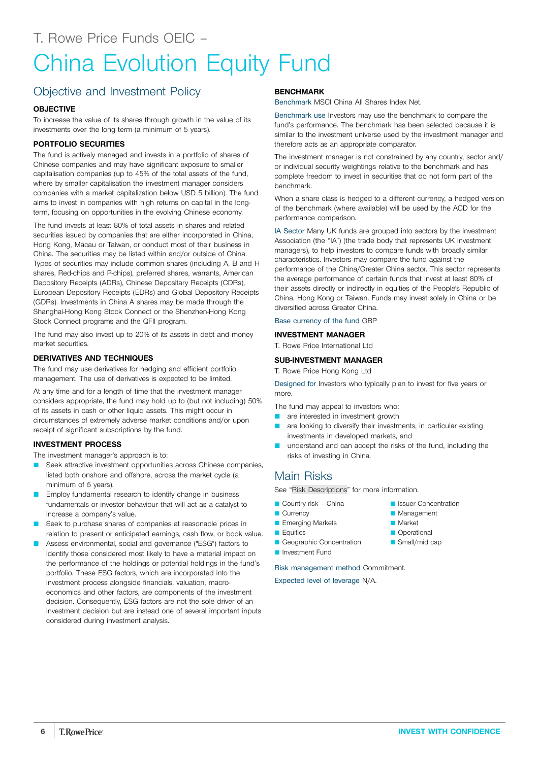## <span id="page-5-0"></span>China Evolution Equity Fund

## Objective and Investment Policy

#### **OBJECTIVE**

To increase the value of its shares through growth in the value of its investments over the long term (a minimum of 5 years).

#### **PORTFOLIO SECURITIES**

The fund is actively managed and invests in a portfolio of shares of Chinese companies and may have significant exposure to smaller capitalisation companies (up to 45% of the total assets of the fund, where by smaller capitalisation the investment manager considers companies with a market capitalization below USD 5 billion). The fund aims to invest in companies with high returns on capital in the longterm, focusing on opportunities in the evolving Chinese economy.

The fund invests at least 80% of total assets in shares and related securities issued by companies that are either incorporated in China, Hong Kong, Macau or Taiwan, or conduct most of their business in China. The securities may be listed within and/or outside of China. Types of securities may include common shares (including A, B and H shares, Red-chips and P-chips), preferred shares, warrants, American Depository Receipts (ADRs), Chinese Depositary Receipts (CDRs), European Depository Receipts (EDRs) and Global Depository Receipts (GDRs). Investments in China A shares may be made through the Shanghai-Hong Kong Stock Connect or the Shenzhen-Hong Kong Stock Connect programs and the QFII program.

The fund may also invest up to 20% of its assets in debt and money market securities.

#### **DERIVATIVES AND TECHNIQUES**

The fund may use derivatives for hedging and efficient portfolio management. The use of derivatives is expected to be limited.

At any time and for a length of time that the investment manager considers appropriate, the fund may hold up to (but not including) 50% of its assets in cash or other liquid assets. This might occur in circumstances of extremely adverse market conditions and/or upon receipt of significant subscriptions by the fund.

#### **INVESTMENT PROCESS**

The investment manager's approach is to:

- Seek attractive investment opportunities across Chinese companies, listed both onshore and offshore, across the market cycle (a minimum of 5 years).
- Employ fundamental research to identify change in business fundamentals or investor behaviour that will act as a catalyst to increase a company's value.
- Seek to purchase shares of companies at reasonable prices in relation to present or anticipated earnings, cash flow, or book value.
- Assess environmental, social and governance ("ESG") factors to identify those considered most likely to have a material impact on the performance of the holdings or potential holdings in the fund's portfolio. These ESG factors, which are incorporated into the investment process alongside financials, valuation, macroeconomics and other factors, are components of the investment decision. Consequently, ESG factors are not the sole driver of an investment decision but are instead one of several important inputs considered during investment analysis.

#### **BENCHMARK**

Benchmark MSCI China All Shares Index Net.

Benchmark use Investors may use the benchmark to compare the fund's performance. The benchmark has been selected because it is similar to the investment universe used by the investment manager and therefore acts as an appropriate comparator.

The investment manager is not constrained by any country, sector and/ or individual security weightings relative to the benchmark and has complete freedom to invest in securities that do not form part of the benchmark.

When a share class is hedged to a different currency, a hedged version of the benchmark (where available) will be used by the ACD for the performance comparison.

IA Sector Many UK funds are grouped into sectors by the Investment Association (the "IA") (the trade body that represents UK investment managers), to help investors to compare funds with broadly similar characteristics. Investors may compare the fund against the performance of the China/Greater China sector. This sector represents the average performance of certain funds that invest at least 80% of their assets directly or indirectly in equities of the People's Republic of China, Hong Kong or Taiwan. Funds may invest solely in China or be diversified across Greater China.

## Base currency of the fund GBP

#### **INVESTMENT MANAGER**

T. Rowe Price International Ltd

#### **SUB-INVESTMENT MANAGER**

T. Rowe Price Hong Kong Ltd

Designed for Investors who typically plan to invest for five years or more.

The fund may appeal to investors who:

- **Q** are interested in investment growth
- **Q** are looking to diversify their investments, in particular existing investments in developed markets, and
- understand and can accept the risks of the fund, including the risks of investing in China.

**D** Issuer Concentration **Management** Q Market **Operational**  $\blacksquare$  Small/mid cap

### Main Risks

See "Risk [Descriptions"](#page-39-0) for more information.

- $\blacksquare$  Country risk China
- **Currency**
- **E** Emerging Markets
- **D** Equities
- Geographic Concentration
- Q Investment Fund

Risk management method Commitment.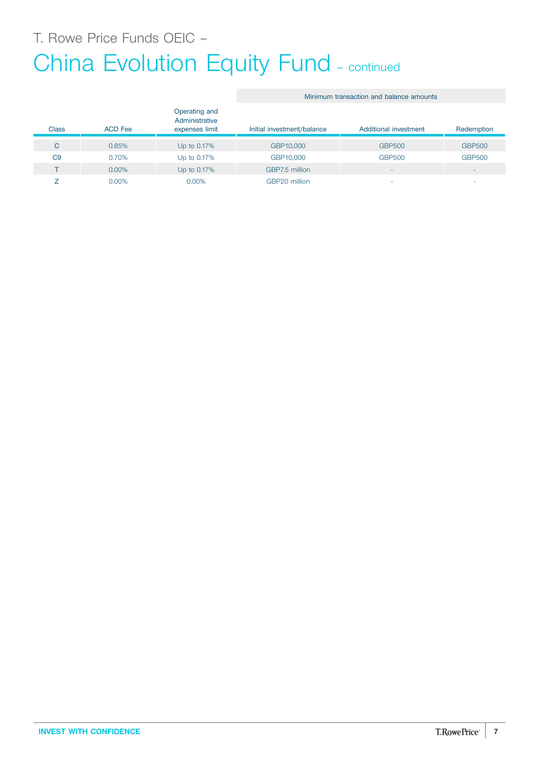T. Rowe Price Funds OEIC –

## China Evolution Equity Fund - continued

#### Class ACD Fee Operating and Administrative expenses limit Initial investment/balance Additional investment Redemption C 0.85% Up to 0.17% GBP10,000 GBP500 GBP500 C9 0.70% Up to 0.17% GBP10,000 GBP500 GBP500 T 0.00% Up to 0.17% GBP7.5 million  $Z$  0.00% 0.00% 0.00% GBP20 million  $\sigma$  -  $\sigma$  -  $\sigma$  -

Minimum transaction and balance amounts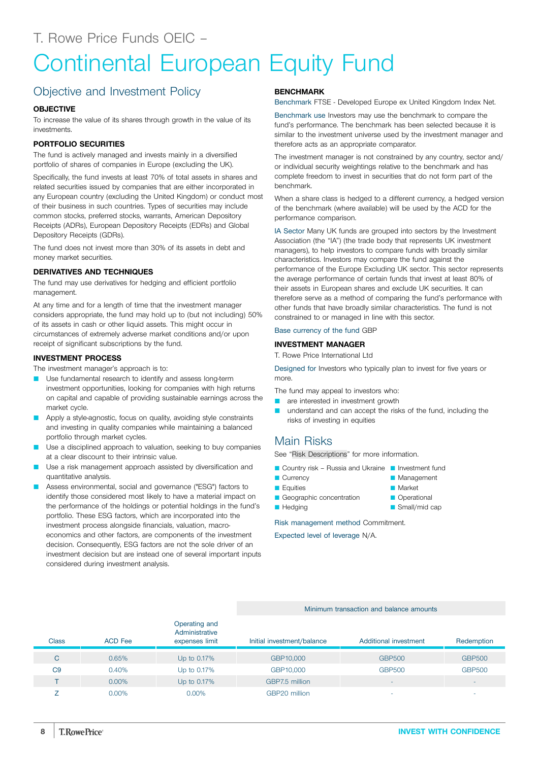## <span id="page-7-0"></span>Continental European Equity Fund

## Objective and Investment Policy

#### **OBJECTIVE**

To increase the value of its shares through growth in the value of its investments.

#### **PORTFOLIO SECURITIES**

The fund is actively managed and invests mainly in a diversified portfolio of shares of companies in Europe (excluding the UK).

Specifically, the fund invests at least 70% of total assets in shares and related securities issued by companies that are either incorporated in any European country (excluding the United Kingdom) or conduct most of their business in such countries. Types of securities may include common stocks, preferred stocks, warrants, American Depository Receipts (ADRs), European Depository Receipts (EDRs) and Global Depository Receipts (GDRs).

The fund does not invest more than 30% of its assets in debt and money market securities.

#### **DERIVATIVES AND TECHNIQUES**

The fund may use derivatives for hedging and efficient portfolio management.

At any time and for a length of time that the investment manager considers appropriate, the fund may hold up to (but not including) 50% of its assets in cash or other liquid assets. This might occur in circumstances of extremely adverse market conditions and/or upon receipt of significant subscriptions by the fund.

#### **INVESTMENT PROCESS**

The investment manager's approach is to:

- **D** Use fundamental research to identify and assess long-term investment opportunities, looking for companies with high returns on capital and capable of providing sustainable earnings across the market cycle.
- Apply a style-agnostic, focus on quality, avoiding style constraints and investing in quality companies while maintaining a balanced portfolio through market cycles.
- Use a disciplined approach to valuation, seeking to buy companies at a clear discount to their intrinsic value.
- Use a risk management approach assisted by diversification and quantitative analysis.
- Assess environmental, social and governance ("ESG") factors to identify those considered most likely to have a material impact on the performance of the holdings or potential holdings in the fund's portfolio. These ESG factors, which are incorporated into the investment process alongside financials, valuation, macroeconomics and other factors, are components of the investment decision. Consequently, ESG factors are not the sole driver of an investment decision but are instead one of several important inputs considered during investment analysis.

#### **BENCHMARK**

Benchmark FTSE - Developed Europe ex United Kingdom Index Net.

Benchmark use Investors may use the benchmark to compare the fund's performance. The benchmark has been selected because it is similar to the investment universe used by the investment manager and therefore acts as an appropriate comparator.

The investment manager is not constrained by any country, sector and/ or individual security weightings relative to the benchmark and has complete freedom to invest in securities that do not form part of the benchmark.

When a share class is hedged to a different currency, a hedged version of the benchmark (where available) will be used by the ACD for the performance comparison.

IA Sector Many UK funds are grouped into sectors by the Investment Association (the "IA") (the trade body that represents UK investment managers), to help investors to compare funds with broadly similar characteristics. Investors may compare the fund against the performance of the Europe Excluding UK sector. This sector represents the average performance of certain funds that invest at least 80% of their assets in European shares and exclude UK securities. It can therefore serve as a method of comparing the fund's performance with other funds that have broadly similar characteristics. The fund is not constrained to or managed in line with this sector.

#### Base currency of the fund GBP

#### **INVESTMENT MANAGER**

T. Rowe Price International Ltd

Designed for Investors who typically plan to invest for five years or more.

The fund may appeal to investors who:

- are interested in investment growth
- understand and can accept the risks of the fund, including the risks of investing in equities

#### Main Risks

See "Risk [Descriptions"](#page-39-0) for more information.

- Country risk Russia and Ukraine Investment fund
- **Currency**
- **D** Equities
- Geographic concentration
- **Hedging**

Risk management method Commitment.

Expected level of leverage N/A.

#### Minimum transaction and balance amounts

| <b>Class</b>   | <b>ACD Fee</b> | Operating and<br>Administrative<br>expenses limit | Initial investment/balance | Additional investment | Redemption    |
|----------------|----------------|---------------------------------------------------|----------------------------|-----------------------|---------------|
| С              | 0.65%          | Up to 0.17%                                       | GBP10,000                  | <b>GBP500</b>         | <b>GBP500</b> |
| C <sub>9</sub> | 0.40%          | Up to 0.17%                                       | GBP10,000                  | <b>GBP500</b>         | <b>GBP500</b> |
|                | $0.00\%$       | Up to 0.17%                                       | GBP7.5 million             |                       |               |
|                | $0.00\%$       | $0.00\%$                                          | GBP20 million              |                       |               |

**Operational**  $\blacksquare$  Small/mid cap

**Management Market**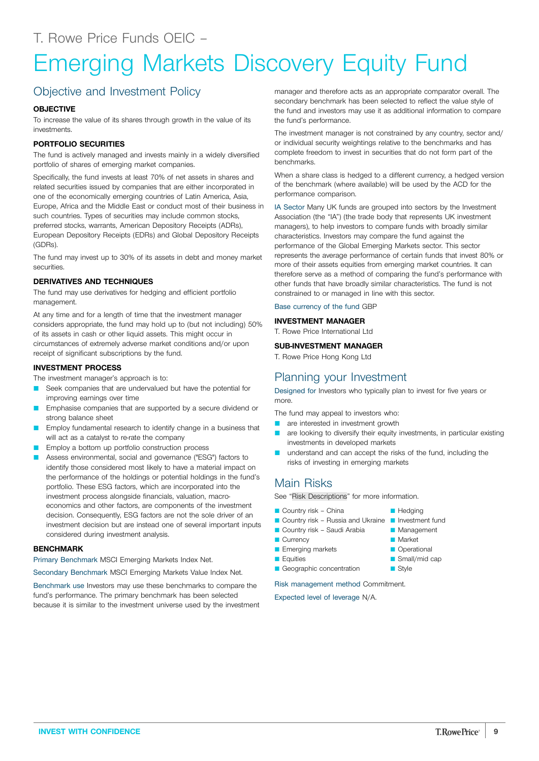## <span id="page-8-0"></span>Emerging Markets Discovery Equity Fund

## Objective and Investment Policy

#### **OBJECTIVE**

To increase the value of its shares through growth in the value of its investments.

#### **PORTFOLIO SECURITIES**

The fund is actively managed and invests mainly in a widely diversified portfolio of shares of emerging market companies.

Specifically, the fund invests at least 70% of net assets in shares and related securities issued by companies that are either incorporated in one of the economically emerging countries of Latin America, Asia, Europe, Africa and the Middle East or conduct most of their business in such countries. Types of securities may include common stocks, preferred stocks, warrants, American Depository Receipts (ADRs), European Depository Receipts (EDRs) and Global Depository Receipts (GDRs).

The fund may invest up to 30% of its assets in debt and money market securities.

#### **DERIVATIVES AND TECHNIQUES**

The fund may use derivatives for hedging and efficient portfolio management.

At any time and for a length of time that the investment manager considers appropriate, the fund may hold up to (but not including) 50% of its assets in cash or other liquid assets. This might occur in circumstances of extremely adverse market conditions and/or upon receipt of significant subscriptions by the fund.

#### **INVESTMENT PROCESS**

The investment manager's approach is to:

- Seek companies that are undervalued but have the potential for improving earnings over time
- Emphasise companies that are supported by a secure dividend or strong balance sheet
- Employ fundamental research to identify change in a business that will act as a catalyst to re-rate the company
- Employ a bottom up portfolio construction process
- Assess environmental, social and governance ("ESG") factors to identify those considered most likely to have a material impact on the performance of the holdings or potential holdings in the fund's portfolio. These ESG factors, which are incorporated into the investment process alongside financials, valuation, macroeconomics and other factors, are components of the investment decision. Consequently, ESG factors are not the sole driver of an investment decision but are instead one of several important inputs considered during investment analysis.

#### **BENCHMARK**

Primary Benchmark MSCI Emerging Markets Index Net.

Secondary Benchmark MSCI Emerging Markets Value Index Net.

Benchmark use Investors may use these benchmarks to compare the fund's performance. The primary benchmark has been selected because it is similar to the investment universe used by the investment

manager and therefore acts as an appropriate comparator overall. The secondary benchmark has been selected to reflect the value style of the fund and investors may use it as additional information to compare the fund's performance.

The investment manager is not constrained by any country, sector and/ or individual security weightings relative to the benchmarks and has complete freedom to invest in securities that do not form part of the benchmarks.

When a share class is hedged to a different currency, a hedged version of the benchmark (where available) will be used by the ACD for the performance comparison.

IA Sector Many UK funds are grouped into sectors by the Investment Association (the "IA") (the trade body that represents UK investment managers), to help investors to compare funds with broadly similar characteristics. Investors may compare the fund against the performance of the Global Emerging Markets sector. This sector represents the average performance of certain funds that invest 80% or more of their assets equities from emerging market countries. It can therefore serve as a method of comparing the fund's performance with other funds that have broadly similar characteristics. The fund is not constrained to or managed in line with this sector.

Base currency of the fund GBP

#### **INVESTMENT MANAGER**

T. Rowe Price International Ltd

#### **SUB-INVESTMENT MANAGER**

T. Rowe Price Hong Kong Ltd

#### Planning your Investment

Designed for Investors who typically plan to invest for five years or more.

The fund may appeal to investors who:

- **Q** are interested in investment growth
- **Q are looking to diversify their equity investments, in particular existing** investments in developed markets

**Hedging** 

**Management Narket C** Operational Small/mid cap  $\blacksquare$  Style

**Q** understand and can accept the risks of the fund, including the risks of investing in emerging markets

### Main Risks

See "Risk [Descriptions"](#page-39-0) for more information.

- $\Box$  Country risk China
- Country risk Russia and Ukraine Investment fund
- Country risk Saudi Arabia
- Currency
- **E** Emerging markets
- **D** Equities
- Geographic concentration

Risk management method Commitment.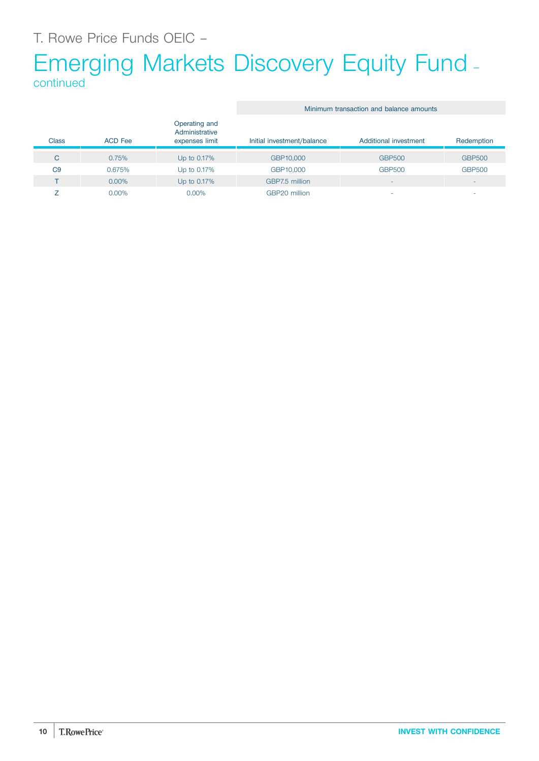## Emerging Markets Discovery Equity Fund – continued

|                |                |                                                   | Minimum transaction and balance amounts |                       |                          |
|----------------|----------------|---------------------------------------------------|-----------------------------------------|-----------------------|--------------------------|
| <b>Class</b>   | <b>ACD</b> Fee | Operating and<br>Administrative<br>expenses limit | Initial investment/balance              | Additional investment | Redemption               |
| C              | 0.75%          | Up to 0.17%                                       | GBP10,000                               | <b>GBP500</b>         | <b>GBP500</b>            |
| C <sub>9</sub> | 0.675%         | Up to 0.17%                                       | GBP10,000                               | <b>GBP500</b>         | <b>GBP500</b>            |
|                | $0.00\%$       | Up to 0.17%                                       | GBP7.5 million                          | ٠                     | $\overline{\phantom{a}}$ |
|                | $0.00\%$       | $0.00\%$                                          | GBP20 million                           | ۰                     | $\overline{\phantom{a}}$ |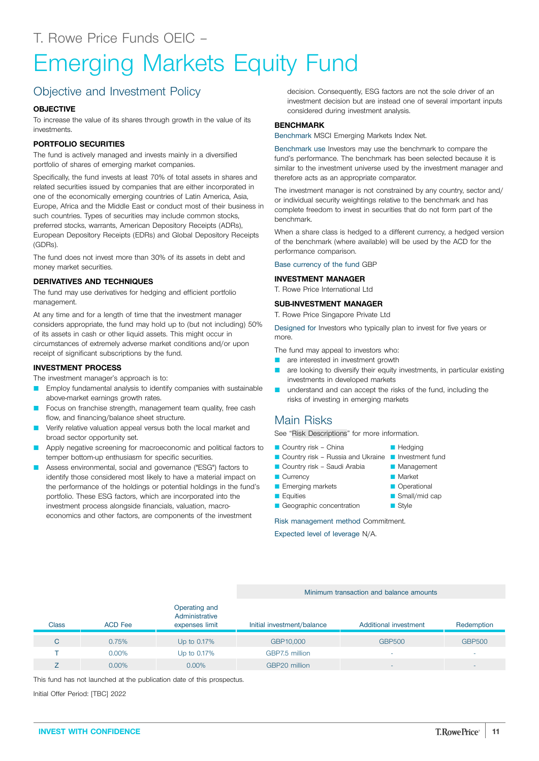## <span id="page-10-0"></span>Emerging Markets Equity Fund

## Objective and Investment Policy

#### **OBJECTIVE**

To increase the value of its shares through growth in the value of its investments.

#### **PORTFOLIO SECURITIES**

The fund is actively managed and invests mainly in a diversified portfolio of shares of emerging market companies.

Specifically, the fund invests at least 70% of total assets in shares and related securities issued by companies that are either incorporated in one of the economically emerging countries of Latin America, Asia, Europe, Africa and the Middle East or conduct most of their business in such countries. Types of securities may include common stocks, preferred stocks, warrants, American Depository Receipts (ADRs), European Depository Receipts (EDRs) and Global Depository Receipts (GDRs).

The fund does not invest more than 30% of its assets in debt and money market securities.

#### **DERIVATIVES AND TECHNIQUES**

The fund may use derivatives for hedging and efficient portfolio management.

At any time and for a length of time that the investment manager considers appropriate, the fund may hold up to (but not including) 50% of its assets in cash or other liquid assets. This might occur in circumstances of extremely adverse market conditions and/or upon receipt of significant subscriptions by the fund.

#### **INVESTMENT PROCESS**

The investment manager's approach is to:

- Employ fundamental analysis to identify companies with sustainable above-market earnings growth rates.
- Focus on franchise strength, management team quality, free cash flow, and financing/balance sheet structure.
- Verify relative valuation appeal versus both the local market and broad sector opportunity set.
- Apply negative screening for macroeconomic and political factors to temper bottom-up enthusiasm for specific securities.
- Assess environmental, social and governance ("ESG") factors to identify those considered most likely to have a material impact on the performance of the holdings or potential holdings in the fund's portfolio. These ESG factors, which are incorporated into the investment process alongside financials, valuation, macroeconomics and other factors, are components of the investment

decision. Consequently, ESG factors are not the sole driver of an investment decision but are instead one of several important inputs considered during investment analysis.

#### **BENCHMARK**

Benchmark MSCI Emerging Markets Index Net.

Benchmark use Investors may use the benchmark to compare the fund's performance. The benchmark has been selected because it is similar to the investment universe used by the investment manager and therefore acts as an appropriate comparator.

The investment manager is not constrained by any country, sector and/ or individual security weightings relative to the benchmark and has complete freedom to invest in securities that do not form part of the benchmark.

When a share class is hedged to a different currency, a hedged version of the benchmark (where available) will be used by the ACD for the performance comparison.

Base currency of the fund GBP

#### **INVESTMENT MANAGER**

T. Rowe Price International Ltd

#### **SUB-INVESTMENT MANAGER**

T. Rowe Price Singapore Private Ltd

Designed for Investors who typically plan to invest for five years or more.

The fund may appeal to investors who:

- are interested in investment growth
- are looking to diversify their equity investments, in particular existing investments in developed markets
- understand and can accept the risks of the fund, including the risks of investing in emerging markets

### Main Risks

See "Risk [Descriptions"](#page-39-0) for more information.

- $\blacksquare$  Country risk China
- Country risk Russia and Ukraine Investment fund
- $\blacksquare$  Country risk Saudi Arabia
- **Currency** 
	- **E** Emerging markets
	- **D** Equities
	- Geographic concentration

Risk management method Commitment.

Expected level of leverage N/A.

#### Minimum transaction and balance amounts

| Class | <b>ACD Fee</b> | Operating and<br>Administrative<br>expenses limit | Initial investment/balance | Additional investment | Redemption               |
|-------|----------------|---------------------------------------------------|----------------------------|-----------------------|--------------------------|
|       | 0.75%          | Up to 0.17%                                       | GBP10,000                  | <b>GBP500</b>         | <b>GBP500</b>            |
|       | $0.00\%$       | Up to 0.17%                                       | GBP7.5 million             |                       | ۰                        |
|       | $0.00\%$       | $0.00\%$                                          | GBP20 million              | <b>.</b>              | $\overline{\phantom{a}}$ |

This fund has not launched at the publication date of this prospectus.

Initial Offer Period: [TBC] 2022

**Management Market** 

**Hedging** 

**Operational** 

 $\blacksquare$  Style

 $\Box$  Small/mid cap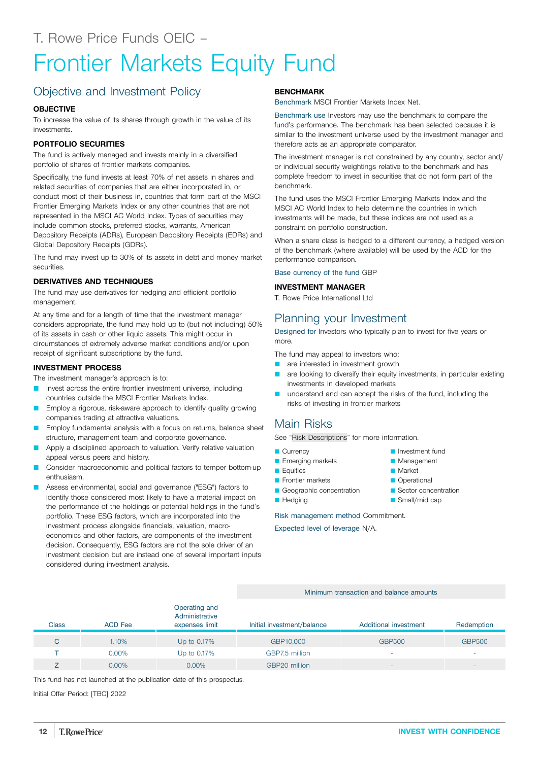## <span id="page-11-0"></span>Frontier Markets Equity Fund

## Objective and Investment Policy

#### **OBJECTIVE**

To increase the value of its shares through growth in the value of its investments.

#### **PORTFOLIO SECURITIES**

The fund is actively managed and invests mainly in a diversified portfolio of shares of frontier markets companies.

Specifically, the fund invests at least 70% of net assets in shares and related securities of companies that are either incorporated in, or conduct most of their business in, countries that form part of the MSCI Frontier Emerging Markets Index or any other countries that are not represented in the MSCI AC World Index. Types of securities may include common stocks, preferred stocks, warrants, American Depository Receipts (ADRs), European Depository Receipts (EDRs) and Global Depository Receipts (GDRs).

The fund may invest up to 30% of its assets in debt and money market securities.

#### **DERIVATIVES AND TECHNIQUES**

The fund may use derivatives for hedging and efficient portfolio management.

At any time and for a length of time that the investment manager considers appropriate, the fund may hold up to (but not including) 50% of its assets in cash or other liquid assets. This might occur in circumstances of extremely adverse market conditions and/or upon receipt of significant subscriptions by the fund.

#### **INVESTMENT PROCESS**

The investment manager's approach is to:

- Invest across the entire frontier investment universe, including countries outside the MSCI Frontier Markets Index.
- Employ a rigorous, risk-aware approach to identify quality growing companies trading at attractive valuations.
- Employ fundamental analysis with a focus on returns, balance sheet structure, management team and corporate governance.
- Apply a disciplined approach to valuation. Verify relative valuation appeal versus peers and history.
- Consider macroeconomic and political factors to temper bottom-up enthusiasm.
- Assess environmental, social and governance ("ESG") factors to identify those considered most likely to have a material impact on the performance of the holdings or potential holdings in the fund's portfolio. These ESG factors, which are incorporated into the investment process alongside financials, valuation, macroeconomics and other factors, are components of the investment decision. Consequently, ESG factors are not the sole driver of an investment decision but are instead one of several important inputs considered during investment analysis.

#### **BENCHMARK**

Benchmark MSCI Frontier Markets Index Net.

Benchmark use Investors may use the benchmark to compare the fund's performance. The benchmark has been selected because it is similar to the investment universe used by the investment manager and therefore acts as an appropriate comparator.

The investment manager is not constrained by any country, sector and/ or individual security weightings relative to the benchmark and has complete freedom to invest in securities that do not form part of the benchmark.

The fund uses the MSCI Frontier Emerging Markets Index and the MSCI AC World Index to help determine the countries in which investments will be made, but these indices are not used as a constraint on portfolio construction.

When a share class is hedged to a different currency, a hedged version of the benchmark (where available) will be used by the ACD for the performance comparison.

Base currency of the fund GBP

#### **INVESTMENT MANAGER**

T. Rowe Price International Ltd

### Planning your Investment

Designed for Investors who typically plan to invest for five years or more.

The fund may appeal to investors who:

- **Q** are interested in investment growth
- **Q** are looking to diversify their equity investments, in particular existing investments in developed markets
- understand and can accept the risks of the fund, including the risks of investing in frontier markets

### Main Risks

See "Risk [Descriptions"](#page-39-0) for more information.

- **Currency**
- **E** Emerging markets
- $\blacksquare$  Equities
- **D** Frontier markets
- Geographic concentration
- **Hedging**

Risk management method Commitment.

Expected level of leverage N/A.

#### Minimum transaction and balance amounts

|       |                | Operating and<br>Administrative |                            |                          |                          |
|-------|----------------|---------------------------------|----------------------------|--------------------------|--------------------------|
| Class | <b>ACD Fee</b> | expenses limit                  | Initial investment/balance | Additional investment    | Redemption               |
| C     | 1.10%          | Up to 0.17%                     | GBP10,000                  | <b>GBP500</b>            | <b>GBP500</b>            |
|       | $0.00\%$       | Up to 0.17%                     | GBP7.5 million             | -                        |                          |
|       | $0.00\%$       | $0.00\%$                        | GBP20 million              | $\overline{\phantom{0}}$ | $\overline{\phantom{a}}$ |

This fund has not launched at the publication date of this prospectus.

Initial Offer Period: [TBC] 2022

- **Management Market** 
	- **Operational** 
		- Sector concentration

**D** Investment fund

- $\Box$  Small/mid cap
- 
-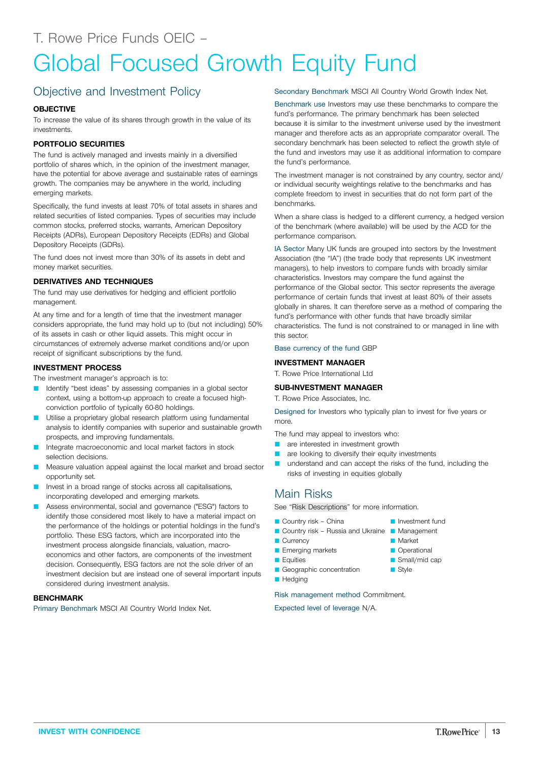## <span id="page-12-0"></span>Global Focused Growth Equity Fund

## Objective and Investment Policy

#### **OBJECTIVE**

To increase the value of its shares through growth in the value of its investments.

#### **PORTFOLIO SECURITIES**

The fund is actively managed and invests mainly in a diversified portfolio of shares which, in the opinion of the investment manager, have the potential for above average and sustainable rates of earnings growth. The companies may be anywhere in the world, including emerging markets.

Specifically, the fund invests at least 70% of total assets in shares and related securities of listed companies. Types of securities may include common stocks, preferred stocks, warrants, American Depository Receipts (ADRs), European Depository Receipts (EDRs) and Global Depository Receipts (GDRs).

The fund does not invest more than 30% of its assets in debt and money market securities.

#### **DERIVATIVES AND TECHNIQUES**

The fund may use derivatives for hedging and efficient portfolio management.

At any time and for a length of time that the investment manager considers appropriate, the fund may hold up to (but not including) 50% of its assets in cash or other liquid assets. This might occur in circumstances of extremely adverse market conditions and/or upon receipt of significant subscriptions by the fund.

#### **INVESTMENT PROCESS**

The investment manager's approach is to:

- Identify "best ideas" by assessing companies in a global sector context, using a bottom-up approach to create a focused highconviction portfolio of typically 60-80 holdings.
- **Utilise a proprietary global research platform using fundamental** analysis to identify companies with superior and sustainable growth prospects, and improving fundamentals.
- Integrate macroeconomic and local market factors in stock selection decisions.
- Measure valuation appeal against the local market and broad sector opportunity set.
- Invest in a broad range of stocks across all capitalisations, incorporating developed and emerging markets.
- Assess environmental, social and governance ("ESG") factors to identify those considered most likely to have a material impact on the performance of the holdings or potential holdings in the fund's portfolio. These ESG factors, which are incorporated into the investment process alongside financials, valuation, macroeconomics and other factors, are components of the investment decision. Consequently, ESG factors are not the sole driver of an investment decision but are instead one of several important inputs considered during investment analysis.

#### **BENCHMARK**

Primary Benchmark MSCI All Country World Index Net.

Secondary Benchmark MSCI All Country World Growth Index Net.

Benchmark use Investors may use these benchmarks to compare the fund's performance. The primary benchmark has been selected because it is similar to the investment universe used by the investment manager and therefore acts as an appropriate comparator overall. The secondary benchmark has been selected to reflect the growth style of the fund and investors may use it as additional information to compare the fund's performance.

The investment manager is not constrained by any country, sector and/ or individual security weightings relative to the benchmarks and has complete freedom to invest in securities that do not form part of the benchmarks.

When a share class is hedged to a different currency, a hedged version of the benchmark (where available) will be used by the ACD for the performance comparison.

IA Sector Many UK funds are grouped into sectors by the Investment Association (the "IA") (the trade body that represents UK investment managers), to help investors to compare funds with broadly similar characteristics. Investors may compare the fund against the performance of the Global sector. This sector represents the average performance of certain funds that invest at least 80% of their assets globally in shares. It can therefore serve as a method of comparing the fund's performance with other funds that have broadly similar characteristics. The fund is not constrained to or managed in line with this sector.

Base currency of the fund GBP

#### **INVESTMENT MANAGER**

T. Rowe Price International Ltd

#### **SUB-INVESTMENT MANAGER**

T. Rowe Price Associates, Inc.

Designed for Investors who typically plan to invest for five years or more.

The fund may appeal to investors who:

- **Q** are interested in investment growth
- **Q** are looking to diversify their equity investments
- **Q** understand and can accept the risks of the fund, including the risks of investing in equities globally

**D** Investment fund

**Market Operational**  $\blacksquare$  Small/mid cap **B** Style

### Main Risks

See "Risk [Descriptions"](#page-39-0) for more information.

- $\blacksquare$  Country risk China
- Country risk Russia and Ukraine Management
	-
- Currency **E** Emerging markets
- **E** Equities
- Geographic concentration
- **Hedging**

Risk management method Commitment.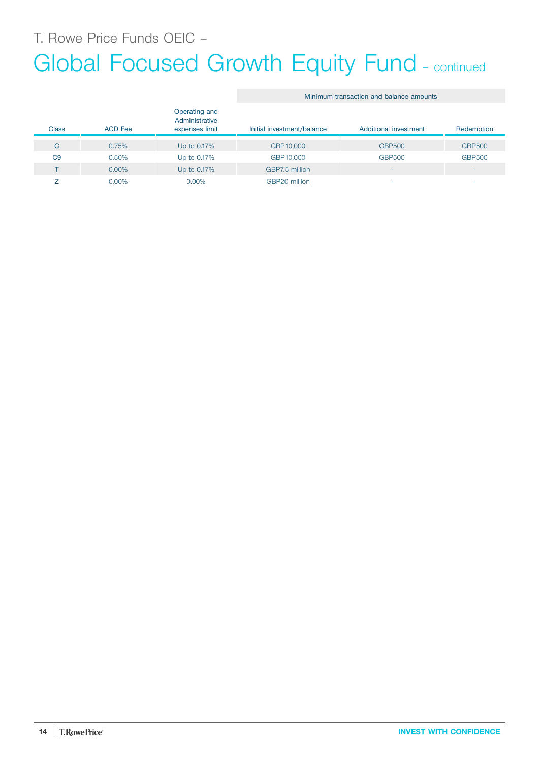## Global Focused Growth Equity Fund - continued

|                |                |                                                   | Minimum transaction and balance amounts |                          |                          |  |
|----------------|----------------|---------------------------------------------------|-----------------------------------------|--------------------------|--------------------------|--|
| <b>Class</b>   | <b>ACD</b> Fee | Operating and<br>Administrative<br>expenses limit | Initial investment/balance              | Additional investment    | Redemption               |  |
| C              | 0.75%          | Up to 0.17%                                       | GBP10,000                               | <b>GBP500</b>            | <b>GBP500</b>            |  |
| C <sub>9</sub> | 0.50%          | Up to 0.17%                                       | GBP10,000                               | <b>GBP500</b>            | <b>GBP500</b>            |  |
|                | $0.00\%$       | Up to 0.17%                                       | GBP7.5 million                          | $\overline{\phantom{a}}$ | $\overline{\phantom{a}}$ |  |
|                | $0.00\%$       | 0.00%                                             | GBP20 million                           | <b>.</b>                 | -                        |  |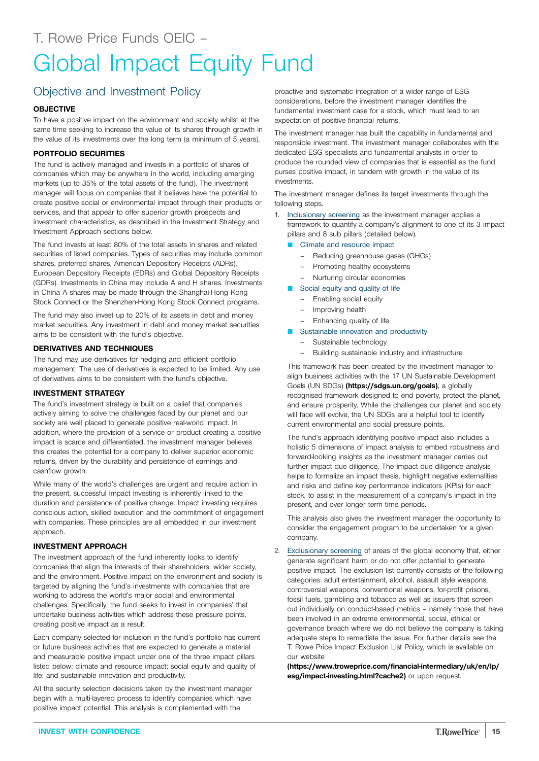### <span id="page-14-0"></span>Objective and Investment Policy

#### **OBJECTIVE**

To have a positive impact on the environment and society whilst at the same time seeking to increase the value of its shares through growth in the value of its investments over the long term (a minimum of 5 years).

#### **PORTFOLIO SECURITIES**

The fund is actively managed and invests in a portfolio of shares of companies which may be anywhere in the world, including emerging markets (up to 35% of the total assets of the fund). The investment manager will focus on companies that it believes have the potential to create positive social or environmental impact through their products or services, and that appear to offer superior growth prospects and investment characteristics, as described in the Investment Strategy and Investment Approach sections below.

The fund invests at least 80% of the total assets in shares and related securities of listed companies. Types of securities may include common shares, preferred shares, American Depository Receipts (ADRs), European Depository Receipts (EDRs) and Global Depository Receipts (GDRs). Investments in China may include A and H shares. Investments in China A shares may be made through the Shanghai-Hong Kong Stock Connect or the Shenzhen-Hong Kong Stock Connect programs.

The fund may also invest up to 20% of its assets in debt and money market securities. Any investment in debt and money market securities aims to be consistent with the fund's objective.

#### **DERIVATIVES AND TECHNIQUES**

The fund may use derivatives for hedging and efficient portfolio management. The use of derivatives is expected to be limited. Any use of derivatives aims to be consistent with the fund's objective.

#### **INVESTMENT STRATEGY**

The fund's investment strategy is built on a belief that companies actively aiming to solve the challenges faced by our planet and our society are well placed to generate positive real-world impact. In addition, where the provision of a service or product creating a positive impact is scarce and differentiated, the investment manager believes this creates the potential for a company to deliver superior economic returns, driven by the durability and persistence of earnings and cashflow growth.

While many of the world's challenges are urgent and require action in the present, successful impact investing is inherently linked to the duration and persistence of positive change. Impact investing requires conscious action, skilled execution and the commitment of engagement with companies. These principles are all embedded in our investment approach.

#### **INVESTMENT APPROACH**

The investment approach of the fund inherently looks to identify companies that align the interests of their shareholders, wider society, and the environment. Positive impact on the environment and society is targeted by aligning the fund's investments with companies that are working to address the world's major social and environmental challenges. Specifically, the fund seeks to invest in companies' that undertake business activities which address these pressure points, creating positive impact as a result.

Each company selected for inclusion in the fund's portfolio has current or future business activities that are expected to generate a material and measurable positive impact under one of the three impact pillars listed below: climate and resource impact; social equity and quality of life; and sustainable innovation and productivity.

All the security selection decisions taken by the investment manager begin with a multi-layered process to identify companies which have positive impact potential. This analysis is complemented with the

proactive and systematic integration of a wider range of ESG considerations, before the investment manager identifies the fundamental investment case for a stock, which must lead to an expectation of positive financial returns.

The investment manager has built the capability in fundamental and responsible investment. The investment manager collaborates with the dedicated ESG specialists and fundamental analysts in order to produce the rounded view of companies that is essential as the fund purses positive impact, in tandem with growth in the value of its investments.

The investment manager defines its target investments through the following steps.

- 1. Inclusionary screening as the investment manager applies a framework to quantify a company's alignment to one of its 3 impact pillars and 8 sub pillars (detailed below).
	- Climate and resource impact
		- Reducing greenhouse gases (GHGs)
		- Promoting healthy ecosystems
		- Nurturing circular economies
	- Social equity and quality of life
		- Enabling social equity
		- Improving health
		- Enhancing quality of life
	- **Q Sustainable innovation and productivity** 
		- Sustainable technology
		- Building sustainable industry and infrastructure

This framework has been created by the investment manager to align business activities with the 17 UN Sustainable Development Goals (UN SDGs) **[\(https://sdgs.un.org/goals\)](https://sdgs.un.org/goals)**, a globally recognised framework designed to end poverty, protect the planet, and ensure prosperity. While the challenges our planet and society will face will evolve, the UN SDGs are a helpful tool to identify current environmental and social pressure points.

The fund's approach identifying positive impact also includes a holistic 5 dimensions of impact analysis to embed robustness and forward-looking insights as the investment manager carries out further impact due diligence. The impact due diligence analysis helps to formalize an impact thesis, highlight negative externalities and risks and define key performance indicators (KPIs) for each stock, to assist in the measurement of a company's impact in the present, and over longer term time periods.

This analysis also gives the investment manager the opportunity to consider the engagement program to be undertaken for a given company.

2. Exclusionary screening of areas of the global economy that, either generate significant harm or do not offer potential to generate positive impact. The exclusion list currently consists of the following categories: adult entertainment, alcohol, assault style weapons, controversial weapons, conventional weapons, for-profit prisons, fossil fuels, gambling and tobacco as well as issuers that screen out individually on conduct-based metrics – namely those that have been involved in an extreme environmental, social, ethical or governance breach where we do not believe the company is taking adequate steps to remediate the issue. For further details see the T. Rowe Price Impact Exclusion List Policy, which is available on our website

**[\(https://www.troweprice.com/financial-intermediary/uk/en/lp/](https://www.troweprice.com/financial-intermediary/uk/en/lp/esg/impact-investing.html?cache2) [esg/impact-investing.html?cache2\)](https://www.troweprice.com/financial-intermediary/uk/en/lp/esg/impact-investing.html?cache2)** or upon request.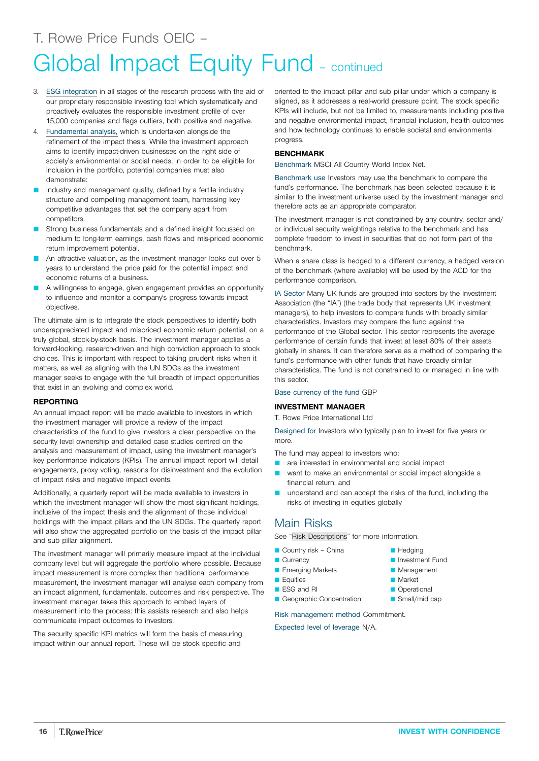- 3. ESG integration in all stages of the research process with the aid of our proprietary responsible investing tool which systematically and proactively evaluates the responsible investment profile of over 15,000 companies and flags outliers, both positive and negative.
- 4. Fundamental analysis, which is undertaken alongside the refinement of the impact thesis. While the investment approach aims to identify impact-driven businesses on the right side of society's environmental or social needs, in order to be eligible for inclusion in the portfolio, potential companies must also demonstrate:
- Industry and management quality, defined by a fertile industry structure and compelling management team, harnessing key competitive advantages that set the company apart from competitors.
- Strong business fundamentals and a defined insight focussed on medium to long-term earnings, cash flows and mis-priced economic return improvement potential.
- An attractive valuation, as the investment manager looks out over 5 years to understand the price paid for the potential impact and economic returns of a business.
- A willingness to engage, given engagement provides an opportunity to influence and monitor a company's progress towards impact objectives.

The ultimate aim is to integrate the stock perspectives to identify both underappreciated impact and mispriced economic return potential, on a truly global, stock-by-stock basis. The investment manager applies a forward-looking, research-driven and high conviction approach to stock choices. This is important with respect to taking prudent risks when it matters, as well as aligning with the UN SDGs as the investment manager seeks to engage with the full breadth of impact opportunities that exist in an evolving and complex world.

#### **REPORTING**

An annual impact report will be made available to investors in which the investment manager will provide a review of the impact characteristics of the fund to give investors a clear perspective on the security level ownership and detailed case studies centred on the analysis and measurement of impact, using the investment manager's key performance indicators (KPIs). The annual impact report will detail engagements, proxy voting, reasons for disinvestment and the evolution of impact risks and negative impact events.

Additionally, a quarterly report will be made available to investors in which the investment manager will show the most significant holdings, inclusive of the impact thesis and the alignment of those individual holdings with the impact pillars and the UN SDGs. The quarterly report will also show the aggregated portfolio on the basis of the impact pillar and sub pillar alignment.

The investment manager will primarily measure impact at the individual company level but will aggregate the portfolio where possible. Because impact measurement is more complex than traditional performance measurement, the investment manager will analyse each company from an impact alignment, fundamentals, outcomes and risk perspective. The investment manager takes this approach to embed layers of measurement into the process: this assists research and also helps communicate impact outcomes to investors.

The security specific KPI metrics will form the basis of measuring impact within our annual report. These will be stock specific and oriented to the impact pillar and sub pillar under which a company is aligned, as it addresses a real-world pressure point. The stock specific KPIs will include, but not be limited to, measurements including positive and negative environmental impact, financial inclusion, health outcomes and how technology continues to enable societal and environmental progress.

#### **BENCHMARK**

Benchmark MSCI All Country World Index Net.

Benchmark use Investors may use the benchmark to compare the fund's performance. The benchmark has been selected because it is similar to the investment universe used by the investment manager and therefore acts as an appropriate comparator.

The investment manager is not constrained by any country, sector and/ or individual security weightings relative to the benchmark and has complete freedom to invest in securities that do not form part of the benchmark.

When a share class is hedged to a different currency, a hedged version of the benchmark (where available) will be used by the ACD for the performance comparison.

IA Sector Many UK funds are grouped into sectors by the Investment Association (the "IA") (the trade body that represents UK investment managers), to help investors to compare funds with broadly similar characteristics. Investors may compare the fund against the performance of the Global sector. This sector represents the average performance of certain funds that invest at least 80% of their assets globally in shares. It can therefore serve as a method of comparing the fund's performance with other funds that have broadly similar characteristics. The fund is not constrained to or managed in line with this sector.

#### Base currency of the fund GBP

#### **INVESTMENT MANAGER**

T. Rowe Price International Ltd

Designed for Investors who typically plan to invest for five years or more.

The fund may appeal to investors who:

- **Q** are interested in environmental and social impact
- want to make an environmental or social impact alongside a financial return, and
- understand and can accept the risks of the fund, including the risks of investing in equities globally

#### Main Risks

See "Risk [Descriptions"](#page-39-0) for more information.

- $\blacksquare$  Country risk China
- Currency
- **Emerging Markets**
- **D** Equities
- **ESG and RI**
- Geographic Concentration

Risk management method Commitment.

- $H$ edging
- **D** Investment Fund
- **Management**
- **Market**
- **Operational**  $\blacksquare$  Small/mid cap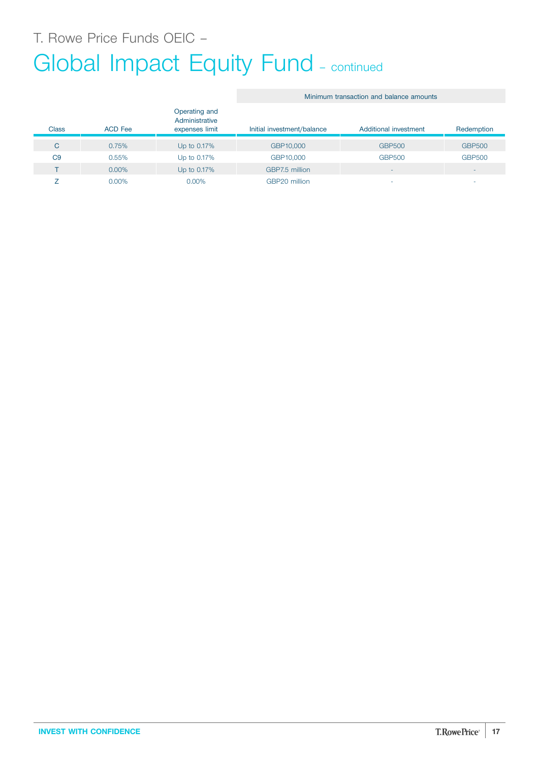## Global Impact Equity Fund - continued

#### Minimum transaction and balance amounts Class ACD Fee Operating and Administrative expenses limit Initial investment/balance Additional investment Redemption C 0.75% Up to 0.17% GBP10,000 GBP500 GBP500 C9 0.55% Up to 0.17% GBP10,000 GBP500 GBP500 T 0.00% Up to 0.17% GBP7.5 million Z 0.00% 0.00% GBP20 million - -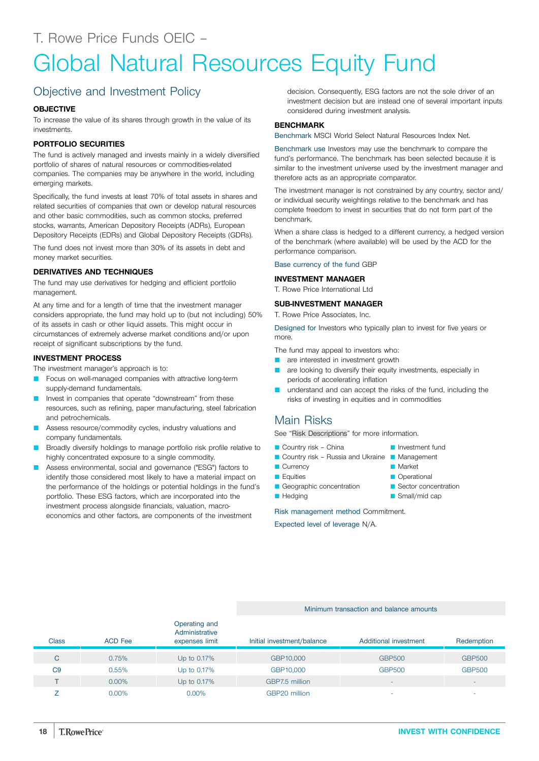## <span id="page-17-0"></span>Global Natural Resources Equity Fund

## Objective and Investment Policy

#### **OBJECTIVE**

To increase the value of its shares through growth in the value of its investments.

#### **PORTFOLIO SECURITIES**

The fund is actively managed and invests mainly in a widely diversified portfolio of shares of natural resources or commodities-related companies. The companies may be anywhere in the world, including emerging markets.

Specifically, the fund invests at least 70% of total assets in shares and related securities of companies that own or develop natural resources and other basic commodities, such as common stocks, preferred stocks, warrants, American Depository Receipts (ADRs), European Depository Receipts (EDRs) and Global Depository Receipts (GDRs).

The fund does not invest more than 30% of its assets in debt and money market securities.

#### **DERIVATIVES AND TECHNIQUES**

The fund may use derivatives for hedging and efficient portfolio management.

At any time and for a length of time that the investment manager considers appropriate, the fund may hold up to (but not including) 50% of its assets in cash or other liquid assets. This might occur in circumstances of extremely adverse market conditions and/or upon receipt of significant subscriptions by the fund.

#### **INVESTMENT PROCESS**

The investment manager's approach is to:

- Focus on well-managed companies with attractive long-term supply-demand fundamentals.
- Invest in companies that operate "downstream" from these resources, such as refining, paper manufacturing, steel fabrication and petrochemicals.
- Assess resource/commodity cycles, industry valuations and company fundamentals.
- Broadly diversify holdings to manage portfolio risk profile relative to highly concentrated exposure to a single commodity.
- Assess environmental, social and governance ("ESG") factors to identify those considered most likely to have a material impact on the performance of the holdings or potential holdings in the fund's portfolio. These ESG factors, which are incorporated into the investment process alongside financials, valuation, macroeconomics and other factors, are components of the investment

decision. Consequently, ESG factors are not the sole driver of an investment decision but are instead one of several important inputs considered during investment analysis.

#### **BENCHMARK**

Benchmark MSCI World Select Natural Resources Index Net.

Benchmark use Investors may use the benchmark to compare the fund's performance. The benchmark has been selected because it is similar to the investment universe used by the investment manager and therefore acts as an appropriate comparator.

The investment manager is not constrained by any country, sector and/ or individual security weightings relative to the benchmark and has complete freedom to invest in securities that do not form part of the benchmark.

When a share class is hedged to a different currency, a hedged version of the benchmark (where available) will be used by the ACD for the performance comparison.

Base currency of the fund GBP

#### **INVESTMENT MANAGER**

T. Rowe Price International Ltd

#### **SUB-INVESTMENT MANAGER**

T. Rowe Price Associates, Inc.

Designed for Investors who typically plan to invest for five years or more.

The fund may appeal to investors who:

- are interested in investment growth
- are looking to diversify their equity investments, especially in periods of accelerating inflation
- understand and can accept the risks of the fund, including the risks of investing in equities and in commodities

### Main Risks

See "Risk [Descriptions"](#page-39-0) for more information.

- $\Box$  Country risk China
- Country risk Russia and Ukraine Management
- Currency
- **D** Equities
- Geographic concentration
- **Hedging**

Risk management method Commitment.

Expected level of leverage N/A.

## **D** Investment fund

- **Market**
- **Operational**
- Sector concentration
- $\Box$  Small/mid cap

Minimum transaction and balance amounts

| <b>Class</b>   | <b>ACD Fee</b> | Operating and<br>Administrative<br>expenses limit | Initial investment/balance | Additional investment    | Redemption               |
|----------------|----------------|---------------------------------------------------|----------------------------|--------------------------|--------------------------|
| C              | 0.75%          | Up to 0.17%                                       | GBP10,000                  | <b>GBP500</b>            | <b>GBP500</b>            |
| C <sub>9</sub> | 0.55%          | Up to 0.17%                                       | GBP10,000                  | <b>GBP500</b>            | <b>GBP500</b>            |
|                | $0.00\%$       | Up to 0.17%                                       | GBP7.5 million             | $\overline{\phantom{0}}$ | $\overline{\phantom{0}}$ |
|                | $0.00\%$       | $0.00\%$                                          | GBP20 million              | $\overline{\phantom{a}}$ | $\overline{\phantom{a}}$ |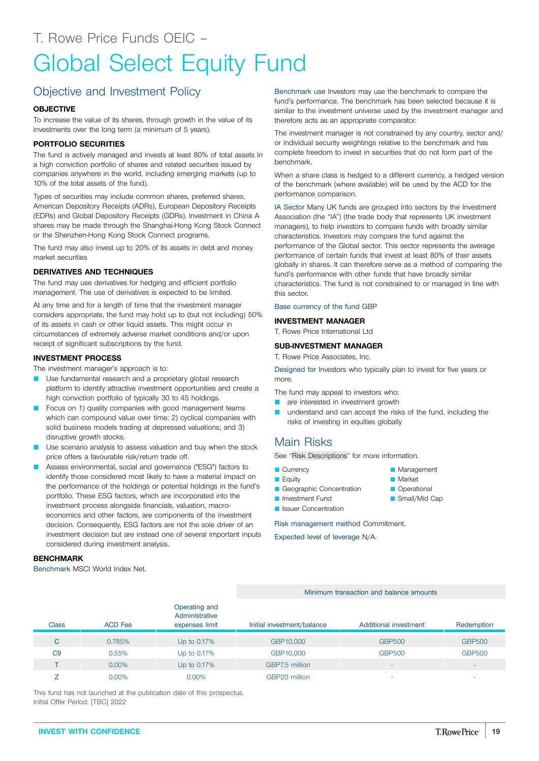# <span id="page-18-0"></span>Global Select Equity Fund

## Objective and Investment Policy

#### **OBJECTIVE**

To increase the value of its shares, through growth in the value of its investments over the long term (a minimum of 5 years).

#### **PORTFOLIO SECURITIES**

The fund is actively managed and invests at least 80% of total assets in a high conviction portfolio of shares and related securities issued by companies anywhere in the world, including emerging markets (up to 10% of the total assets of the fund).

Types of securities may include common shares, preferred shares, American Depository Receipts (ADRs), European Depository Receipts (EDRs) and Global Depository Receipts (GDRs). Investment in China A shares may be made through the Shanghai-Hong Kong Stock Connect or the Shenzhen-Hong Kong Stock Connect programs.

The fund may also invest up to 20% of its assets in debt and money market securities

#### **DERIVATIVES AND TECHNIQUES**

The fund may use derivatives for hedging and efficient portfolio management. The use of derivatives is expected to be limited.

At any time and for a length of time that the investment manager considers appropriate, the fund may hold up to (but not including) 50% of its assets in cash or other liquid assets. This might occur in circumstances of extremely adverse market conditions and/or upon receipt of significant subscriptions by the fund.

#### **INVESTMENT PROCESS**

The investment manager's approach is to:

- **D** Use fundamental research and a proprietary global research platform to identify attractive investment opportunities and create a high conviction portfolio of typically 30 to 45 holdings.
- Focus on 1) quality companies with good management teams which can compound value over time; 2) cyclical companies with solid business models trading at depressed valuations; and 3) disruptive growth stocks.
- Use scenario analysis to assess valuation and buy when the stock price offers a favourable risk/return trade off.
- Assess environmental, social and governance ("ESG") factors to identify those considered most likely to have a material impact on the performance of the holdings or potential holdings in the fund's portfolio. These ESG factors, which are incorporated into the investment process alongside financials, valuation, macroeconomics and other factors, are components of the investment decision. Consequently, ESG factors are not the sole driver of an investment decision but are instead one of several important inputs considered during investment analysis.

#### **BENCHMARK**

Benchmark MSCI World Index Net.

Benchmark use Investors may use the benchmark to compare the fund's performance. The benchmark has been selected because it is similar to the investment universe used by the investment manager and therefore acts as an appropriate comparator.

The investment manager is not constrained by any country, sector and/ or individual security weightings relative to the benchmark and has complete freedom to invest in securities that do not form part of the benchmark.

When a share class is hedged to a different currency, a hedged version of the benchmark (where available) will be used by the ACD for the performance comparison.

IA Sector Many UK funds are grouped into sectors by the Investment Association (the "IA") (the trade body that represents UK investment managers), to help investors to compare funds with broadly similar characteristics. Investors may compare the fund against the performance of the Global sector. This sector represents the average performance of certain funds that invest at least 80% of their assets globally in shares. It can therefore serve as a method of comparing the fund's performance with other funds that have broadly similar characteristics. The fund is not constrained to or managed in line with this sector.

#### Base currency of the fund GBP

#### **INVESTMENT MANAGER**

T. Rowe Price International Ltd

#### **SUB-INVESTMENT MANAGER**

T. Rowe Price Associates, Inc.

Designed for Investors who typically plan to invest for five years or more.

The fund may appeal to investors who:

- **Q** are interested in investment growth
- **Q** understand and can accept the risks of the fund, including the risks of investing in equities globally

**Management Market Operational** Small/Mid Cap

### Main Risks

See "Risk [Descriptions"](#page-39-0) for more information.

- **Currency**
- **E**quity
- **D** Investment Fund
- 

#### Minimum transaction and balance amounts Class ACD Fee Operating and **Administrative** expenses limit Initial investment/balance Additional investment Redemption C 0.785% Up to 0.17% GBP10,000 GBP500 GBP500 C9 0.55% Up to 0.17% GBP10,000 GBP500 GBP500  $\blacksquare$  T  $\blacksquare$   $\blacksquare$   $\blacksquare$   $\blacksquare$   $\blacksquare$   $\blacksquare$   $\blacksquare$   $\blacksquare$   $\blacksquare$   $\blacksquare$   $\blacksquare$   $\blacksquare$   $\blacksquare$   $\blacksquare$   $\blacksquare$   $\blacksquare$   $\blacksquare$   $\blacksquare$   $\blacksquare$   $\blacksquare$   $\blacksquare$   $\blacksquare$   $\blacksquare$   $\blacksquare$   $\blacksquare$   $\blacksquare$   $\blacksquare$   $\blacksquare$   $\blacksquare$   $\blacksquare$   $\$  $Z$  0.00% 0.00% 0.00% GBP20 million  $\sigma$  -  $\sigma$  -  $\sigma$  -

This fund has not launched at the publication date of this prospectus. Initial Offer Period: [TBC] 2022

- 
- Geographic Concentration
- **D** Issuer Concentration

Risk management method Commitment.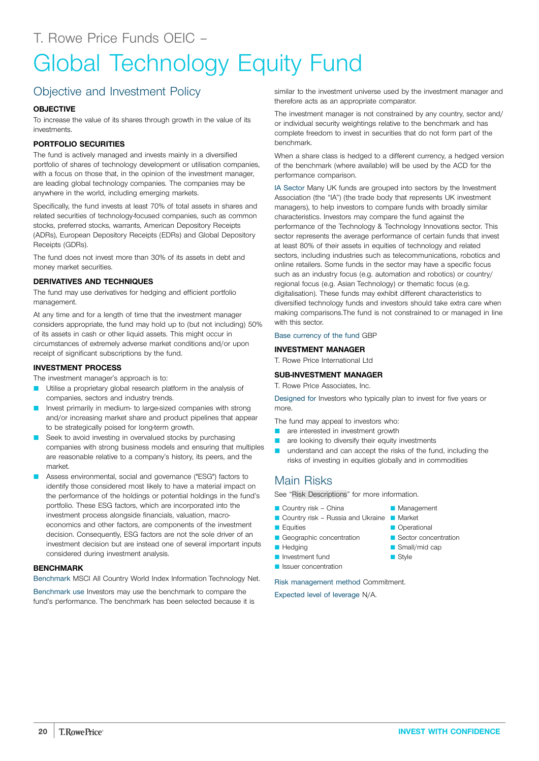## <span id="page-19-0"></span>Objective and Investment Policy

#### **OBJECTIVE**

To increase the value of its shares through growth in the value of its investments.

#### **PORTFOLIO SECURITIES**

The fund is actively managed and invests mainly in a diversified portfolio of shares of technology development or utilisation companies, with a focus on those that, in the opinion of the investment manager, are leading global technology companies. The companies may be anywhere in the world, including emerging markets.

Specifically, the fund invests at least 70% of total assets in shares and related securities of technology-focused companies, such as common stocks, preferred stocks, warrants, American Depository Receipts (ADRs), European Depository Receipts (EDRs) and Global Depository Receipts (GDRs).

The fund does not invest more than 30% of its assets in debt and money market securities.

#### **DERIVATIVES AND TECHNIQUES**

The fund may use derivatives for hedging and efficient portfolio management.

At any time and for a length of time that the investment manager considers appropriate, the fund may hold up to (but not including) 50% of its assets in cash or other liquid assets. This might occur in circumstances of extremely adverse market conditions and/or upon receipt of significant subscriptions by the fund.

#### **INVESTMENT PROCESS**

The investment manager's approach is to:

- Utilise a proprietary global research platform in the analysis of companies, sectors and industry trends.
- Invest primarily in medium- to large-sized companies with strong and/or increasing market share and product pipelines that appear to be strategically poised for long-term growth.
- Seek to avoid investing in overvalued stocks by purchasing companies with strong business models and ensuring that multiples are reasonable relative to a company's history, its peers, and the market.
- Assess environmental, social and governance ("ESG") factors to identify those considered most likely to have a material impact on the performance of the holdings or potential holdings in the fund's portfolio. These ESG factors, which are incorporated into the investment process alongside financials, valuation, macroeconomics and other factors, are components of the investment decision. Consequently, ESG factors are not the sole driver of an investment decision but are instead one of several important inputs considered during investment analysis.

#### **BENCHMARK**

Benchmark MSCI All Country World Index Information Technology Net.

Benchmark use Investors may use the benchmark to compare the fund's performance. The benchmark has been selected because it is similar to the investment universe used by the investment manager and therefore acts as an appropriate comparator.

The investment manager is not constrained by any country, sector and/ or individual security weightings relative to the benchmark and has complete freedom to invest in securities that do not form part of the benchmark.

When a share class is hedged to a different currency, a hedged version of the benchmark (where available) will be used by the ACD for the performance comparison.

IA Sector Many UK funds are grouped into sectors by the Investment Association (the "IA") (the trade body that represents UK investment managers), to help investors to compare funds with broadly similar characteristics. Investors may compare the fund against the performance of the Technology & Technology Innovations sector. This sector represents the average performance of certain funds that invest at least 80% of their assets in equities of technology and related sectors, including industries such as telecommunications, robotics and online retailers. Some funds in the sector may have a specific focus such as an industry focus (e.g. automation and robotics) or country/ regional focus (e.g. Asian Technology) or thematic focus (e.g. digitalisation). These funds may exhibit different characteristics to diversified technology funds and investors should take extra care when making comparisons.The fund is not constrained to or managed in line with this sector.

#### Base currency of the fund GBP

#### **INVESTMENT MANAGER**

T. Rowe Price International Ltd

#### **SUB-INVESTMENT MANAGER**

T. Rowe Price Associates, Inc.

Designed for Investors who typically plan to invest for five years or more.

The fund may appeal to investors who:

- **Q** are interested in investment growth
- are looking to diversify their equity investments
- understand and can accept the risks of the fund, including the risks of investing in equities globally and in commodities

#### Main Risks

See "Risk [Descriptions"](#page-39-0) for more information.

- Country risk China
- Country risk Russia and Ukraine Market
- **D** Equities
- Geographic concentration
- **Hedging**
- **D** Investment fund
- **D** Issuer concentration

Risk management method Commitment.

- **Management**
- **C** Operational
- Sector concentration
- Small/mid cap
- $\blacksquare$  Style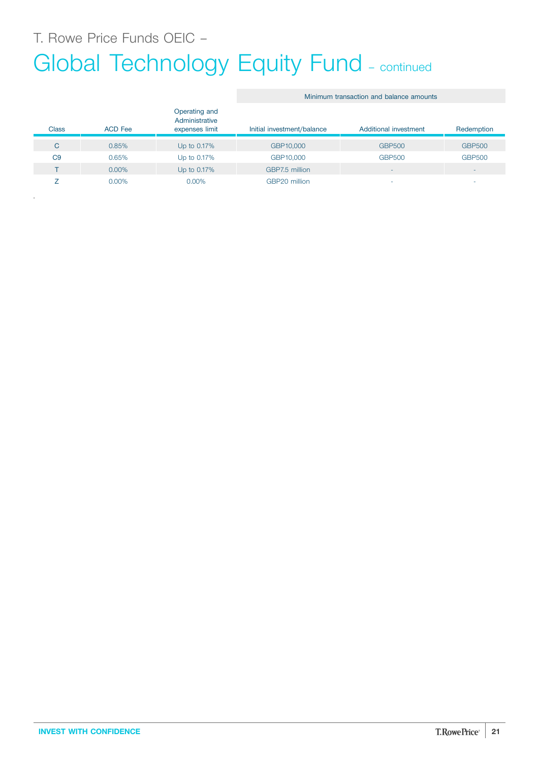T. Rowe Price Funds OEIC –

.

# Global Technology Equity Fund - continued

#### Minimum transaction and balance amounts

| Class          | <b>ACD Fee</b> | Operating and<br>Administrative<br>expenses limit | Initial investment/balance | Additional investment    | Redemption               |
|----------------|----------------|---------------------------------------------------|----------------------------|--------------------------|--------------------------|
| C              | 0.85%          | Up to 0.17%                                       | GBP10,000                  | <b>GBP500</b>            | <b>GBP500</b>            |
| C <sub>9</sub> | 0.65%          | Up to 0.17%                                       | GBP10,000                  | <b>GBP500</b>            | <b>GBP500</b>            |
|                | $0.00\%$       | Up to 0.17%                                       | GBP7.5 million             | $\overline{\phantom{a}}$ | $\overline{\phantom{a}}$ |
|                | $0.00\%$       | $0.00\%$                                          | GBP20 million              |                          | $\overline{\phantom{a}}$ |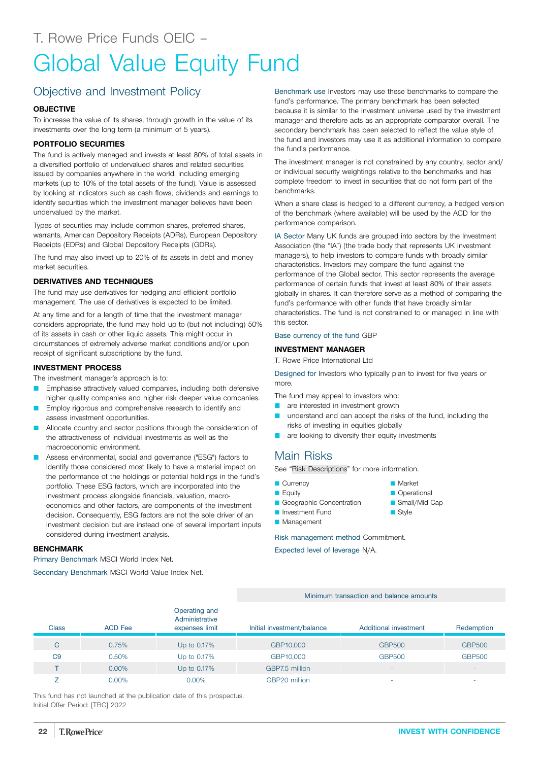## <span id="page-21-0"></span>Global Value Equity Fund

### Objective and Investment Policy

#### **OBJECTIVE**

To increase the value of its shares, through growth in the value of its investments over the long term (a minimum of 5 years).

#### **PORTFOLIO SECURITIES**

The fund is actively managed and invests at least 80% of total assets in a diversified portfolio of undervalued shares and related securities issued by companies anywhere in the world, including emerging markets (up to 10% of the total assets of the fund). Value is assessed by looking at indicators such as cash flows, dividends and earnings to identify securities which the investment manager believes have been undervalued by the market.

Types of securities may include common shares, preferred shares, warrants, American Depository Receipts (ADRs), European Depository Receipts (EDRs) and Global Depository Receipts (GDRs).

The fund may also invest up to 20% of its assets in debt and money market securities.

#### **DERIVATIVES AND TECHNIQUES**

The fund may use derivatives for hedging and efficient portfolio management. The use of derivatives is expected to be limited.

At any time and for a length of time that the investment manager considers appropriate, the fund may hold up to (but not including) 50% of its assets in cash or other liquid assets. This might occur in circumstances of extremely adverse market conditions and/or upon receipt of significant subscriptions by the fund.

#### **INVESTMENT PROCESS**

The investment manager's approach is to:

- Emphasise attractively valued companies, including both defensive higher quality companies and higher risk deeper value companies.
- Employ rigorous and comprehensive research to identify and assess investment opportunities.
- Allocate country and sector positions through the consideration of the attractiveness of individual investments as well as the macroeconomic environment.
- Assess environmental, social and governance ("ESG") factors to identify those considered most likely to have a material impact on the performance of the holdings or potential holdings in the fund's portfolio. These ESG factors, which are incorporated into the investment process alongside financials, valuation, macroeconomics and other factors, are components of the investment decision. Consequently, ESG factors are not the sole driver of an investment decision but are instead one of several important inputs considered during investment analysis.

#### **BENCHMARK**

Primary Benchmark MSCI World Index Net.

Secondary Benchmark MSCI World Value Index Net.

Benchmark use Investors may use these benchmarks to compare the fund's performance. The primary benchmark has been selected because it is similar to the investment universe used by the investment manager and therefore acts as an appropriate comparator overall. The secondary benchmark has been selected to reflect the value style of the fund and investors may use it as additional information to compare the fund's performance.

The investment manager is not constrained by any country, sector and/ or individual security weightings relative to the benchmarks and has complete freedom to invest in securities that do not form part of the benchmarks.

When a share class is hedged to a different currency, a hedged version of the benchmark (where available) will be used by the ACD for the performance comparison.

IA Sector Many UK funds are grouped into sectors by the Investment Association (the "IA") (the trade body that represents UK investment managers), to help investors to compare funds with broadly similar characteristics. Investors may compare the fund against the performance of the Global sector. This sector represents the average performance of certain funds that invest at least 80% of their assets globally in shares. It can therefore serve as a method of comparing the fund's performance with other funds that have broadly similar characteristics. The fund is not constrained to or managed in line with this sector.

#### Base currency of the fund GBP

#### **INVESTMENT MANAGER**

T. Rowe Price International Ltd

Designed for Investors who typically plan to invest for five years or more.

The fund may appeal to investors who:

- are interested in investment growth
- **Q** understand and can accept the risks of the fund, including the risks of investing in equities globally
- are looking to diversify their equity investments

### Main Risks

See "Risk [Descriptions"](#page-39-0) for more information.

- **Currency**  $\blacksquare$  Equity
- Market
- **C** Operational Small/Mid Cap
- 
- $\blacksquare$  Style

Risk management method Commitment.

Expected level of leverage N/A.

Geographic Concentration **D** Investment Fund **Management** 

Minimum transaction and balance amounts

| <b>Class</b>   | <b>ACD</b> Fee | Operating and<br>Administrative<br>expenses limit | Initial investment/balance | Additional investment    | Redemption               |
|----------------|----------------|---------------------------------------------------|----------------------------|--------------------------|--------------------------|
| C              | 0.75%          | Up to 0.17%                                       | GBP10,000                  | <b>GBP500</b>            | <b>GBP500</b>            |
| C <sub>9</sub> | 0.50%          | Up to 0.17%                                       | GBP10,000                  | <b>GBP500</b>            | <b>GBP500</b>            |
|                | $0.00\%$       | Up to 0.17%                                       | GBP7.5 million             | $\overline{\phantom{a}}$ | $\overline{\phantom{a}}$ |
|                | 0.00%          | $0.00\%$                                          | GBP20 million              |                          | $\overline{\phantom{a}}$ |

This fund has not launched at the publication date of this prospectus. Initial Offer Period: [TBC] 2022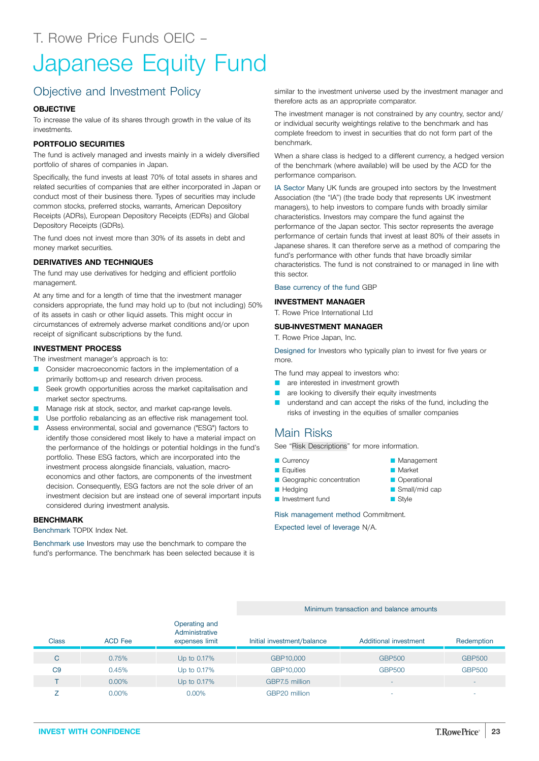## <span id="page-22-0"></span>Japanese Equity Fund

## Objective and Investment Policy

#### **OBJECTIVE**

To increase the value of its shares through growth in the value of its investments.

#### **PORTFOLIO SECURITIES**

The fund is actively managed and invests mainly in a widely diversified portfolio of shares of companies in Japan.

Specifically, the fund invests at least 70% of total assets in shares and related securities of companies that are either incorporated in Japan or conduct most of their business there. Types of securities may include common stocks, preferred stocks, warrants, American Depository Receipts (ADRs), European Depository Receipts (EDRs) and Global Depository Receipts (GDRs).

The fund does not invest more than 30% of its assets in debt and money market securities.

#### **DERIVATIVES AND TECHNIQUES**

The fund may use derivatives for hedging and efficient portfolio management.

At any time and for a length of time that the investment manager considers appropriate, the fund may hold up to (but not including) 50% of its assets in cash or other liquid assets. This might occur in circumstances of extremely adverse market conditions and/or upon receipt of significant subscriptions by the fund.

#### **INVESTMENT PROCESS**

The investment manager's approach is to:

- Consider macroeconomic factors in the implementation of a primarily bottom-up and research driven process.
- Seek growth opportunities across the market capitalisation and market sector spectrums.
- Manage risk at stock, sector, and market cap-range levels.
- Use portfolio rebalancing as an effective risk management tool.
- Assess environmental, social and governance ("ESG") factors to identify those considered most likely to have a material impact on the performance of the holdings or potential holdings in the fund's portfolio. These ESG factors, which are incorporated into the investment process alongside financials, valuation, macroeconomics and other factors, are components of the investment decision. Consequently, ESG factors are not the sole driver of an investment decision but are instead one of several important inputs considered during investment analysis.

#### **BENCHMARK**

Benchmark TOPIX Index Net.

Benchmark use Investors may use the benchmark to compare the fund's performance. The benchmark has been selected because it is similar to the investment universe used by the investment manager and therefore acts as an appropriate comparator.

The investment manager is not constrained by any country, sector and/ or individual security weightings relative to the benchmark and has complete freedom to invest in securities that do not form part of the benchmark.

When a share class is hedged to a different currency, a hedged version of the benchmark (where available) will be used by the ACD for the performance comparison.

IA Sector Many UK funds are grouped into sectors by the Investment Association (the "IA") (the trade body that represents UK investment managers), to help investors to compare funds with broadly similar characteristics. Investors may compare the fund against the performance of the Japan sector. This sector represents the average performance of certain funds that invest at least 80% of their assets in Japanese shares. It can therefore serve as a method of comparing the fund's performance with other funds that have broadly similar characteristics. The fund is not constrained to or managed in line with this sector.

#### Base currency of the fund GBP

#### **INVESTMENT MANAGER**

T. Rowe Price International Ltd

#### **SUB-INVESTMENT MANAGER**

T. Rowe Price Japan, Inc.

Designed for Investors who typically plan to invest for five years or more.

The fund may appeal to investors who:

- **Q** are interested in investment growth
- **Q** are looking to diversify their equity investments
- **Q** understand and can accept the risks of the fund, including the risks of investing in the equities of smaller companies

### Main Risks

See "Risk [Descriptions"](#page-39-0) for more information.

- **Currency**
- **D** Equities
- Geographic concentration
- **Hedging**
- **D** Investment fund

Risk management method Commitment.

Expected level of leverage N/A.

#### Minimum transaction and balance amounts

| <b>Class</b>   | <b>ACD Fee</b> | Operating and<br>Administrative<br>expenses limit | Initial investment/balance | Additional investment    | Redemption    |
|----------------|----------------|---------------------------------------------------|----------------------------|--------------------------|---------------|
| C              | 0.75%          | Up to 0.17%                                       | GBP10,000                  | <b>GBP500</b>            | <b>GBP500</b> |
| C <sub>9</sub> | 0.45%          | Up to 0.17%                                       | GBP10,000                  | <b>GBP500</b>            | <b>GBP500</b> |
|                | $0.00\%$       | Up to 0.17%                                       | GBP7.5 million             | -                        | -             |
|                | $0.00\%$       | $0.00\%$                                          | GBP20 million              | $\overline{\phantom{a}}$ | ۰             |

**Market Operational** Small/mid cap  $\blacksquare$  Style

**Management**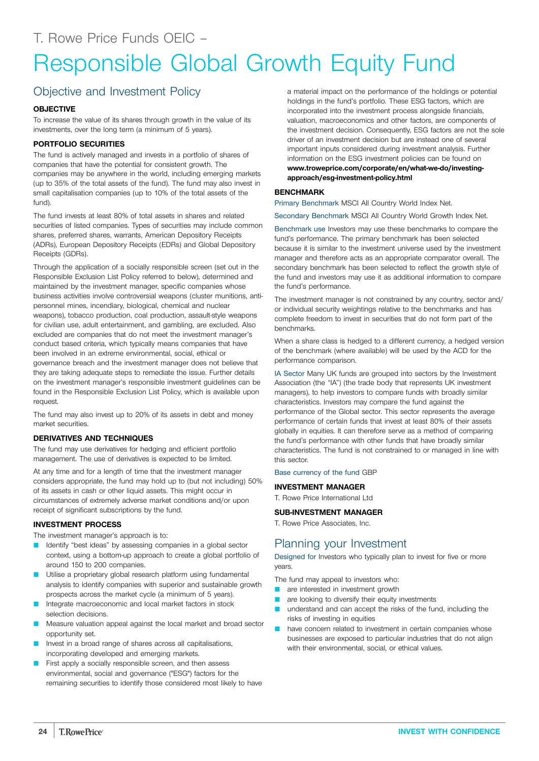## <span id="page-23-0"></span>Responsible Global Growth Equity Fund

## Objective and Investment Policy

#### **OBJECTIVE**

To increase the value of its shares through growth in the value of its investments, over the long term (a minimum of 5 years).

#### **PORTFOLIO SECURITIES**

The fund is actively managed and invests in a portfolio of shares of companies that have the potential for consistent growth. The companies may be anywhere in the world, including emerging markets (up to 35% of the total assets of the fund). The fund may also invest in small capitalisation companies (up to 10% of the total assets of the fund).

The fund invests at least 80% of total assets in shares and related securities of listed companies. Types of securities may include common shares, preferred shares, warrants, American Depository Receipts (ADRs), European Depository Receipts (EDRs) and Global Depository Receipts (GDRs).

Through the application of a socially responsible screen (set out in the Responsible Exclusion List Policy referred to below), determined and maintained by the investment manager, specific companies whose business activities involve controversial weapons (cluster munitions, antipersonnel mines, incendiary, biological, chemical and nuclear weapons), tobacco production, coal production, assault-style weapons for civilian use, adult entertainment, and gambling, are excluded. Also excluded are companies that do not meet the investment manager's conduct based criteria, which typically means companies that have been involved in an extreme environmental, social, ethical or governance breach and the investment manager does not believe that they are taking adequate steps to remediate the issue. Further details on the investment manager's responsible investment guidelines can be found in the Responsible Exclusion List Policy, which is available upon request.

The fund may also invest up to 20% of its assets in debt and money market securities.

#### **DERIVATIVES AND TECHNIQUES**

The fund may use derivatives for hedging and efficient portfolio management. The use of derivatives is expected to be limited.

At any time and for a length of time that the investment manager considers appropriate, the fund may hold up to (but not including) 50% of its assets in cash or other liquid assets. This might occur in circumstances of extremely adverse market conditions and/or upon receipt of significant subscriptions by the fund.

#### **INVESTMENT PROCESS**

The investment manager's approach is to:

- Identify "best ideas" by assessing companies in a global sector context, using a bottom-up approach to create a global portfolio of around 150 to 200 companies.
- Utilise a proprietary global research platform using fundamental analysis to identify companies with superior and sustainable growth prospects across the market cycle (a minimum of 5 years).
- Integrate macroeconomic and local market factors in stock selection decisions.
- Measure valuation appeal against the local market and broad sector opportunity set.
- Invest in a broad range of shares across all capitalisations, incorporating developed and emerging markets.
- First apply a socially responsible screen, and then assess environmental, social and governance ("ESG") factors for the remaining securities to identify those considered most likely to have

a material impact on the performance of the holdings or potential holdings in the fund's portfolio. These ESG factors, which are incorporated into the investment process alongside financials, valuation, macroeconomics and other factors, are components of the investment decision. Consequently, ESG factors are not the sole driver of an investment decision but are instead one of several important inputs considered during investment analysis. Further information on the ESG investment policies can be found on **[www.troweprice.com/corporate/en/what-we-do/investing](http://www.troweprice.com/corporate/en/what-we-do/investing-approach/esg-investment-policy.html)[approach/esg-investment-policy.html](http://www.troweprice.com/corporate/en/what-we-do/investing-approach/esg-investment-policy.html)**

#### **BENCHMARK**

Primary Benchmark MSCI All Country World Index Net.

Secondary Benchmark MSCI All Country World Growth Index Net.

Benchmark use Investors may use these benchmarks to compare the fund's performance. The primary benchmark has been selected because it is similar to the investment universe used by the investment manager and therefore acts as an appropriate comparator overall. The secondary benchmark has been selected to reflect the growth style of the fund and investors may use it as additional information to compare the fund's performance.

The investment manager is not constrained by any country, sector and/ or individual security weightings relative to the benchmarks and has complete freedom to invest in securities that do not form part of the benchmarks.

When a share class is hedged to a different currency, a hedged version of the benchmark (where available) will be used by the ACD for the performance comparison.

IA Sector Many UK funds are grouped into sectors by the Investment Association (the "IA") (the trade body that represents UK investment managers), to help investors to compare funds with broadly similar characteristics. Investors may compare the fund against the performance of the Global sector. This sector represents the average performance of certain funds that invest at least 80% of their assets globally in equities. It can therefore serve as a method of comparing the fund's performance with other funds that have broadly similar characteristics. The fund is not constrained to or managed in line with this sector.

Base currency of the fund GBP

#### **INVESTMENT MANAGER**

T. Rowe Price International Ltd

#### **SUB-INVESTMENT MANAGER**

T. Rowe Price Associates, Inc.

### Planning your Investment

Designed for Investors who typically plan to invest for five or more years.

The fund may appeal to investors who:

- **Q** are interested in investment growth
- are looking to diversify their equity investments
- **Q** understand and can accept the risks of the fund, including the risks of investing in equities
- have concern related to investment in certain companies whose businesses are exposed to particular industries that do not align with their environmental, social, or ethical values.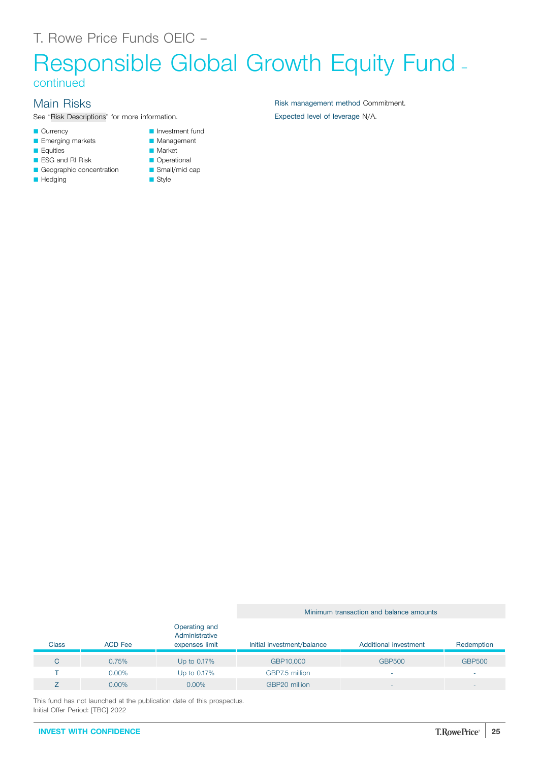## Responsible Global Growth Equity Fund – continued

## Main Risks

See "Risk [Descriptions](#page-39-0)" for more information.

- **Currency**
- **E** Emerging markets
- **E**quities
- **B** ESG and RI Risk
- Geographic concentration
- **Hedging**
- **Management**
- **Market Operational**
- $\blacksquare$  Small/mid cap

**D** Investment fund

 $\blacksquare$  Style

Risk management method Commitment. Expected level of leverage N/A.

#### Class ACD Fee Operating and Administrative expenses limit Initial investment/balance Additional investment Redemption C 0.75% Up to 0.17% GBP10,000 GBP500 GBP500

 $\blacksquare$  The contract of the contract of the Up to 0.17%  $\blacksquare$  GBP7.5 million  $\blacksquare$  -  $\blacksquare$  -  $\blacksquare$  -  $\blacksquare$  -  $\blacksquare$  -  $\blacksquare$ 

Minimum transaction and balance amounts

This fund has not launched at the publication date of this prospectus. Initial Offer Period: [TBC] 2022

Z 0.00% 0.00% GBP20 million - -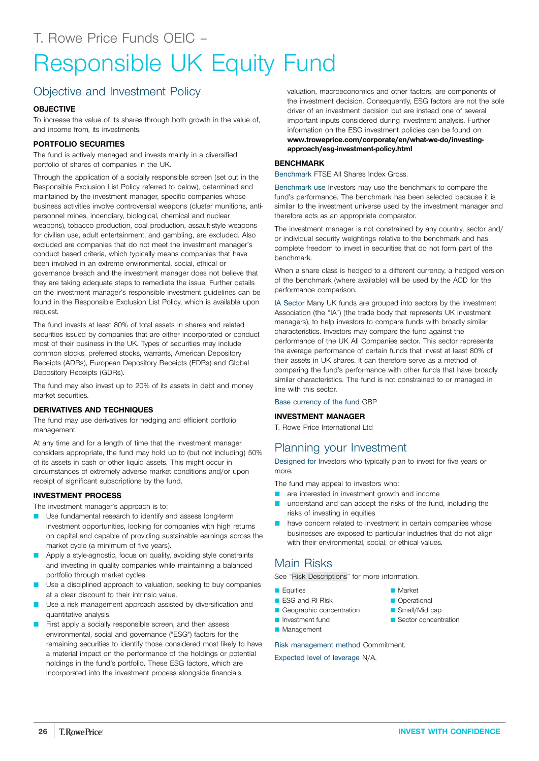## <span id="page-25-0"></span>Responsible UK Equity Fund

## Objective and Investment Policy

#### **OBJECTIVE**

To increase the value of its shares through both growth in the value of, and income from, its investments.

#### **PORTFOLIO SECURITIES**

The fund is actively managed and invests mainly in a diversified portfolio of shares of companies in the UK.

Through the application of a socially responsible screen (set out in the Responsible Exclusion List Policy referred to below), determined and maintained by the investment manager, specific companies whose business activities involve controversial weapons (cluster munitions, antipersonnel mines, incendiary, biological, chemical and nuclear weapons), tobacco production, coal production, assault-style weapons for civilian use, adult entertainment, and gambling, are excluded. Also excluded are companies that do not meet the investment manager's conduct based criteria, which typically means companies that have been involved in an extreme environmental, social, ethical or governance breach and the investment manager does not believe that they are taking adequate steps to remediate the issue. Further details on the investment manager's responsible investment guidelines can be found in the Responsible Exclusion List Policy, which is available upon request.

The fund invests at least 80% of total assets in shares and related securities issued by companies that are either incorporated or conduct most of their business in the UK. Types of securities may include common stocks, preferred stocks, warrants, American Depository Receipts (ADRs), European Depository Receipts (EDRs) and Global Depository Receipts (GDRs).

The fund may also invest up to 20% of its assets in debt and money market securities.

#### **DERIVATIVES AND TECHNIQUES**

The fund may use derivatives for hedging and efficient portfolio management.

At any time and for a length of time that the investment manager considers appropriate, the fund may hold up to (but not including) 50% of its assets in cash or other liquid assets. This might occur in circumstances of extremely adverse market conditions and/or upon receipt of significant subscriptions by the fund.

#### **INVESTMENT PROCESS**

The investment manager's approach is to:

- Use fundamental research to identify and assess long-term investment opportunities, looking for companies with high returns on capital and capable of providing sustainable earnings across the market cycle (a minimum of five years).
- **Q Apply a style-agnostic, focus on quality, avoiding style constraints** and investing in quality companies while maintaining a balanced portfolio through market cycles.
- Use a disciplined approach to valuation, seeking to buy companies at a clear discount to their intrinsic value.
- Use a risk management approach assisted by diversification and quantitative analysis.
- First apply a socially responsible screen, and then assess environmental, social and governance ("ESG") factors for the remaining securities to identify those considered most likely to have a material impact on the performance of the holdings or potential holdings in the fund's portfolio. These ESG factors, which are incorporated into the investment process alongside financials,

valuation, macroeconomics and other factors, are components of the investment decision. Consequently, ESG factors are not the sole driver of an investment decision but are instead one of several important inputs considered during investment analysis. Further information on the ESG investment policies can be found on **[www.troweprice.com/corporate/en/what-we-do/investing](http://www.troweprice.com/corporate/en/what-we-do/investing-approach/esg-investment-policy.html)[approach/esg-investment-policy.html](http://www.troweprice.com/corporate/en/what-we-do/investing-approach/esg-investment-policy.html)**

#### **BENCHMARK**

Benchmark FTSE All Shares Index Gross.

Benchmark use Investors may use the benchmark to compare the fund's performance. The benchmark has been selected because it is similar to the investment universe used by the investment manager and therefore acts as an appropriate comparator.

The investment manager is not constrained by any country, sector and/ or individual security weightings relative to the benchmark and has complete freedom to invest in securities that do not form part of the benchmark.

When a share class is hedged to a different currency, a hedged version of the benchmark (where available) will be used by the ACD for the performance comparison.

IA Sector Many UK funds are grouped into sectors by the Investment Association (the "IA") (the trade body that represents UK investment managers), to help investors to compare funds with broadly similar characteristics. Investors may compare the fund against the performance of the UK All Companies sector. This sector represents the average performance of certain funds that invest at least 80% of their assets in UK shares. It can therefore serve as a method of comparing the fund's performance with other funds that have broadly similar characteristics. The fund is not constrained to or managed in line with this sector.

#### Base currency of the fund GBP

#### **INVESTMENT MANAGER**

T. Rowe Price International Ltd

### Planning your Investment

Designed for Investors who typically plan to invest for five years or more.

The fund may appeal to investors who:

- **Q** are interested in investment growth and income
- understand and can accept the risks of the fund, including the risks of investing in equities
- have concern related to investment in certain companies whose businesses are exposed to particular industries that do not align with their environmental, social, or ethical values.

### Main Risks

See "Risk [Descriptions"](#page-39-0) for more information.

- **E**quities
- **B** ESG and RI Risk
- Geographic concentration
- **D** Investment fund
- **Management**

Risk management method Commitment.

- **Market C** Operational
- Small/Mid cap
- Sector concentration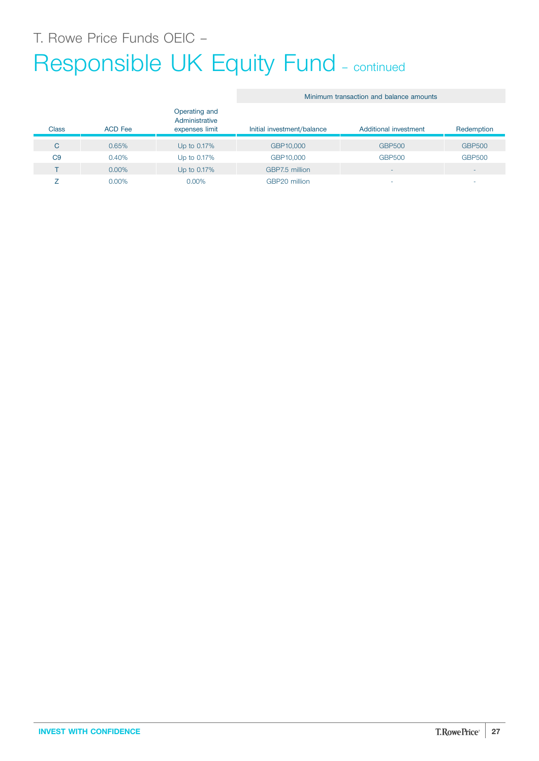## Responsible UK Equity Fund - continued

#### Class ACD Fee Operating and Administrative expenses limit Initial investment/balance Additional investment Redemption C 0.65% Up to 0.17% GBP10,000 GBP500 GBP500 C9 0.40% Up to 0.17% GBP10,000 GBP500 GBP500 T 0.00% Up to 0.17% GBP7.5 million  $Z$  0.00% 0.00% 0.00% GBP20 million  $\sigma$  -  $\sigma$  -  $\sigma$  -

Minimum transaction and balance amounts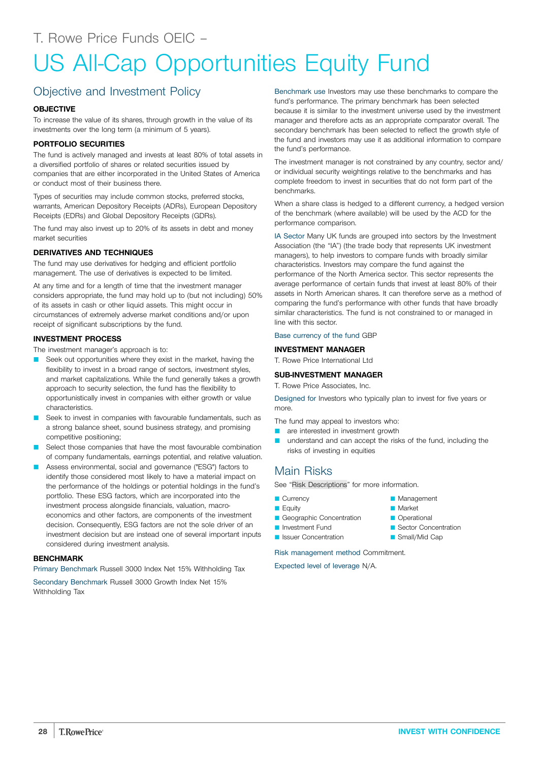## <span id="page-27-0"></span>US All-Cap Opportunities Equity Fund

### Objective and Investment Policy

#### **OBJECTIVE**

To increase the value of its shares, through growth in the value of its investments over the long term (a minimum of 5 years).

#### **PORTFOLIO SECURITIES**

The fund is actively managed and invests at least 80% of total assets in a diversified portfolio of shares or related securities issued by companies that are either incorporated in the United States of America or conduct most of their business there.

Types of securities may include common stocks, preferred stocks, warrants, American Depository Receipts (ADRs), European Depository Receipts (EDRs) and Global Depository Receipts (GDRs).

The fund may also invest up to 20% of its assets in debt and money market securities

#### **DERIVATIVES AND TECHNIQUES**

The fund may use derivatives for hedging and efficient portfolio management. The use of derivatives is expected to be limited.

At any time and for a length of time that the investment manager considers appropriate, the fund may hold up to (but not including) 50% of its assets in cash or other liquid assets. This might occur in circumstances of extremely adverse market conditions and/or upon receipt of significant subscriptions by the fund.

#### **INVESTMENT PROCESS**

The investment manager's approach is to:

- Seek out opportunities where they exist in the market, having the flexibility to invest in a broad range of sectors, investment styles, and market capitalizations. While the fund generally takes a growth approach to security selection, the fund has the flexibility to opportunistically invest in companies with either growth or value characteristics.
- Seek to invest in companies with favourable fundamentals, such as a strong balance sheet, sound business strategy, and promising competitive positioning;
- Select those companies that have the most favourable combination of company fundamentals, earnings potential, and relative valuation.
- Assess environmental, social and governance ("ESG") factors to identify those considered most likely to have a material impact on the performance of the holdings or potential holdings in the fund's portfolio. These ESG factors, which are incorporated into the investment process alongside financials, valuation, macroeconomics and other factors, are components of the investment decision. Consequently, ESG factors are not the sole driver of an investment decision but are instead one of several important inputs considered during investment analysis.

#### **BENCHMARK**

Primary Benchmark Russell 3000 Index Net 15% Withholding Tax

Secondary Benchmark Russell 3000 Growth Index Net 15% Withholding Tax

Benchmark use Investors may use these benchmarks to compare the fund's performance. The primary benchmark has been selected because it is similar to the investment universe used by the investment manager and therefore acts as an appropriate comparator overall. The secondary benchmark has been selected to reflect the growth style of the fund and investors may use it as additional information to compare the fund's performance.

The investment manager is not constrained by any country, sector and/ or individual security weightings relative to the benchmarks and has complete freedom to invest in securities that do not form part of the benchmarks.

When a share class is hedged to a different currency, a hedged version of the benchmark (where available) will be used by the ACD for the performance comparison.

IA Sector Many UK funds are grouped into sectors by the Investment Association (the "IA") (the trade body that represents UK investment managers), to help investors to compare funds with broadly similar characteristics. Investors may compare the fund against the performance of the North America sector. This sector represents the average performance of certain funds that invest at least 80% of their assets in North American shares. It can therefore serve as a method of comparing the fund's performance with other funds that have broadly similar characteristics. The fund is not constrained to or managed in line with this sector.

#### Base currency of the fund GBP

#### **INVESTMENT MANAGER**

T. Rowe Price International Ltd

#### **SUB-INVESTMENT MANAGER**

T. Rowe Price Associates, Inc.

Designed for Investors who typically plan to invest for five years or more.

The fund may appeal to investors who:

- **Q** are interested in investment growth
- understand and can accept the risks of the fund, including the risks of investing in equities

### Main Risks

See "Risk [Descriptions"](#page-39-0) for more information.

- Currency
- **E**quity
- Geographic Concentration
- Investment Fund
- **D** Issuer Concentration

Risk management method Commitment.

- **Management Market**
- **Operational**
- 
- Sector Concentration Small/Mid Cap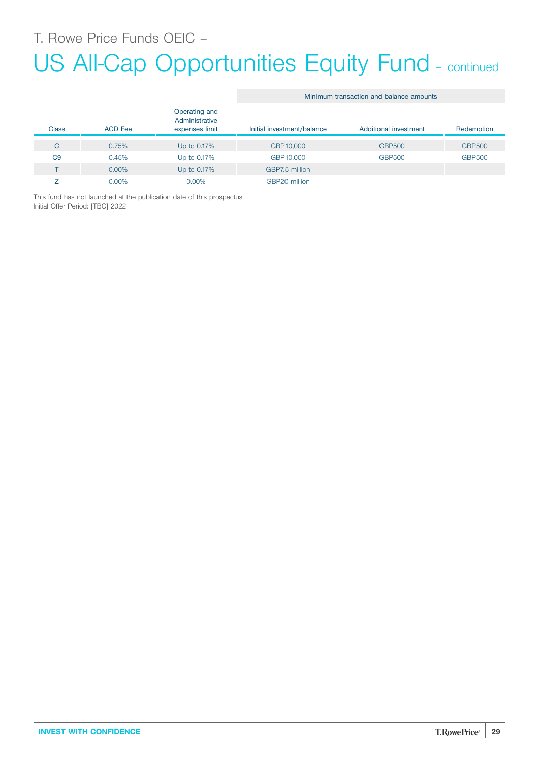T. Rowe Price Funds OEIC –

## US All-Cap Opportunities Equity Fund - continued

Minimum transaction and balance amounts

|                |                |                                                   |                            | Minimum transaction and palance amounts |                          |
|----------------|----------------|---------------------------------------------------|----------------------------|-----------------------------------------|--------------------------|
| <b>Class</b>   | <b>ACD</b> Fee | Operating and<br>Administrative<br>expenses limit | Initial investment/balance | Additional investment                   | Redemption               |
| C              | 0.75%          | Up to 0.17%                                       | GBP10,000                  | <b>GBP500</b>                           | <b>GBP500</b>            |
| C <sub>9</sub> | 0.45%          | Up to 0.17%                                       | GBP10,000                  | <b>GBP500</b>                           | <b>GBP500</b>            |
|                | $0.00\%$       | Up to 0.17%                                       | GBP7.5 million             | -                                       | $\overline{\phantom{a}}$ |
|                | $0.00\%$       | $0.00\%$                                          | GBP20 million              |                                         | ۰                        |

This fund has not launched at the publication date of this prospectus. Initial Offer Period: [TBC] 2022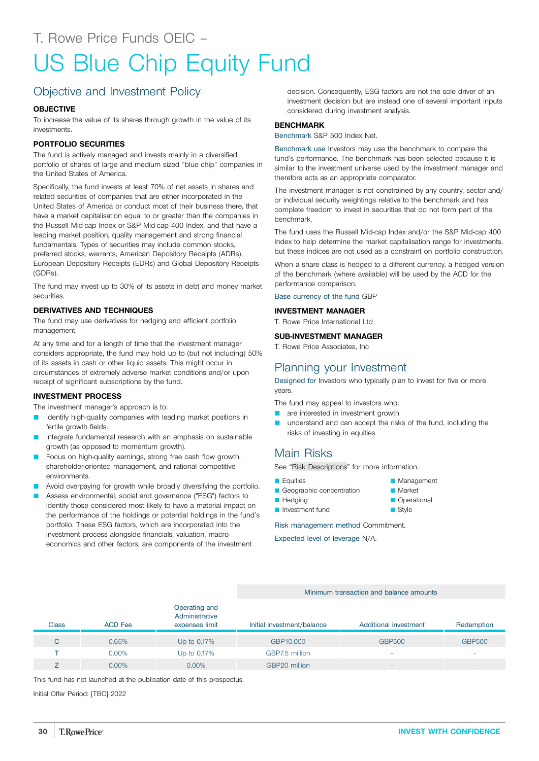# <span id="page-29-0"></span>US Blue Chip Equity Fund

## Objective and Investment Policy

#### **OBJECTIVE**

To increase the value of its shares through growth in the value of its investments.

#### **PORTFOLIO SECURITIES**

The fund is actively managed and invests mainly in a diversified portfolio of shares of large and medium sized "blue chip" companies in the United States of America.

Specifically, the fund invests at least 70% of net assets in shares and related securities of companies that are either incorporated in the United States of America or conduct most of their business there, that have a market capitalisation equal to or greater than the companies in the Russell Mid-cap Index or S&P Mid-cap 400 Index, and that have a leading market position, quality management and strong financial fundamentals. Types of securities may include common stocks, preferred stocks, warrants, American Depository Receipts (ADRs), European Depository Receipts (EDRs) and Global Depository Receipts (GDRs).

The fund may invest up to 30% of its assets in debt and money market securities.

#### **DERIVATIVES AND TECHNIQUES**

The fund may use derivatives for hedging and efficient portfolio management.

At any time and for a length of time that the investment manager considers appropriate, the fund may hold up to (but not including) 50% of its assets in cash or other liquid assets. This might occur in circumstances of extremely adverse market conditions and/or upon receipt of significant subscriptions by the fund.

#### **INVESTMENT PROCESS**

The investment manager's approach is to:

- Identify high-quality companies with leading market positions in fertile growth fields.
- Integrate fundamental research with an emphasis on sustainable growth (as opposed to momentum growth).
- Focus on high-quality earnings, strong free cash flow growth, shareholder-oriented management, and rational competitive environments.
- Avoid overpaying for growth while broadly diversifying the portfolio.
- Assess environmental, social and governance ("ESG") factors to identify those considered most likely to have a material impact on the performance of the holdings or potential holdings in the fund's portfolio. These ESG factors, which are incorporated into the investment process alongside financials, valuation, macroeconomics and other factors, are components of the investment

decision. Consequently, ESG factors are not the sole driver of an investment decision but are instead one of several important inputs considered during investment analysis.

#### **BENCHMARK**

Benchmark S&P 500 Index Net.

Benchmark use Investors may use the benchmark to compare the fund's performance. The benchmark has been selected because it is similar to the investment universe used by the investment manager and therefore acts as an appropriate comparator.

The investment manager is not constrained by any country, sector and/ or individual security weightings relative to the benchmark and has complete freedom to invest in securities that do not form part of the benchmark.

The fund uses the Russell Mid-cap Index and/or the S&P Mid-cap 400 Index to help determine the market capitalisation range for investments, but these indices are not used as a constraint on portfolio construction.

When a share class is hedged to a different currency, a hedged version of the benchmark (where available) will be used by the ACD for the performance comparison.

Base currency of the fund GBP

#### **INVESTMENT MANAGER**

T. Rowe Price International Ltd

#### **SUB-INVESTMENT MANAGER**

T. Rowe Price Associates, Inc

### Planning your Investment

Designed for Investors who typically plan to invest for five or more years.

The fund may appeal to investors who:

- **Q** are interested in investment growth
- **Q** understand and can accept the risks of the fund, including the risks of investing in equities

### Main Risks

See "Risk [Descriptions"](#page-39-0) for more information.

- **D** Equities
- Geographic concentration
- **D** Hedging
- **D** Investment fund

Risk management method Commitment.

Expected level of leverage N/A.

#### Minimum transaction and balance amounts

|       |                | Operating and<br>Administrative |                            |                       |                          |
|-------|----------------|---------------------------------|----------------------------|-----------------------|--------------------------|
| Class | <b>ACD Fee</b> | expenses limit                  | Initial investment/balance | Additional investment | Redemption               |
| C     | 0.65%          | Up to 0.17%                     | GBP10,000                  | <b>GBP500</b>         | <b>GBP500</b>            |
|       | $0.00\%$       | Up to 0.17%                     | GBP7.5 million             | ۰                     | $\overline{\phantom{a}}$ |
|       | $0.00\%$       | $0.00\%$                        | GBP20 million              | -                     | $\overline{\phantom{a}}$ |

This fund has not launched at the publication date of this prospectus.

Initial Offer Period: [TBC] 2022

- **Management Market**
- **Operational**
- Style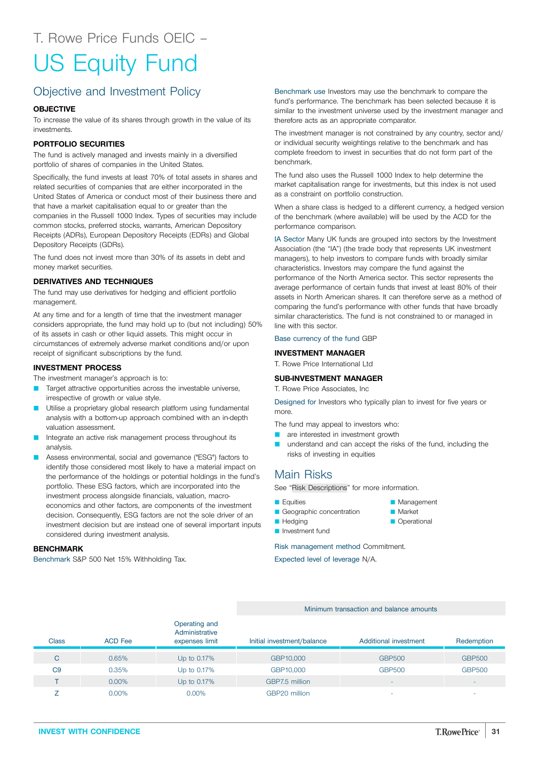# <span id="page-30-0"></span>US Equity Fund

## Objective and Investment Policy

#### **OBJECTIVE**

To increase the value of its shares through growth in the value of its investments.

#### **PORTFOLIO SECURITIES**

The fund is actively managed and invests mainly in a diversified portfolio of shares of companies in the United States.

Specifically, the fund invests at least 70% of total assets in shares and related securities of companies that are either incorporated in the United States of America or conduct most of their business there and that have a market capitalisation equal to or greater than the companies in the Russell 1000 Index. Types of securities may include common stocks, preferred stocks, warrants, American Depository Receipts (ADRs), European Depository Receipts (EDRs) and Global Depository Receipts (GDRs).

The fund does not invest more than 30% of its assets in debt and money market securities.

#### **DERIVATIVES AND TECHNIQUES**

The fund may use derivatives for hedging and efficient portfolio management.

At any time and for a length of time that the investment manager considers appropriate, the fund may hold up to (but not including) 50% of its assets in cash or other liquid assets. This might occur in circumstances of extremely adverse market conditions and/or upon receipt of significant subscriptions by the fund.

#### **INVESTMENT PROCESS**

The investment manager's approach is to:

- Target attractive opportunities across the investable universe, irrespective of growth or value style.
- Utilise a proprietary global research platform using fundamental analysis with a bottom-up approach combined with an in-depth valuation assessment.
- Integrate an active risk management process throughout its analysis.
- Assess environmental, social and governance ("ESG") factors to identify those considered most likely to have a material impact on the performance of the holdings or potential holdings in the fund's portfolio. These ESG factors, which are incorporated into the investment process alongside financials, valuation, macroeconomics and other factors, are components of the investment decision. Consequently, ESG factors are not the sole driver of an investment decision but are instead one of several important inputs considered during investment analysis.

#### **BENCHMARK**

Benchmark S&P 500 Net 15% Withholding Tax.

Benchmark use Investors may use the benchmark to compare the fund's performance. The benchmark has been selected because it is similar to the investment universe used by the investment manager and therefore acts as an appropriate comparator.

The investment manager is not constrained by any country, sector and/ or individual security weightings relative to the benchmark and has complete freedom to invest in securities that do not form part of the benchmark.

The fund also uses the Russell 1000 Index to help determine the market capitalisation range for investments, but this index is not used as a constraint on portfolio construction.

When a share class is hedged to a different currency, a hedged version of the benchmark (where available) will be used by the ACD for the performance comparison.

IA Sector Many UK funds are grouped into sectors by the Investment Association (the "IA") (the trade body that represents UK investment managers), to help investors to compare funds with broadly similar characteristics. Investors may compare the fund against the performance of the North America sector. This sector represents the average performance of certain funds that invest at least 80% of their assets in North American shares. It can therefore serve as a method of comparing the fund's performance with other funds that have broadly similar characteristics. The fund is not constrained to or managed in line with this sector.

#### Base currency of the fund GBP

#### **INVESTMENT MANAGER**

T. Rowe Price International Ltd

#### **SUB-INVESTMENT MANAGER**

T. Rowe Price Associates, Inc

Designed for Investors who typically plan to invest for five years or more.

The fund may appeal to investors who:

- **Q** are interested in investment growth
- understand and can accept the risks of the fund, including the risks of investing in equities

**Management** Q Market **Operational** 

### Main Risks

See "Risk [Descriptions"](#page-39-0) for more information.

**E** Equities

**Hedging** 

- Geographic concentration
	-
- **D** Investment fund

Risk management method Commitment.

Expected level of leverage N/A.

#### Minimum transaction and balance amounts

| Class          | <b>ACD Fee</b> | Operating and<br>Administrative<br>expenses limit | Initial investment/balance | Additional investment | Redemption               |
|----------------|----------------|---------------------------------------------------|----------------------------|-----------------------|--------------------------|
| C              | 0.65%          | Up to 0.17%                                       | GBP10,000                  | <b>GBP500</b>         | <b>GBP500</b>            |
| C <sub>9</sub> | 0.35%          | Up to 0.17%                                       | GBP10,000                  | <b>GBP500</b>         | <b>GBP500</b>            |
|                | $0.00\%$       | Up to 0.17%                                       | GBP7.5 million             | -                     | $\overline{\phantom{a}}$ |
|                | $0.00\%$       | $0.00\%$                                          | GBP20 million              | -                     |                          |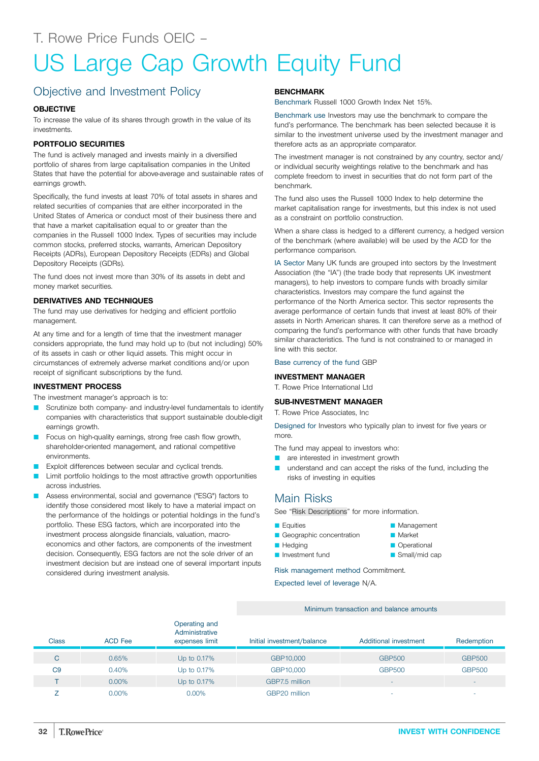## <span id="page-31-0"></span>US Large Cap Growth Equity Fund

## Objective and Investment Policy

#### **OBJECTIVE**

To increase the value of its shares through growth in the value of its investments.

#### **PORTFOLIO SECURITIES**

The fund is actively managed and invests mainly in a diversified portfolio of shares from large capitalisation companies in the United States that have the potential for above-average and sustainable rates of earnings growth.

Specifically, the fund invests at least 70% of total assets in shares and related securities of companies that are either incorporated in the United States of America or conduct most of their business there and that have a market capitalisation equal to or greater than the companies in the Russell 1000 Index. Types of securities may include common stocks, preferred stocks, warrants, American Depository Receipts (ADRs), European Depository Receipts (EDRs) and Global Depository Receipts (GDRs).

The fund does not invest more than 30% of its assets in debt and money market securities.

#### **DERIVATIVES AND TECHNIQUES**

The fund may use derivatives for hedging and efficient portfolio management.

At any time and for a length of time that the investment manager considers appropriate, the fund may hold up to (but not including) 50% of its assets in cash or other liquid assets. This might occur in circumstances of extremely adverse market conditions and/or upon receipt of significant subscriptions by the fund.

#### **INVESTMENT PROCESS**

The investment manager's approach is to:

- Scrutinize both company- and industry-level fundamentals to identify companies with characteristics that support sustainable double-digit earnings growth.
- Focus on high-quality earnings, strong free cash flow growth, shareholder-oriented management, and rational competitive environments.
- Exploit differences between secular and cyclical trends.
- Limit portfolio holdings to the most attractive growth opportunities across industries.
- Assess environmental, social and governance ("ESG") factors to identify those considered most likely to have a material impact on the performance of the holdings or potential holdings in the fund's portfolio. These ESG factors, which are incorporated into the investment process alongside financials, valuation, macroeconomics and other factors, are components of the investment decision. Consequently, ESG factors are not the sole driver of an investment decision but are instead one of several important inputs considered during investment analysis.

#### **BENCHMARK**

Benchmark Russell 1000 Growth Index Net 15%.

Benchmark use Investors may use the benchmark to compare the fund's performance. The benchmark has been selected because it is similar to the investment universe used by the investment manager and therefore acts as an appropriate comparator.

The investment manager is not constrained by any country, sector and/ or individual security weightings relative to the benchmark and has complete freedom to invest in securities that do not form part of the benchmark.

The fund also uses the Russell 1000 Index to help determine the market capitalisation range for investments, but this index is not used as a constraint on portfolio construction.

When a share class is hedged to a different currency, a hedged version of the benchmark (where available) will be used by the ACD for the performance comparison.

IA Sector Many UK funds are grouped into sectors by the Investment Association (the "IA") (the trade body that represents UK investment managers), to help investors to compare funds with broadly similar characteristics. Investors may compare the fund against the performance of the North America sector. This sector represents the average performance of certain funds that invest at least 80% of their assets in North American shares. It can therefore serve as a method of comparing the fund's performance with other funds that have broadly similar characteristics. The fund is not constrained to or managed in line with this sector.

#### Base currency of the fund GBP

#### **INVESTMENT MANAGER**

T. Rowe Price International Ltd

#### **SUB-INVESTMENT MANAGER**

T. Rowe Price Associates, Inc

Designed for Investors who typically plan to invest for five years or more.

The fund may appeal to investors who:

- **Q** are interested in investment growth
- understand and can accept the risks of the fund, including the risks of investing in equities

**Management Market Operational** Small/mid cap

### Main Risks

See "Risk [Descriptions"](#page-39-0) for more information.

- **E**quities
- Geographic concentration
- **Hedging**
- **D** Investment fund

Risk management method Commitment.

Expected level of leverage N/A.

#### Minimum transaction and balance amounts Class ACD Fee Operating and **Administrative** expenses limit Initial investment/balance Additional investment Redemption C 0.65% Up to 0.17% GBP10,000 GBP500 GBP500 C9 0.40% Up to 0.17% GBP10,000 GBP500 GBP500  $\blacksquare$  T  $\blacksquare$   $\blacksquare$   $\blacksquare$   $\blacksquare$   $\blacksquare$   $\blacksquare$   $\blacksquare$   $\blacksquare$   $\blacksquare$   $\blacksquare$   $\blacksquare$   $\blacksquare$   $\blacksquare$   $\blacksquare$   $\blacksquare$   $\blacksquare$   $\blacksquare$   $\blacksquare$   $\blacksquare$   $\blacksquare$   $\blacksquare$   $\blacksquare$   $\blacksquare$   $\blacksquare$   $\blacksquare$   $\blacksquare$   $\blacksquare$   $\blacksquare$   $\blacksquare$   $\blacksquare$   $\$  $Z$  0.00% 0.00% 0.00% GBP20 million  $\sigma$  -  $\sigma$  -  $\sigma$  -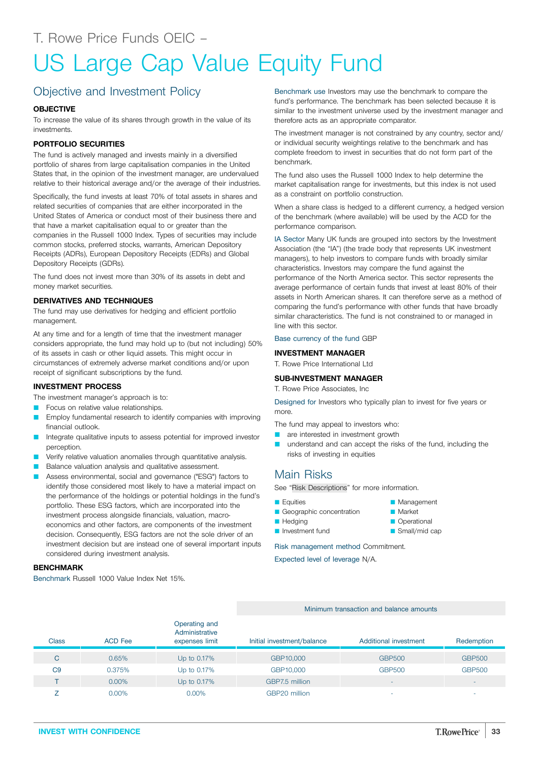## <span id="page-32-0"></span>US Large Cap Value Equity Fund

## Objective and Investment Policy

#### **OBJECTIVE**

To increase the value of its shares through growth in the value of its investments.

#### **PORTFOLIO SECURITIES**

The fund is actively managed and invests mainly in a diversified portfolio of shares from large capitalisation companies in the United States that, in the opinion of the investment manager, are undervalued relative to their historical average and/or the average of their industries.

Specifically, the fund invests at least 70% of total assets in shares and related securities of companies that are either incorporated in the United States of America or conduct most of their business there and that have a market capitalisation equal to or greater than the companies in the Russell 1000 Index. Types of securities may include common stocks, preferred stocks, warrants, American Depository Receipts (ADRs), European Depository Receipts (EDRs) and Global Depository Receipts (GDRs).

The fund does not invest more than 30% of its assets in debt and money market securities.

#### **DERIVATIVES AND TECHNIQUES**

The fund may use derivatives for hedging and efficient portfolio management.

At any time and for a length of time that the investment manager considers appropriate, the fund may hold up to (but not including) 50% of its assets in cash or other liquid assets. This might occur in circumstances of extremely adverse market conditions and/or upon receipt of significant subscriptions by the fund.

#### **INVESTMENT PROCESS**

The investment manager's approach is to:

- Focus on relative value relationships.
- Employ fundamental research to identify companies with improving financial outlook.
- Integrate qualitative inputs to assess potential for improved investor perception.
- Verify relative valuation anomalies through quantitative analysis.
- Balance valuation analysis and qualitative assessment.
- Assess environmental, social and governance ("ESG") factors to identify those considered most likely to have a material impact on the performance of the holdings or potential holdings in the fund's portfolio. These ESG factors, which are incorporated into the investment process alongside financials, valuation, macroeconomics and other factors, are components of the investment decision. Consequently, ESG factors are not the sole driver of an investment decision but are instead one of several important inputs considered during investment analysis.

#### **BENCHMARK**

Benchmark Russell 1000 Value Index Net 15%.

Benchmark use Investors may use the benchmark to compare the fund's performance. The benchmark has been selected because it is similar to the investment universe used by the investment manager and therefore acts as an appropriate comparator.

The investment manager is not constrained by any country, sector and/ or individual security weightings relative to the benchmark and has complete freedom to invest in securities that do not form part of the benchmark.

The fund also uses the Russell 1000 Index to help determine the market capitalisation range for investments, but this index is not used as a constraint on portfolio construction.

When a share class is hedged to a different currency, a hedged version of the benchmark (where available) will be used by the ACD for the performance comparison.

IA Sector Many UK funds are grouped into sectors by the Investment Association (the "IA") (the trade body that represents UK investment managers), to help investors to compare funds with broadly similar characteristics. Investors may compare the fund against the performance of the North America sector. This sector represents the average performance of certain funds that invest at least 80% of their assets in North American shares. It can therefore serve as a method of comparing the fund's performance with other funds that have broadly similar characteristics. The fund is not constrained to or managed in line with this sector.

#### Base currency of the fund GBP

#### **INVESTMENT MANAGER**

T. Rowe Price International Ltd

#### **SUB-INVESTMENT MANAGER**

T. Rowe Price Associates, Inc

Designed for Investors who typically plan to invest for five years or more.

The fund may appeal to investors who:

- **Q** are interested in investment growth
- understand and can accept the risks of the fund, including the risks of investing in equities

**Management** Market **C** Operational  $\blacksquare$  Small/mid cap

### Main Risks

See "Risk [Descriptions"](#page-39-0) for more information.

- **E** Equities
- Geographic concentration
- **Hedging**
- **D** Investment fund

Risk management method Commitment.

|                |                |                                                   | Minimum transaction and balance amounts |                          |                          |
|----------------|----------------|---------------------------------------------------|-----------------------------------------|--------------------------|--------------------------|
| <b>Class</b>   | <b>ACD</b> Fee | Operating and<br>Administrative<br>expenses limit | Initial investment/balance              | Additional investment    | Redemption               |
| C              | 0.65%          | Up to 0.17%                                       | GBP10,000                               | <b>GBP500</b>            | <b>GBP500</b>            |
| C <sub>9</sub> | 0.375%         | Up to 0.17%                                       | GBP10,000                               | <b>GBP500</b>            | <b>GBP500</b>            |
|                | $0.00\%$       | Up to $0.17\%$                                    | GBP7.5 million                          | $\overline{\phantom{a}}$ |                          |
|                | $0.00\%$       | 0.00%                                             | GBP20 million                           | ۰                        | $\overline{\phantom{a}}$ |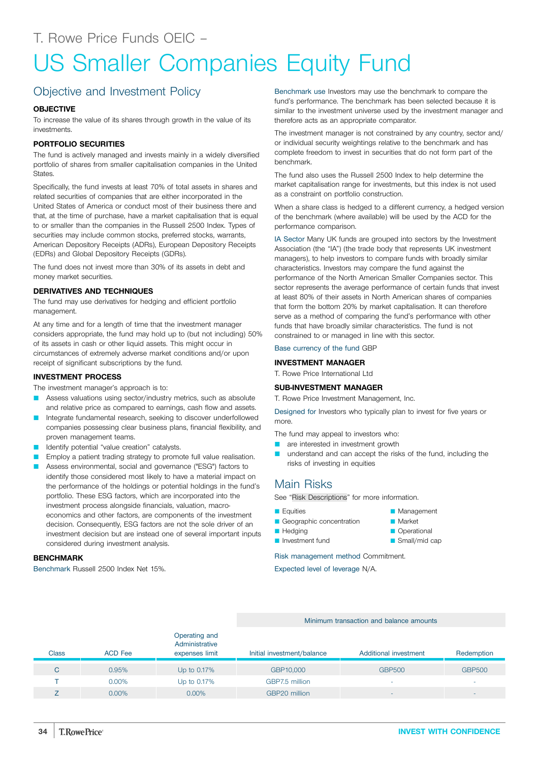## <span id="page-33-0"></span>US Smaller Companies Equity Fund

## Objective and Investment Policy

#### **OBJECTIVE**

To increase the value of its shares through growth in the value of its investments.

#### **PORTFOLIO SECURITIES**

The fund is actively managed and invests mainly in a widely diversified portfolio of shares from smaller capitalisation companies in the United States.

Specifically, the fund invests at least 70% of total assets in shares and related securities of companies that are either incorporated in the United States of America or conduct most of their business there and that, at the time of purchase, have a market capitalisation that is equal to or smaller than the companies in the Russell 2500 Index. Types of securities may include common stocks, preferred stocks, warrants, American Depository Receipts (ADRs), European Depository Receipts (EDRs) and Global Depository Receipts (GDRs).

The fund does not invest more than 30% of its assets in debt and money market securities.

#### **DERIVATIVES AND TECHNIQUES**

The fund may use derivatives for hedging and efficient portfolio management.

At any time and for a length of time that the investment manager considers appropriate, the fund may hold up to (but not including) 50% of its assets in cash or other liquid assets. This might occur in circumstances of extremely adverse market conditions and/or upon receipt of significant subscriptions by the fund.

#### **INVESTMENT PROCESS**

The investment manager's approach is to:

- Assess valuations using sector/industry metrics, such as absolute and relative price as compared to earnings, cash flow and assets.
- Integrate fundamental research, seeking to discover underfollowed companies possessing clear business plans, financial flexibility, and proven management teams.
- Identify potential "value creation" catalysts.
- Employ a patient trading strategy to promote full value realisation.
- Assess environmental, social and governance ("ESG") factors to identify those considered most likely to have a material impact on the performance of the holdings or potential holdings in the fund's portfolio. These ESG factors, which are incorporated into the investment process alongside financials, valuation, macroeconomics and other factors, are components of the investment decision. Consequently, ESG factors are not the sole driver of an investment decision but are instead one of several important inputs considered during investment analysis.

#### **BENCHMARK**

Benchmark Russell 2500 Index Net 15%.

Benchmark use Investors may use the benchmark to compare the fund's performance. The benchmark has been selected because it is similar to the investment universe used by the investment manager and therefore acts as an appropriate comparator.

The investment manager is not constrained by any country, sector and/ or individual security weightings relative to the benchmark and has complete freedom to invest in securities that do not form part of the benchmark.

The fund also uses the Russell 2500 Index to help determine the market capitalisation range for investments, but this index is not used as a constraint on portfolio construction.

When a share class is hedged to a different currency, a hedged version of the benchmark (where available) will be used by the ACD for the performance comparison.

IA Sector Many UK funds are grouped into sectors by the Investment Association (the "IA") (the trade body that represents UK investment managers), to help investors to compare funds with broadly similar characteristics. Investors may compare the fund against the performance of the North American Smaller Companies sector. This sector represents the average performance of certain funds that invest at least 80% of their assets in North American shares of companies that form the bottom 20% by market capitalisation. It can therefore serve as a method of comparing the fund's performance with other funds that have broadly similar characteristics. The fund is not constrained to or managed in line with this sector.

Base currency of the fund GBP

#### **INVESTMENT MANAGER**

T. Rowe Price International Ltd

#### **SUB-INVESTMENT MANAGER**

T. Rowe Price Investment Management, Inc.

Designed for Investors who typically plan to invest for five years or more.

The fund may appeal to investors who:

- **Q** are interested in investment growth
- **Q** understand and can accept the risks of the fund, including the risks of investing in equities

### Main Risks

See "Risk [Descriptions"](#page-39-0) for more information.

- $\blacksquare$  Equities
- Geographic concentration
- **H**edging
- **D** Investment fund

Risk management method Commitment.

Minimum transaction and balance amounts

| Management |  |
|------------|--|
|            |  |

- **Market C** Operational
- $\blacksquare$  Small/mid cap

| <b>Class</b> | <b>ACD Fee</b> | Operating and<br>Administrative<br>expenses limit | Initial investment/balance | Additional investment    | Redemption               |
|--------------|----------------|---------------------------------------------------|----------------------------|--------------------------|--------------------------|
| C.           | 0.95%          | Up to $0.17\%$                                    | GBP10,000                  | <b>GBP500</b>            | <b>GBP500</b>            |
|              | $0.00\%$       | Up to 0.17%                                       | GBP7.5 million             |                          |                          |
|              | $0.00\%$       | $0.00\%$                                          | GBP20 million              | $\overline{\phantom{0}}$ | $\overline{\phantom{a}}$ |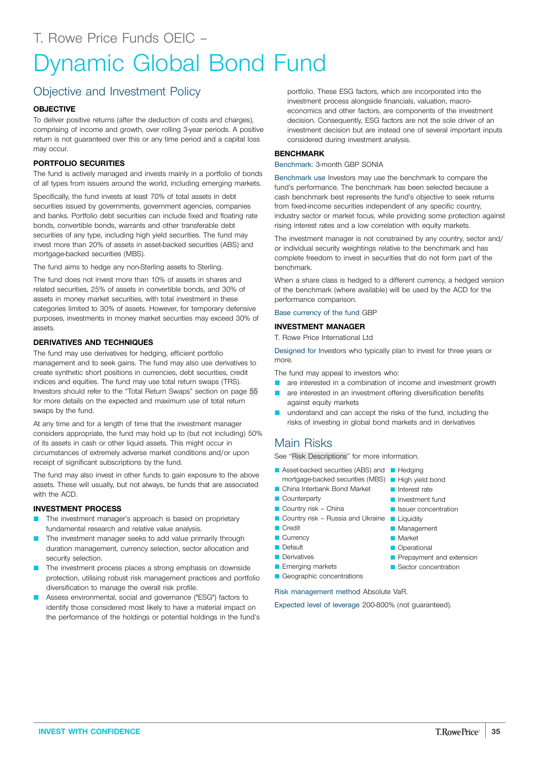## <span id="page-34-0"></span>Objective and Investment Policy

#### **OBJECTIVE**

To deliver positive returns (after the deduction of costs and charges), comprising of income and growth, over rolling 3-year periods. A positive return is not guaranteed over this or any time period and a capital loss may occur.

#### **PORTFOLIO SECURITIES**

The fund is actively managed and invests mainly in a portfolio of bonds of all types from issuers around the world, including emerging markets.

Specifically, the fund invests at least 70% of total assets in debt securities issued by governments, government agencies, companies and banks. Portfolio debt securities can include fixed and floating rate bonds, convertible bonds, warrants and other transferable debt securities of any type, including high yield securities. The fund may invest more than 20% of assets in asset-backed securities (ABS) and mortgage-backed securities (MBS).

The fund aims to hedge any non-Sterling assets to Sterling.

The fund does not invest more than 10% of assets in shares and related securities, 25% of assets in convertible bonds, and 30% of assets in money market securities, with total investment in these categories limited to 30% of assets. However, for temporary defensive purposes, investments in money market securities may exceed 30% of assets.

#### **DERIVATIVES AND TECHNIQUES**

The fund may use derivatives for hedging, efficient portfolio management and to seek gains. The fund may also use derivatives to create synthetic short positions in currencies, debt securities, credit indices and equities. The fund may use total return swaps (TRS). Investors should refer to the "Total Return Swaps" section on page [55](#page-54-0) for more details on the expected and maximum use of total return swaps by the fund.

At any time and for a length of time that the investment manager considers appropriate, the fund may hold up to (but not including) 50% of its assets in cash or other liquid assets. This might occur in circumstances of extremely adverse market conditions and/or upon receipt of significant subscriptions by the fund.

The fund may also invest in other funds to gain exposure to the above assets. These will usually, but not always, be funds that are associated with the ACD.

#### **INVESTMENT PROCESS**

- **D** The investment manager's approach is based on proprietary fundamental research and relative value analysis.
- The investment manager seeks to add value primarily through duration management, currency selection, sector allocation and security selection.
- The investment process places a strong emphasis on downside protection, utilising robust risk management practices and portfolio diversification to manage the overall risk profile.
- Assess environmental, social and governance ("ESG") factors to identify those considered most likely to have a material impact on the performance of the holdings or potential holdings in the fund's

portfolio. These ESG factors, which are incorporated into the investment process alongside financials, valuation, macroeconomics and other factors, are components of the investment decision. Consequently, ESG factors are not the sole driver of an investment decision but are instead one of several important inputs considered during investment analysis.

#### **BENCHMARK**

Benchmark: 3-month GBP SONIA

Benchmark use Investors may use the benchmark to compare the fund's performance. The benchmark has been selected because a cash benchmark best represents the fund's objective to seek returns from fixed-income securities independent of any specific country, industry sector or market focus, while providing some protection against rising interest rates and a low correlation with equity markets.

The investment manager is not constrained by any country, sector and/ or individual security weightings relative to the benchmark and has complete freedom to invest in securities that do not form part of the benchmark.

When a share class is hedged to a different currency, a hedged version of the benchmark (where available) will be used by the ACD for the performance comparison.

#### Base currency of the fund GBP

#### **INVESTMENT MANAGER**

T. Rowe Price International Ltd

Designed for Investors who typically plan to invest for three years or more.

The fund may appeal to investors who:

- **Q** are interested in a combination of income and investment growth
- **Q** are interested in an investment offering diversification benefits against equity markets
- **Q** understand and can accept the risks of the fund, including the risks of investing in global bond markets and in derivatives

**D** Investment fund **D** Issuer concentration

**Management Market C** Operational

Prepayment and extension Sector concentration

#### Main Risks

See "Risk [Descriptions"](#page-39-0) for more information.

- Asset-backed securities (ABS) and Hedging mortgage-backed securities (MBS) **High yield bond D** Interest rate
- China Interbank Bond Market
- **Counterparty**
- $\blacksquare$  Country risk China
- Country risk Russia and Ukraine Liquidity
- **Credit**
- Currency
- **Default**
- **Derivatives**
- **Emerging markets**
- Geographic concentrations

Risk management method Absolute VaR.

Expected level of leverage 200-800% (not guaranteed).

**INVEST WITH CONFIDENCE 35**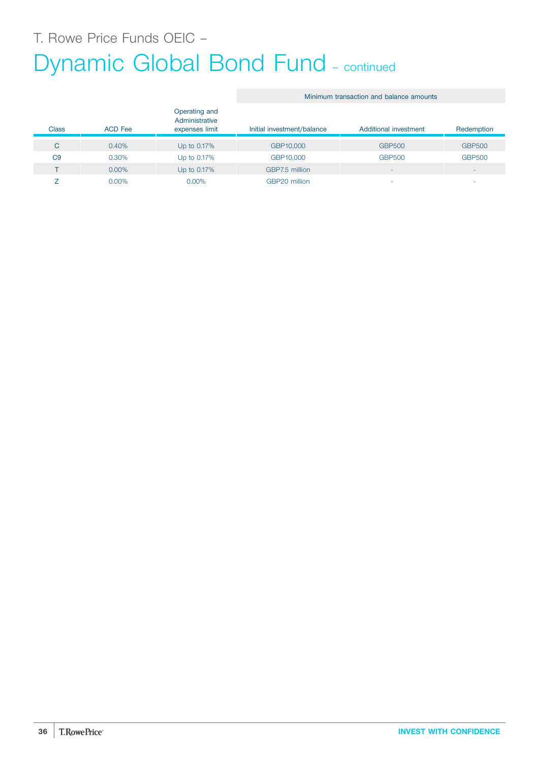# Dynamic Global Bond Fund - continued

|                |                |                                                   | Minimum transaction and balance amounts |                          |                          |
|----------------|----------------|---------------------------------------------------|-----------------------------------------|--------------------------|--------------------------|
| <b>Class</b>   | <b>ACD Fee</b> | Operating and<br>Administrative<br>expenses limit | Initial investment/balance              | Additional investment    | Redemption               |
| C              | 0.40%          | Up to 0.17%                                       | GBP10,000                               | <b>GBP500</b>            | <b>GBP500</b>            |
| C <sub>9</sub> | 0.30%          | Up to 0.17%                                       | GBP10,000                               | <b>GBP500</b>            | <b>GBP500</b>            |
|                | $0.00\%$       | Up to 0.17%                                       | GBP7.5 million                          | $\overline{\phantom{a}}$ | $\overline{\phantom{a}}$ |
|                | $0.00\%$       | 0.00%                                             | GBP20 million                           | ۰                        | ۰                        |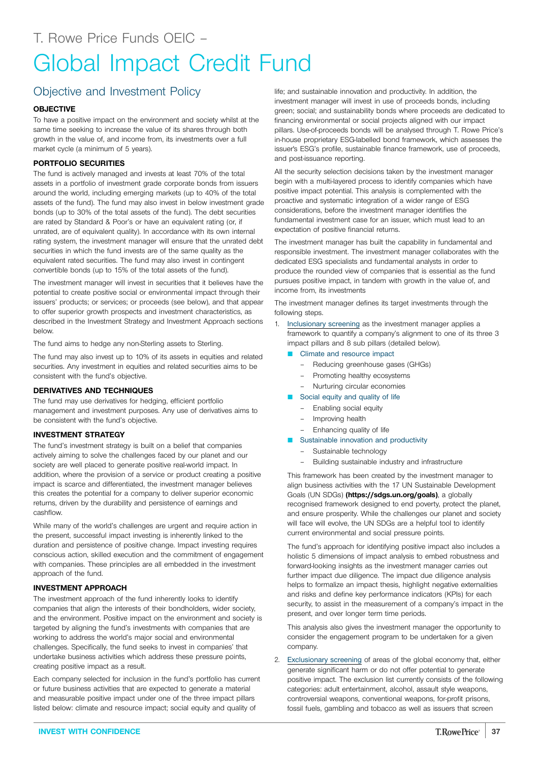# Objective and Investment Policy

### **OBJECTIVE**

To have a positive impact on the environment and society whilst at the same time seeking to increase the value of its shares through both growth in the value of, and income from, its investments over a full market cycle (a minimum of 5 years).

### **PORTFOLIO SECURITIES**

The fund is actively managed and invests at least 70% of the total assets in a portfolio of investment grade corporate bonds from issuers around the world, including emerging markets (up to 40% of the total assets of the fund). The fund may also invest in below investment grade bonds (up to 30% of the total assets of the fund). The debt securities are rated by Standard & Poor's or have an equivalent rating (or, if unrated, are of equivalent quality). In accordance with its own internal rating system, the investment manager will ensure that the unrated debt securities in which the fund invests are of the same quality as the equivalent rated securities. The fund may also invest in contingent convertible bonds (up to 15% of the total assets of the fund).

The investment manager will invest in securities that it believes have the potential to create positive social or environmental impact through their issuers' products; or services; or proceeds (see below), and that appear to offer superior growth prospects and investment characteristics, as described in the Investment Strategy and Investment Approach sections below.

The fund aims to hedge any non-Sterling assets to Sterling.

The fund may also invest up to 10% of its assets in equities and related securities. Any investment in equities and related securities aims to be consistent with the fund's objective.

### **DERIVATIVES AND TECHNIQUES**

The fund may use derivatives for hedging, efficient portfolio management and investment purposes. Any use of derivatives aims to be consistent with the fund's objective.

### **INVESTMENT STRATEGY**

The fund's investment strategy is built on a belief that companies actively aiming to solve the challenges faced by our planet and our society are well placed to generate positive real-world impact. In addition, where the provision of a service or product creating a positive impact is scarce and differentiated, the investment manager believes this creates the potential for a company to deliver superior economic returns, driven by the durability and persistence of earnings and cashflow.

While many of the world's challenges are urgent and require action in the present, successful impact investing is inherently linked to the duration and persistence of positive change. Impact investing requires conscious action, skilled execution and the commitment of engagement with companies. These principles are all embedded in the investment approach of the fund.

### **INVESTMENT APPROACH**

The investment approach of the fund inherently looks to identify companies that align the interests of their bondholders, wider society, and the environment. Positive impact on the environment and society is targeted by aligning the fund's investments with companies that are working to address the world's major social and environmental challenges. Specifically, the fund seeks to invest in companies' that undertake business activities which address these pressure points, creating positive impact as a result.

Each company selected for inclusion in the fund's portfolio has current or future business activities that are expected to generate a material and measurable positive impact under one of the three impact pillars listed below: climate and resource impact; social equity and quality of

life; and sustainable innovation and productivity. In addition, the investment manager will invest in use of proceeds bonds, including green; social; and sustainability bonds where proceeds are dedicated to financing environmental or social projects aligned with our impact pillars. Use-of-proceeds bonds will be analysed through T. Rowe Price's in-house proprietary ESG-labelled bond framework, which assesses the issuer's ESG's profile, sustainable finance framework, use of proceeds, and post-issuance reporting.

All the security selection decisions taken by the investment manager begin with a multi-layered process to identify companies which have positive impact potential. This analysis is complemented with the proactive and systematic integration of a wider range of ESG considerations, before the investment manager identifies the fundamental investment case for an issuer, which must lead to an expectation of positive financial returns.

The investment manager has built the capability in fundamental and responsible investment. The investment manager collaborates with the dedicated ESG specialists and fundamental analysts in order to produce the rounded view of companies that is essential as the fund pursues positive impact, in tandem with growth in the value of, and income from, its investments

The investment manager defines its target investments through the following steps.

- 1. Inclusionary screening as the investment manager applies a framework to quantify a company's alignment to one of its three 3 impact pillars and 8 sub pillars (detailed below).
	- **Climate and resource impact** 
		- Reducing greenhouse gases (GHGs)
		- Promoting healthy ecosystems
		- Nurturing circular economies
	- Social equity and quality of life
		- Enabling social equity
		- Improving health
		- Enhancing quality of life
	- **Q Sustainable innovation and productivity** 
		- Sustainable technology
		- Building sustainable industry and infrastructure

This framework has been created by the investment manager to align business activities with the 17 UN Sustainable Development Goals (UN SDGs) **[\(https://sdgs.un.org/goals\)](https://sdgs.un.org/goals)**, a globally recognised framework designed to end poverty, protect the planet, and ensure prosperity. While the challenges our planet and society will face will evolve, the UN SDGs are a helpful tool to identify current environmental and social pressure points.

The fund's approach for identifying positive impact also includes a holistic 5 dimensions of impact analysis to embed robustness and forward-looking insights as the investment manager carries out further impact due diligence. The impact due diligence analysis helps to formalize an impact thesis, highlight negative externalities and risks and define key performance indicators (KPIs) for each security, to assist in the measurement of a company's impact in the present, and over longer term time periods.

This analysis also gives the investment manager the opportunity to consider the engagement program to be undertaken for a given company.

2. Exclusionary screening of areas of the global economy that, either generate significant harm or do not offer potential to generate positive impact. The exclusion list currently consists of the following categories: adult entertainment, alcohol, assault style weapons, controversial weapons, conventional weapons, for-profit prisons, fossil fuels, gambling and tobacco as well as issuers that screen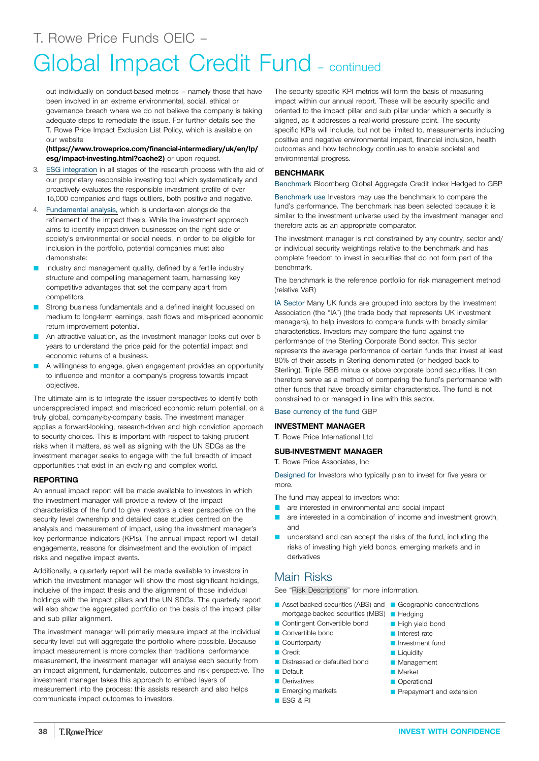# Global Impact Credit Fund - continued

out individually on conduct-based metrics – namely those that have been involved in an extreme environmental, social, ethical or governance breach where we do not believe the company is taking adequate steps to remediate the issue. For further details see the T. Rowe Price Impact Exclusion List Policy, which is available on our website

### **[\(https://www.troweprice.com/financial-intermediary/uk/en/lp/](https://www.troweprice.com/financial-intermediary/uk/en/lp/esg/impact-investing.html?cache2) [esg/impact-investing.html?cache2\)](https://www.troweprice.com/financial-intermediary/uk/en/lp/esg/impact-investing.html?cache2)** or upon request.

- 3. ESG integration in all stages of the research process with the aid of our proprietary responsible investing tool which systematically and proactively evaluates the responsible investment profile of over 15,000 companies and flags outliers, both positive and negative.
- 4. Fundamental analysis, which is undertaken alongside the refinement of the impact thesis. While the investment approach aims to identify impact-driven businesses on the right side of society's environmental or social needs, in order to be eligible for inclusion in the portfolio, potential companies must also demonstrate:
- Industry and management quality, defined by a fertile industry structure and compelling management team, harnessing key competitive advantages that set the company apart from competitors.
- Strong business fundamentals and a defined insight focussed on medium to long-term earnings, cash flows and mis-priced economic return improvement potential.
- An attractive valuation, as the investment manager looks out over 5 years to understand the price paid for the potential impact and economic returns of a business.
- A willingness to engage, given engagement provides an opportunity to influence and monitor a company's progress towards impact objectives.

The ultimate aim is to integrate the issuer perspectives to identify both underappreciated impact and mispriced economic return potential, on a truly global, company-by-company basis. The investment manager applies a forward-looking, research-driven and high conviction approach to security choices. This is important with respect to taking prudent risks when it matters, as well as aligning with the UN SDGs as the investment manager seeks to engage with the full breadth of impact opportunities that exist in an evolving and complex world.

### **REPORTING**

An annual impact report will be made available to investors in which the investment manager will provide a review of the impact characteristics of the fund to give investors a clear perspective on the security level ownership and detailed case studies centred on the analysis and measurement of impact, using the investment manager's key performance indicators (KPIs). The annual impact report will detail engagements, reasons for disinvestment and the evolution of impact risks and negative impact events.

Additionally, a quarterly report will be made available to investors in which the investment manager will show the most significant holdings, inclusive of the impact thesis and the alignment of those individual holdings with the impact pillars and the UN SDGs. The quarterly report will also show the aggregated portfolio on the basis of the impact pillar and sub pillar alignment.

The investment manager will primarily measure impact at the individual security level but will aggregate the portfolio where possible. Because impact measurement is more complex than traditional performance measurement, the investment manager will analyse each security from an impact alignment, fundamentals, outcomes and risk perspective. The investment manager takes this approach to embed layers of measurement into the process: this assists research and also helps communicate impact outcomes to investors.

The security specific KPI metrics will form the basis of measuring impact within our annual report. These will be security specific and oriented to the impact pillar and sub pillar under which a security is aligned, as it addresses a real-world pressure point. The security specific KPIs will include, but not be limited to, measurements including positive and negative environmental impact, financial inclusion, health outcomes and how technology continues to enable societal and environmental progress.

### **BENCHMARK**

Benchmark Bloomberg Global Aggregate Credit Index Hedged to GBP

Benchmark use Investors may use the benchmark to compare the fund's performance. The benchmark has been selected because it is similar to the investment universe used by the investment manager and therefore acts as an appropriate comparator.

The investment manager is not constrained by any country, sector and/ or individual security weightings relative to the benchmark and has complete freedom to invest in securities that do not form part of the benchmark.

The benchmark is the reference portfolio for risk management method (relative VaR)

IA Sector Many UK funds are grouped into sectors by the Investment Association (the "IA") (the trade body that represents UK investment managers), to help investors to compare funds with broadly similar characteristics. Investors may compare the fund against the performance of the Sterling Corporate Bond sector. This sector represents the average performance of certain funds that invest at least 80% of their assets in Sterling denominated (or hedged back to Sterling), Triple BBB minus or above corporate bond securities. It can therefore serve as a method of comparing the fund's performance with other funds that have broadly similar characteristics. The fund is not constrained to or managed in line with this sector.

### Base currency of the fund GBP

### **INVESTMENT MANAGER**

T. Rowe Price International Ltd

### **SUB-INVESTMENT MANAGER**

T. Rowe Price Associates, Inc

Designed for Investors who typically plan to invest for five years or more.

The fund may appeal to investors who:

- are interested in environmental and social impact
- **Q** are interested in a combination of income and investment growth, and
- **Q** understand and can accept the risks of the fund, including the risks of investing high yield bonds, emerging markets and in derivatives

### Main Risks

See "Risk [Descriptions"](#page-39-0) for more information.

- **Asset-backed securities (ABS) and**  Geographic concentrations mortgage-backed securities (MBS) **Hedging**
- Contingent Convertible bond
- Convertible bond
- **Counterparty**
- Credit
- Distressed or defaulted bond
- **D**efault
- **Derivatives**
- **Exerging markets**
- **B** ESG & RI
- 
- **High yield bond**
- **D** Interest rate
- **D** Investment fund
- I Liquidity
- **Management**
- **Market**
- **Operational**
- Prepayment and extension
-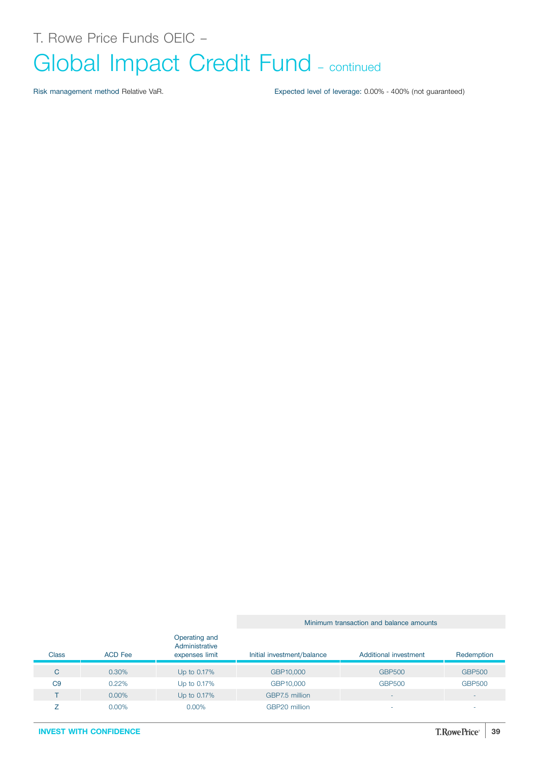Risk management method Relative VaR. Expected level of leverage: 0.00% - 400% (not guaranteed)

Minimum transaction and balance amounts

| <b>Class</b>   | <b>ACD Fee</b> | Operating and<br>Administrative<br>expenses limit | Initial investment/balance | Additional investment | Redemption    |
|----------------|----------------|---------------------------------------------------|----------------------------|-----------------------|---------------|
| C              | 0.30%          | Up to 0.17%                                       | GBP10,000                  | <b>GBP500</b>         | <b>GBP500</b> |
| C <sub>9</sub> | 0.22%          | Up to 0.17%                                       | GBP10,000                  | <b>GBP500</b>         | <b>GBP500</b> |
|                | $0.00\%$       | Up to 0.17%                                       | GBP7.5 million             | -                     | $\,$          |
|                | 0.00%          | $0.00\%$                                          | GBP20 million              | -                     | $\sim$        |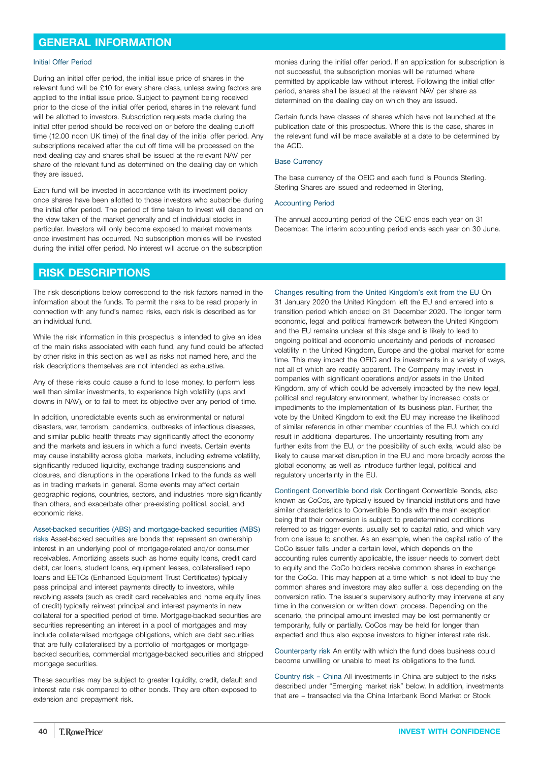### <span id="page-39-0"></span>**GENERAL INFORMATION**

#### Initial Offer Period

During an initial offer period, the initial issue price of shares in the relevant fund will be £10 for every share class, unless swing factors are applied to the initial issue price. Subject to payment being received prior to the close of the initial offer period, shares in the relevant fund will be allotted to investors. Subscription requests made during the initial offer period should be received on or before the dealing cut-off time (12.00 noon UK time) of the final day of the initial offer period. Any subscriptions received after the cut off time will be processed on the next dealing day and shares shall be issued at the relevant NAV per share of the relevant fund as determined on the dealing day on which they are issued.

Each fund will be invested in accordance with its investment policy once shares have been allotted to those investors who subscribe during the initial offer period. The period of time taken to invest will depend on the view taken of the market generally and of individual stocks in particular. Investors will only become exposed to market movements once investment has occurred. No subscription monies will be invested during the initial offer period. No interest will accrue on the subscription monies during the initial offer period. If an application for subscription is not successful, the subscription monies will be returned where permitted by applicable law without interest. Following the initial offer period, shares shall be issued at the relevant NAV per share as determined on the dealing day on which they are issued.

Certain funds have classes of shares which have not launched at the publication date of this prospectus. Where this is the case, shares in the relevant fund will be made available at a date to be determined by the ACD.

#### Base Currency

The base currency of the OEIC and each fund is Pounds Sterling. Sterling Shares are issued and redeemed in Sterling,

#### Accounting Period

The annual accounting period of the OEIC ends each year on 31 December. The interim accounting period ends each year on 30 June.

### **RISK DESCRIPTIONS**

The risk descriptions below correspond to the risk factors named in the information about the funds. To permit the risks to be read properly in connection with any fund's named risks, each risk is described as for an individual fund.

While the risk information in this prospectus is intended to give an idea of the main risks associated with each fund, any fund could be affected by other risks in this section as well as risks not named here, and the risk descriptions themselves are not intended as exhaustive.

Any of these risks could cause a fund to lose money, to perform less well than similar investments, to experience high volatility (ups and downs in NAV), or to fail to meet its objective over any period of time.

In addition, unpredictable events such as environmental or natural disasters, war, terrorism, pandemics, outbreaks of infectious diseases, and similar public health threats may significantly affect the economy and the markets and issuers in which a fund invests. Certain events may cause instability across global markets, including extreme volatility, significantly reduced liquidity, exchange trading suspensions and closures, and disruptions in the operations linked to the funds as well as in trading markets in general. Some events may affect certain geographic regions, countries, sectors, and industries more significantly than others, and exacerbate other pre-existing political, social, and economic risks.

Asset-backed securities (ABS) and mortgage-backed securities (MBS) risks Asset-backed securities are bonds that represent an ownership interest in an underlying pool of mortgage-related and/or consumer receivables. Amortizing assets such as home equity loans, credit card debt, car loans, student loans, equipment leases, collateralised repo loans and EETCs (Enhanced Equipment Trust Certificates) typically pass principal and interest payments directly to investors, while revolving assets (such as credit card receivables and home equity lines of credit) typically reinvest principal and interest payments in new collateral for a specified period of time. Mortgage-backed securities are securities representing an interest in a pool of mortgages and may include collateralised mortgage obligations, which are debt securities that are fully collateralised by a portfolio of mortgages or mortgagebacked securities, commercial mortgage-backed securities and stripped mortgage securities.

These securities may be subject to greater liquidity, credit, default and interest rate risk compared to other bonds. They are often exposed to extension and prepayment risk.

Changes resulting from the United Kingdom's exit from the EU On 31 January 2020 the United Kingdom left the EU and entered into a transition period which ended on 31 December 2020. The longer term economic, legal and political framework between the United Kingdom and the EU remains unclear at this stage and is likely to lead to ongoing political and economic uncertainty and periods of increased volatility in the United Kingdom, Europe and the global market for some time. This may impact the OEIC and its investments in a variety of ways, not all of which are readily apparent. The Company may invest in companies with significant operations and/or assets in the United Kingdom, any of which could be adversely impacted by the new legal, political and regulatory environment, whether by increased costs or impediments to the implementation of its business plan. Further, the vote by the United Kingdom to exit the EU may increase the likelihood of similar referenda in other member countries of the EU, which could result in additional departures. The uncertainty resulting from any further exits from the EU, or the possibility of such exits, would also be likely to cause market disruption in the EU and more broadly across the global economy, as well as introduce further legal, political and regulatory uncertainty in the EU.

Contingent Convertible bond risk Contingent Convertible Bonds, also known as CoCos, are typically issued by financial institutions and have similar characteristics to Convertible Bonds with the main exception being that their conversion is subject to predetermined conditions referred to as trigger events, usually set to capital ratio, and which vary from one issue to another. As an example, when the capital ratio of the CoCo issuer falls under a certain level, which depends on the accounting rules currently applicable, the issuer needs to convert debt to equity and the CoCo holders receive common shares in exchange for the CoCo. This may happen at a time which is not ideal to buy the common shares and investors may also suffer a loss depending on the conversion ratio. The issuer's supervisory authority may intervene at any time in the conversion or written down process. Depending on the scenario, the principal amount invested may be lost permanently or temporarily, fully or partially. CoCos may be held for longer than expected and thus also expose investors to higher interest rate risk.

Counterparty risk An entity with which the fund does business could become unwilling or unable to meet its obligations to the fund.

Country risk – China All investments in China are subject to the risks described under "Emerging market risk" below. In addition, investments that are – transacted via the China Interbank Bond Market or Stock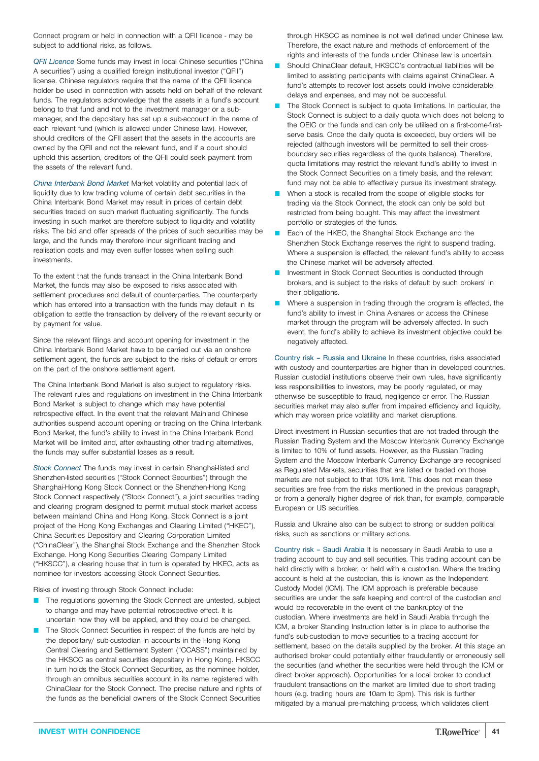Connect program or held in connection with a QFII licence - may be subject to additional risks, as follows.

*QFII Licence* Some funds may invest in local Chinese securities ("China A securities") using a qualified foreign institutional investor ("QFII") license. Chinese regulators require that the name of the QFII licence holder be used in connection with assets held on behalf of the relevant funds. The regulators acknowledge that the assets in a fund's account belong to that fund and not to the investment manager or a submanager, and the depositary has set up a sub-account in the name of each relevant fund (which is allowed under Chinese law). However, should creditors of the QFII assert that the assets in the accounts are owned by the QFII and not the relevant fund, and if a court should uphold this assertion, creditors of the QFII could seek payment from the assets of the relevant fund.

*China Interbank Bond Market* Market volatility and potential lack of liquidity due to low trading volume of certain debt securities in the China Interbank Bond Market may result in prices of certain debt securities traded on such market fluctuating significantly. The funds investing in such market are therefore subject to liquidity and volatility risks. The bid and offer spreads of the prices of such securities may be large, and the funds may therefore incur significant trading and realisation costs and may even suffer losses when selling such investments.

To the extent that the funds transact in the China Interbank Bond Market, the funds may also be exposed to risks associated with settlement procedures and default of counterparties. The counterparty which has entered into a transaction with the funds may default in its obligation to settle the transaction by delivery of the relevant security or by payment for value.

Since the relevant filings and account opening for investment in the China Interbank Bond Market have to be carried out via an onshore settlement agent, the funds are subject to the risks of default or errors on the part of the onshore settlement agent.

The China Interbank Bond Market is also subject to regulatory risks. The relevant rules and regulations on investment in the China Interbank Bond Market is subject to change which may have potential retrospective effect. In the event that the relevant Mainland Chinese authorities suspend account opening or trading on the China Interbank Bond Market, the fund's ability to invest in the China Interbank Bond Market will be limited and, after exhausting other trading alternatives, the funds may suffer substantial losses as a result.

*Stock Connect* The funds may invest in certain Shanghai-listed and Shenzhen-listed securities ("Stock Connect Securities") through the Shanghai-Hong Kong Stock Connect or the Shenzhen-Hong Kong Stock Connect respectively ("Stock Connect"), a joint securities trading and clearing program designed to permit mutual stock market access between mainland China and Hong Kong. Stock Connect is a joint project of the Hong Kong Exchanges and Clearing Limited ("HKEC"), China Securities Depository and Clearing Corporation Limited ("ChinaClear"), the Shanghai Stock Exchange and the Shenzhen Stock Exchange. Hong Kong Securities Clearing Company Limited ("HKSCC"), a clearing house that in turn is operated by HKEC, acts as nominee for investors accessing Stock Connect Securities.

Risks of investing through Stock Connect include:

- The regulations governing the Stock Connect are untested, subject to change and may have potential retrospective effect. It is uncertain how they will be applied, and they could be changed.
- The Stock Connect Securities in respect of the funds are held by the depositary/ sub-custodian in accounts in the Hong Kong Central Clearing and Settlement System ("CCASS") maintained by the HKSCC as central securities depositary in Hong Kong. HKSCC in turn holds the Stock Connect Securities, as the nominee holder, through an omnibus securities account in its name registered with ChinaClear for the Stock Connect. The precise nature and rights of the funds as the beneficial owners of the Stock Connect Securities

through HKSCC as nominee is not well defined under Chinese law. Therefore, the exact nature and methods of enforcement of the rights and interests of the funds under Chinese law is uncertain.

- Should ChinaClear default, HKSCC's contractual liabilities will be limited to assisting participants with claims against ChinaClear. A fund's attempts to recover lost assets could involve considerable delays and expenses, and may not be successful.
- The Stock Connect is subject to quota limitations. In particular, the Stock Connect is subject to a daily quota which does not belong to the OEIC or the funds and can only be utilised on a first-come-firstserve basis. Once the daily quota is exceeded, buy orders will be rejected (although investors will be permitted to sell their crossboundary securities regardless of the quota balance). Therefore, quota limitations may restrict the relevant fund's ability to invest in the Stock Connect Securities on a timely basis, and the relevant fund may not be able to effectively pursue its investment strategy.
- When a stock is recalled from the scope of eligible stocks for trading via the Stock Connect, the stock can only be sold but restricted from being bought. This may affect the investment portfolio or strategies of the funds.
- Each of the HKEC, the Shanghai Stock Exchange and the Shenzhen Stock Exchange reserves the right to suspend trading. Where a suspension is effected, the relevant fund's ability to access the Chinese market will be adversely affected.
- Investment in Stock Connect Securities is conducted through brokers, and is subject to the risks of default by such brokers' in their obligations.
- Where a suspension in trading through the program is effected, the fund's ability to invest in China A-shares or access the Chinese market through the program will be adversely affected. In such event, the fund's ability to achieve its investment objective could be negatively affected.

Country risk – Russia and Ukraine In these countries, risks associated with custody and counterparties are higher than in developed countries. Russian custodial institutions observe their own rules, have significantly less responsibilities to investors, may be poorly regulated, or may otherwise be susceptible to fraud, negligence or error. The Russian securities market may also suffer from impaired efficiency and liquidity, which may worsen price volatility and market disruptions.

Direct investment in Russian securities that are not traded through the Russian Trading System and the Moscow Interbank Currency Exchange is limited to 10% of fund assets. However, as the Russian Trading System and the Moscow Interbank Currency Exchange are recognised as Regulated Markets, securities that are listed or traded on those markets are not subject to that 10% limit. This does not mean these securities are free from the risks mentioned in the previous paragraph, or from a generally higher degree of risk than, for example, comparable European or US securities.

Russia and Ukraine also can be subject to strong or sudden political risks, such as sanctions or military actions.

Country risk – Saudi Arabia It is necessary in Saudi Arabia to use a trading account to buy and sell securities. This trading account can be held directly with a broker, or held with a custodian. Where the trading account is held at the custodian, this is known as the Independent Custody Model (ICM). The ICM approach is preferable because securities are under the safe keeping and control of the custodian and would be recoverable in the event of the bankruptcy of the custodian. Where investments are held in Saudi Arabia through the ICM, a broker Standing Instruction letter is in place to authorise the fund's sub-custodian to move securities to a trading account for settlement, based on the details supplied by the broker. At this stage an authorised broker could potentially either fraudulently or erroneously sell the securities (and whether the securities were held through the ICM or direct broker approach). Opportunities for a local broker to conduct fraudulent transactions on the market are limited due to short trading hours (e.g. trading hours are 10am to 3pm). This risk is further mitigated by a manual pre-matching process, which validates client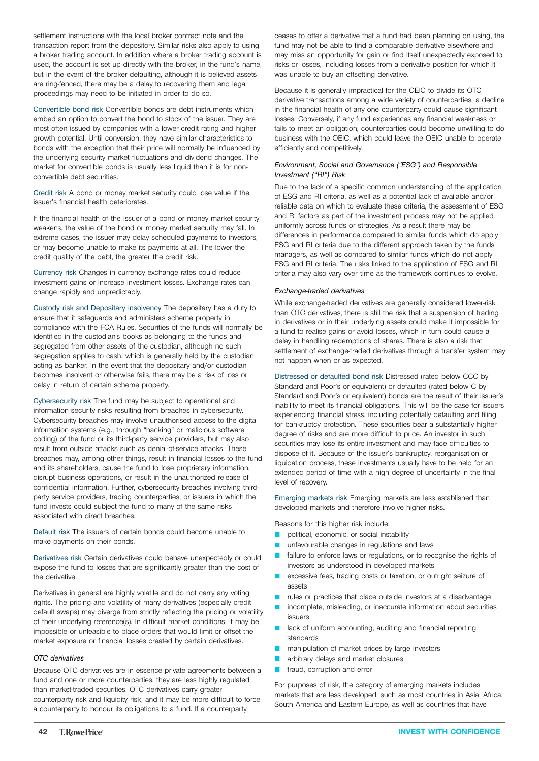settlement instructions with the local broker contract note and the transaction report from the depository. Similar risks also apply to using a broker trading account. In addition where a broker trading account is used, the account is set up directly with the broker, in the fund's name, but in the event of the broker defaulting, although it is believed assets are ring-fenced, there may be a delay to recovering them and legal proceedings may need to be initiated in order to do so.

Convertible bond risk Convertible bonds are debt instruments which embed an option to convert the bond to stock of the issuer. They are most often issued by companies with a lower credit rating and higher growth potential. Until conversion, they have similar characteristics to bonds with the exception that their price will normally be influenced by the underlying security market fluctuations and dividend changes. The market for convertible bonds is usually less liquid than it is for nonconvertible debt securities.

Credit risk A bond or money market security could lose value if the issuer's financial health deteriorates.

If the financial health of the issuer of a bond or money market security weakens, the value of the bond or money market security may fall. In extreme cases, the issuer may delay scheduled payments to investors, or may become unable to make its payments at all. The lower the credit quality of the debt, the greater the credit risk.

Currency risk Changes in currency exchange rates could reduce investment gains or increase investment losses. Exchange rates can change rapidly and unpredictably.

Custody risk and Depositary insolvency The depositary has a duty to ensure that it safeguards and administers scheme property in compliance with the FCA Rules. Securities of the funds will normally be identified in the custodian's books as belonging to the funds and segregated from other assets of the custodian, although no such segregation applies to cash, which is generally held by the custodian acting as banker. In the event that the depositary and/or custodian becomes insolvent or otherwise fails, there may be a risk of loss or delay in return of certain scheme property.

Cybersecurity risk The fund may be subject to operational and information security risks resulting from breaches in cybersecurity. Cybersecurity breaches may involve unauthorised access to the digital information systems (e.g., through "hacking" or malicious software coding) of the fund or its third-party service providers, but may also result from outside attacks such as denial-of-service attacks. These breaches may, among other things, result in financial losses to the fund and its shareholders, cause the fund to lose proprietary information, disrupt business operations, or result in the unauthorized release of confidential information. Further, cybersecurity breaches involving thirdparty service providers, trading counterparties, or issuers in which the fund invests could subject the fund to many of the same risks associated with direct breaches.

Default risk The issuers of certain bonds could become unable to make payments on their bonds.

Derivatives risk Certain derivatives could behave unexpectedly or could expose the fund to losses that are significantly greater than the cost of the derivative.

Derivatives in general are highly volatile and do not carry any voting rights. The pricing and volatility of many derivatives (especially credit default swaps) may diverge from strictly reflecting the pricing or volatility of their underlying reference(s). In difficult market conditions, it may be impossible or unfeasible to place orders that would limit or offset the market exposure or financial losses created by certain derivatives.

### *OTC derivatives*

Because OTC derivatives are in essence private agreements between a fund and one or more counterparties, they are less highly regulated than market-traded securities. OTC derivatives carry greater counterparty risk and liquidity risk, and it may be more difficult to force a counterparty to honour its obligations to a fund. If a counterparty

ceases to offer a derivative that a fund had been planning on using, the fund may not be able to find a comparable derivative elsewhere and may miss an opportunity for gain or find itself unexpectedly exposed to risks or losses, including losses from a derivative position for which it was unable to buy an offsetting derivative.

Because it is generally impractical for the OEIC to divide its OTC derivative transactions among a wide variety of counterparties, a decline in the financial health of any one counterparty could cause significant losses. Conversely, if any fund experiences any financial weakness or fails to meet an obligation, counterparties could become unwilling to do business with the OEIC, which could leave the OEIC unable to operate efficiently and competitively.

### *Environment, Social and Governance ("ESG") and Responsible Investment ("RI") Risk*

Due to the lack of a specific common understanding of the application of ESG and RI criteria, as well as a potential lack of available and/or reliable data on which to evaluate these criteria, the assessment of ESG and RI factors as part of the investment process may not be applied uniformly across funds or strategies. As a result there may be differences in performance compared to similar funds which do apply ESG and RI criteria due to the different approach taken by the funds' managers, as well as compared to similar funds which do not apply ESG and RI criteria. The risks linked to the application of ESG and RI criteria may also vary over time as the framework continues to evolve.

#### *Exchange-traded derivatives*

While exchange-traded derivatives are generally considered lower-risk than OTC derivatives, there is still the risk that a suspension of trading in derivatives or in their underlying assets could make it impossible for a fund to realise gains or avoid losses, which in turn could cause a delay in handling redemptions of shares. There is also a risk that settlement of exchange-traded derivatives through a transfer system may not happen when or as expected.

Distressed or defaulted bond risk Distressed (rated below CCC by Standard and Poor's or equivalent) or defaulted (rated below C by Standard and Poor's or equivalent) bonds are the result of their issuer's inability to meet its financial obligations. This will be the case for issuers experiencing financial stress, including potentially defaulting and filing for bankruptcy protection. These securities bear a substantially higher degree of risks and are more difficult to price. An investor in such securities may lose its entire investment and may face difficulties to dispose of it. Because of the issuer's bankruptcy, reorganisation or liquidation process, these investments usually have to be held for an extended period of time with a high degree of uncertainty in the final level of recovery.

Emerging markets risk Emerging markets are less established than developed markets and therefore involve higher risks.

Reasons for this higher risk include:

- political, economic, or social instability
- **Q unfavourable changes in regulations and laws**
- **Q** failure to enforce laws or regulations, or to recognise the rights of investors as understood in developed markets
- **Q excessive fees, trading costs or taxation, or outright seizure of** assets
- $\blacksquare$  rules or practices that place outside investors at a disadvantage
- $\blacksquare$  incomplete, misleading, or inaccurate information about securities issuers
- **Q** lack of uniform accounting, auditing and financial reporting standards
- manipulation of market prices by large investors
- arbitrary delays and market closures
- **T** fraud, corruption and error

For purposes of risk, the category of emerging markets includes markets that are less developed, such as most countries in Asia, Africa, South America and Eastern Europe, as well as countries that have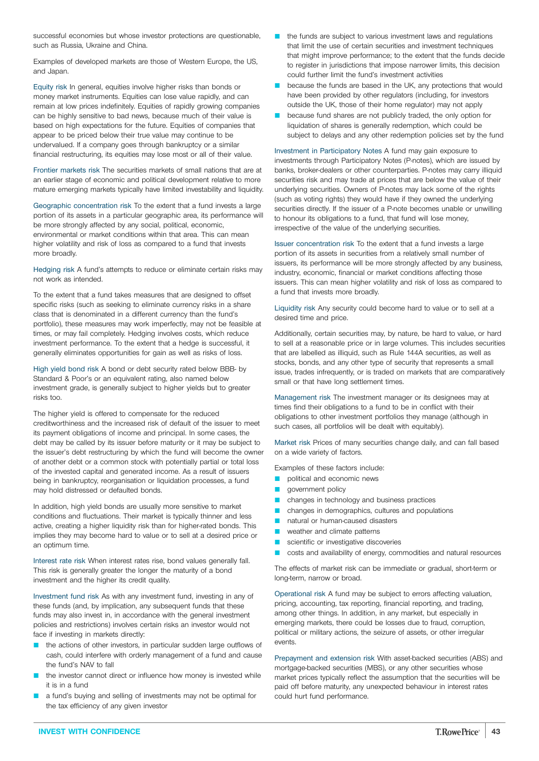successful economies but whose investor protections are questionable, such as Russia, Ukraine and China.

Examples of developed markets are those of Western Europe, the US, and Japan.

Equity risk In general, equities involve higher risks than bonds or money market instruments. Equities can lose value rapidly, and can remain at low prices indefinitely. Equities of rapidly growing companies can be highly sensitive to bad news, because much of their value is based on high expectations for the future. Equities of companies that appear to be priced below their true value may continue to be undervalued. If a company goes through bankruptcy or a similar financial restructuring, its equities may lose most or all of their value.

Frontier markets risk The securities markets of small nations that are at an earlier stage of economic and political development relative to more mature emerging markets typically have limited investability and liquidity.

Geographic concentration risk To the extent that a fund invests a large portion of its assets in a particular geographic area, its performance will be more strongly affected by any social, political, economic, environmental or market conditions within that area. This can mean higher volatility and risk of loss as compared to a fund that invests more broadly.

Hedging risk A fund's attempts to reduce or eliminate certain risks may not work as intended.

To the extent that a fund takes measures that are designed to offset specific risks (such as seeking to eliminate currency risks in a share class that is denominated in a different currency than the fund's portfolio), these measures may work imperfectly, may not be feasible at times, or may fail completely. Hedging involves costs, which reduce investment performance. To the extent that a hedge is successful, it generally eliminates opportunities for gain as well as risks of loss.

High yield bond risk A bond or debt security rated below BBB- by Standard & Poor's or an equivalent rating, also named below investment grade, is generally subject to higher yields but to greater risks too.

The higher yield is offered to compensate for the reduced creditworthiness and the increased risk of default of the issuer to meet its payment obligations of income and principal. In some cases, the debt may be called by its issuer before maturity or it may be subject to the issuer's debt restructuring by which the fund will become the owner of another debt or a common stock with potentially partial or total loss of the invested capital and generated income. As a result of issuers being in bankruptcy, reorganisation or liquidation processes, a fund may hold distressed or defaulted bonds.

In addition, high yield bonds are usually more sensitive to market conditions and fluctuations. Their market is typically thinner and less active, creating a higher liquidity risk than for higher-rated bonds. This implies they may become hard to value or to sell at a desired price or an optimum time.

Interest rate risk When interest rates rise, bond values generally fall. This risk is generally greater the longer the maturity of a bond investment and the higher its credit quality.

Investment fund risk As with any investment fund, investing in any of these funds (and, by implication, any subsequent funds that these funds may also invest in, in accordance with the general investment policies and restrictions) involves certain risks an investor would not face if investing in markets directly:

- the actions of other investors, in particular sudden large outflows of cash, could interfere with orderly management of a fund and cause the fund's NAV to fall
- the investor cannot direct or influence how money is invested while it is in a fund
- a fund's buying and selling of investments may not be optimal for the tax efficiency of any given investor
- $\blacksquare$  the funds are subject to various investment laws and regulations that limit the use of certain securities and investment techniques that might improve performance; to the extent that the funds decide to register in jurisdictions that impose narrower limits, this decision could further limit the fund's investment activities
- because the funds are based in the UK, any protections that would have been provided by other regulators (including, for investors outside the UK, those of their home regulator) may not apply
- because fund shares are not publicly traded, the only option for liquidation of shares is generally redemption, which could be subject to delays and any other redemption policies set by the fund

Investment in Participatory Notes A fund may gain exposure to investments through Participatory Notes (P-notes), which are issued by banks, broker-dealers or other counterparties. P-notes may carry illiquid securities risk and may trade at prices that are below the value of their underlying securities. Owners of P-notes may lack some of the rights (such as voting rights) they would have if they owned the underlying securities directly. If the issuer of a P-note becomes unable or unwilling to honour its obligations to a fund, that fund will lose money, irrespective of the value of the underlying securities.

Issuer concentration risk To the extent that a fund invests a large portion of its assets in securities from a relatively small number of issuers, its performance will be more strongly affected by any business, industry, economic, financial or market conditions affecting those issuers. This can mean higher volatility and risk of loss as compared to a fund that invests more broadly.

Liquidity risk Any security could become hard to value or to sell at a desired time and price.

Additionally, certain securities may, by nature, be hard to value, or hard to sell at a reasonable price or in large volumes. This includes securities that are labelled as illiquid, such as Rule 144A securities, as well as stocks, bonds, and any other type of security that represents a small issue, trades infrequently, or is traded on markets that are comparatively small or that have long settlement times.

Management risk The investment manager or its designees may at times find their obligations to a fund to be in conflict with their obligations to other investment portfolios they manage (although in such cases, all portfolios will be dealt with equitably).

Market risk Prices of many securities change daily, and can fall based on a wide variety of factors.

Examples of these factors include:

- political and economic news
- **q** government policy
- changes in technology and business practices
- $\blacksquare$  changes in demographics, cultures and populations
- **Q** natural or human-caused disasters
- **Q** weather and climate patterns
- scientific or investigative discoveries
- costs and availability of energy, commodities and natural resources

The effects of market risk can be immediate or gradual, short-term or long-term, narrow or broad.

Operational risk A fund may be subject to errors affecting valuation, pricing, accounting, tax reporting, financial reporting, and trading, among other things. In addition, in any market, but especially in emerging markets, there could be losses due to fraud, corruption, political or military actions, the seizure of assets, or other irregular events.

Prepayment and extension risk With asset-backed securities (ABS) and mortgage-backed securities (MBS), or any other securities whose market prices typically reflect the assumption that the securities will be paid off before maturity, any unexpected behaviour in interest rates could hurt fund performance.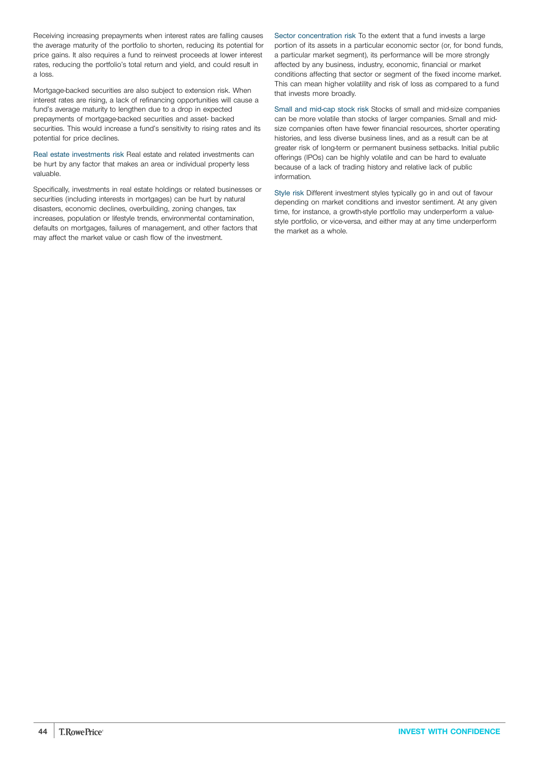Receiving increasing prepayments when interest rates are falling causes the average maturity of the portfolio to shorten, reducing its potential for price gains. It also requires a fund to reinvest proceeds at lower interest rates, reducing the portfolio's total return and yield, and could result in a loss.

Mortgage-backed securities are also subject to extension risk. When interest rates are rising, a lack of refinancing opportunities will cause a fund's average maturity to lengthen due to a drop in expected prepayments of mortgage-backed securities and asset- backed securities. This would increase a fund's sensitivity to rising rates and its potential for price declines.

Real estate investments risk Real estate and related investments can be hurt by any factor that makes an area or individual property less valuable.

Specifically, investments in real estate holdings or related businesses or securities (including interests in mortgages) can be hurt by natural disasters, economic declines, overbuilding, zoning changes, tax increases, population or lifestyle trends, environmental contamination, defaults on mortgages, failures of management, and other factors that may affect the market value or cash flow of the investment.

Sector concentration risk To the extent that a fund invests a large portion of its assets in a particular economic sector (or, for bond funds, a particular market segment), its performance will be more strongly affected by any business, industry, economic, financial or market conditions affecting that sector or segment of the fixed income market. This can mean higher volatility and risk of loss as compared to a fund that invests more broadly.

Small and mid-cap stock risk Stocks of small and mid-size companies can be more volatile than stocks of larger companies. Small and midsize companies often have fewer financial resources, shorter operating histories, and less diverse business lines, and as a result can be at greater risk of long-term or permanent business setbacks. Initial public offerings (IPOs) can be highly volatile and can be hard to evaluate because of a lack of trading history and relative lack of public information.

Style risk Different investment styles typically go in and out of favour depending on market conditions and investor sentiment. At any given time, for instance, a growth-style portfolio may underperform a valuestyle portfolio, or vice-versa, and either may at any time underperform the market as a whole.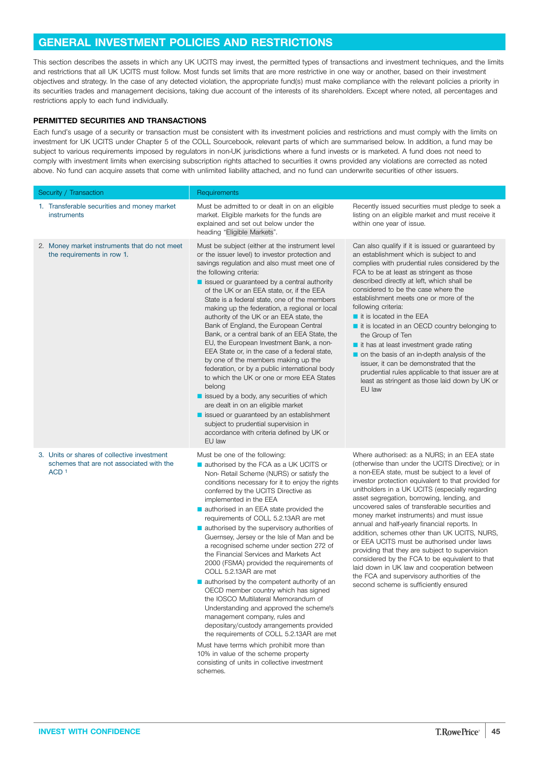### <span id="page-44-0"></span>**GENERAL INVESTMENT POLICIES AND RESTRICTIONS**

This section describes the assets in which any UK UCITS may invest, the permitted types of transactions and investment techniques, and the limits and restrictions that all UK UCITS must follow. Most funds set limits that are more restrictive in one way or another, based on their investment objectives and strategy. In the case of any detected violation, the appropriate fund(s) must make compliance with the relevant policies a priority in its securities trades and management decisions, taking due account of the interests of its shareholders. Except where noted, all percentages and restrictions apply to each fund individually.

### **PERMITTED SECURITIES AND TRANSACTIONS**

Each fund's usage of a security or transaction must be consistent with its investment policies and restrictions and must comply with the limits on investment for UK UCITS under Chapter 5 of the COLL Sourcebook, relevant parts of which are summarised below. In addition, a fund may be subject to various requirements imposed by regulators in non-UK jurisdictions where a fund invests or is marketed. A fund does not need to comply with investment limits when exercising subscription rights attached to securities it owns provided any violations are corrected as noted above. No fund can acquire assets that come with unlimited liability attached, and no fund can underwrite securities of other issuers.

| Security / Transaction                                                                                      | Requirements                                                                                                                                                                                                                                                                                                                                                                                                                                                                                                                                                                                                                                                                                                                                                                                                                                                                                                                                                                                                                                                         |                                                                                                                                                                                                                                                                                                                                                                                                                                                                                                                                                                                                                                                                                                                                                                                                   |
|-------------------------------------------------------------------------------------------------------------|----------------------------------------------------------------------------------------------------------------------------------------------------------------------------------------------------------------------------------------------------------------------------------------------------------------------------------------------------------------------------------------------------------------------------------------------------------------------------------------------------------------------------------------------------------------------------------------------------------------------------------------------------------------------------------------------------------------------------------------------------------------------------------------------------------------------------------------------------------------------------------------------------------------------------------------------------------------------------------------------------------------------------------------------------------------------|---------------------------------------------------------------------------------------------------------------------------------------------------------------------------------------------------------------------------------------------------------------------------------------------------------------------------------------------------------------------------------------------------------------------------------------------------------------------------------------------------------------------------------------------------------------------------------------------------------------------------------------------------------------------------------------------------------------------------------------------------------------------------------------------------|
| 1. Transferable securities and money market<br>instruments                                                  | Must be admitted to or dealt in on an eligible<br>market. Eligible markets for the funds are<br>explained and set out below under the<br>heading "Eligible Markets".                                                                                                                                                                                                                                                                                                                                                                                                                                                                                                                                                                                                                                                                                                                                                                                                                                                                                                 | Recently issued securities must pledge to seek a<br>listing on an eligible market and must receive it<br>within one year of issue.                                                                                                                                                                                                                                                                                                                                                                                                                                                                                                                                                                                                                                                                |
| 2. Money market instruments that do not meet<br>the requirements in row 1.                                  | Must be subject (either at the instrument level<br>or the issuer level) to investor protection and<br>savings regulation and also must meet one of<br>the following criteria:<br>$\blacksquare$ issued or guaranteed by a central authority<br>of the UK or an EEA state, or, if the EEA<br>State is a federal state, one of the members<br>making up the federation, a regional or local<br>authority of the UK or an EEA state, the<br>Bank of England, the European Central<br>Bank, or a central bank of an EEA State, the<br>EU, the European Investment Bank, a non-<br>EEA State or, in the case of a federal state,<br>by one of the members making up the<br>federation, or by a public international body<br>to which the UK or one or more EEA States<br>belong<br>issued by a body, any securities of which<br>are dealt in on an eligible market<br>■ issued or guaranteed by an establishment<br>subject to prudential supervision in<br>accordance with criteria defined by UK or<br>EU law                                                           | Can also qualify if it is issued or guaranteed by<br>an establishment which is subject to and<br>complies with prudential rules considered by the<br>FCA to be at least as stringent as those<br>described directly at left, which shall be<br>considered to be the case where the<br>establishment meets one or more of the<br>following criteria:<br>$\blacksquare$ it is located in the EEA<br>$\blacksquare$ it is located in an OECD country belonging to<br>the Group of Ten<br>it has at least investment grade rating<br>on the basis of an in-depth analysis of the<br>issuer, it can be demonstrated that the<br>prudential rules applicable to that issuer are at<br>least as stringent as those laid down by UK or<br>EU law                                                          |
| 3. Units or shares of collective investment<br>schemes that are not associated with the<br>ACD <sub>1</sub> | Must be one of the following:<br>authorised by the FCA as a UK UCITS or<br>Non-Retail Scheme (NURS) or satisfy the<br>conditions necessary for it to enjoy the rights<br>conferred by the UCITS Directive as<br>implemented in the EEA<br>authorised in an EEA state provided the<br>requirements of COLL 5.2.13AR are met<br>$\blacksquare$ authorised by the supervisory authorities of<br>Guernsey, Jersey or the Isle of Man and be<br>a recognised scheme under section 272 of<br>the Financial Services and Markets Act<br>2000 (FSMA) provided the requirements of<br>COLL 5.2.13AR are met<br>$\blacksquare$ authorised by the competent authority of an<br>OECD member country which has signed<br>the IOSCO Multilateral Memorandum of<br>Understanding and approved the scheme's<br>management company, rules and<br>depositary/custody arrangements provided<br>the requirements of COLL 5.2.13AR are met<br>Must have terms which prohibit more than<br>10% in value of the scheme property<br>consisting of units in collective investment<br>schemes. | Where authorised: as a NURS; in an EEA state<br>(otherwise than under the UCITS Directive); or in<br>a non-EEA state, must be subject to a level of<br>investor protection equivalent to that provided for<br>unitholders in a UK UCITS (especially regarding<br>asset segregation, borrowing, lending, and<br>uncovered sales of transferable securities and<br>money market instruments) and must issue<br>annual and half-yearly financial reports. In<br>addition, schemes other than UK UCITS, NURS,<br>or EEA UCITS must be authorised under laws<br>providing that they are subject to supervision<br>considered by the FCA to be equivalent to that<br>laid down in UK law and cooperation between<br>the FCA and supervisory authorities of the<br>second scheme is sufficiently ensured |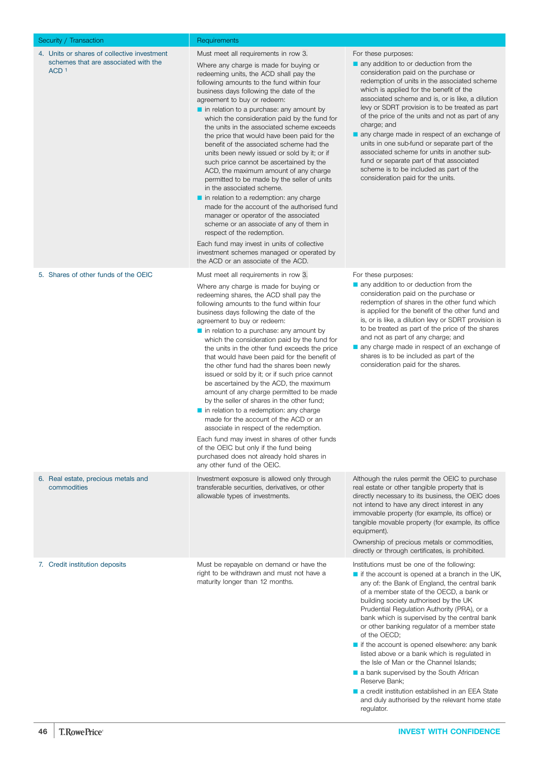<span id="page-45-0"></span>

| Security / Transaction                                                                                  | Requirements                                                                                                                                                                                                                                                                                                                                                                                                                                                                                                                                                                                                                                                                                                                                                                                                                                                                                                                                                                                                                                                        |                                                                                                                                                                                                                                                                                                                                                                                                                                                                                                                                                                                                                                                        |
|---------------------------------------------------------------------------------------------------------|---------------------------------------------------------------------------------------------------------------------------------------------------------------------------------------------------------------------------------------------------------------------------------------------------------------------------------------------------------------------------------------------------------------------------------------------------------------------------------------------------------------------------------------------------------------------------------------------------------------------------------------------------------------------------------------------------------------------------------------------------------------------------------------------------------------------------------------------------------------------------------------------------------------------------------------------------------------------------------------------------------------------------------------------------------------------|--------------------------------------------------------------------------------------------------------------------------------------------------------------------------------------------------------------------------------------------------------------------------------------------------------------------------------------------------------------------------------------------------------------------------------------------------------------------------------------------------------------------------------------------------------------------------------------------------------------------------------------------------------|
| 4. Units or shares of collective investment<br>schemes that are associated with the<br>ACD <sub>1</sub> | Must meet all requirements in row 3.<br>Where any charge is made for buying or<br>redeeming units, the ACD shall pay the<br>following amounts to the fund within four<br>business days following the date of the<br>agreement to buy or redeem:<br>$\blacksquare$ in relation to a purchase: any amount by<br>which the consideration paid by the fund for<br>the units in the associated scheme exceeds<br>the price that would have been paid for the<br>benefit of the associated scheme had the<br>units been newly issued or sold by it; or if<br>such price cannot be ascertained by the<br>ACD, the maximum amount of any charge<br>permitted to be made by the seller of units<br>in the associated scheme.<br>in relation to a redemption: any charge<br>made for the account of the authorised fund<br>manager or operator of the associated<br>scheme or an associate of any of them in<br>respect of the redemption.<br>Each fund may invest in units of collective<br>investment schemes managed or operated by<br>the ACD or an associate of the ACD. | For these purposes:<br>any addition to or deduction from the<br>consideration paid on the purchase or<br>redemption of units in the associated scheme<br>which is applied for the benefit of the<br>associated scheme and is, or is like, a dilution<br>levy or SDRT provision is to be treated as part<br>of the price of the units and not as part of any<br>charge; and<br>any charge made in respect of an exchange of<br>units in one sub-fund or separate part of the<br>associated scheme for units in another sub-<br>fund or separate part of that associated<br>scheme is to be included as part of the<br>consideration paid for the units. |
| 5. Shares of other funds of the OEIC                                                                    | Must meet all requirements in row 3.<br>Where any charge is made for buying or<br>redeeming shares, the ACD shall pay the<br>following amounts to the fund within four<br>business days following the date of the<br>agreement to buy or redeem:<br>$\blacksquare$ in relation to a purchase: any amount by<br>which the consideration paid by the fund for<br>the units in the other fund exceeds the price<br>that would have been paid for the benefit of<br>the other fund had the shares been newly<br>issued or sold by it; or if such price cannot<br>be ascertained by the ACD, the maximum<br>amount of any charge permitted to be made<br>by the seller of shares in the other fund;<br>$\blacksquare$ in relation to a redemption: any charge<br>made for the account of the ACD or an<br>associate in respect of the redemption.<br>Each fund may invest in shares of other funds<br>of the OEIC but only if the fund being<br>purchased does not already hold shares in<br>any other fund of the OEIC.                                                 | For these purposes:<br>any addition to or deduction from the<br>consideration paid on the purchase or<br>redemption of shares in the other fund which<br>is applied for the benefit of the other fund and<br>is, or is like, a dilution levy or SDRT provision is<br>to be treated as part of the price of the shares<br>and not as part of any charge; and<br>any charge made in respect of an exchange of<br>shares is to be included as part of the<br>consideration paid for the shares.                                                                                                                                                           |
| 6. Real estate, precious metals and<br>commodities                                                      | Investment exposure is allowed only through<br>transferable securities, derivatives, or other<br>allowable types of investments.                                                                                                                                                                                                                                                                                                                                                                                                                                                                                                                                                                                                                                                                                                                                                                                                                                                                                                                                    | Although the rules permit the OEIC to purchase<br>real estate or other tangible property that is<br>directly necessary to its business, the OEIC does<br>not intend to have any direct interest in any<br>immovable property (for example, its office) or<br>tangible movable property (for example, its office<br>equipment).<br>Ownership of precious metals or commodities,<br>directly or through certificates, is prohibited.                                                                                                                                                                                                                     |
| 7. Credit institution deposits                                                                          | Must be repayable on demand or have the<br>right to be withdrawn and must not have a<br>maturity longer than 12 months.                                                                                                                                                                                                                                                                                                                                                                                                                                                                                                                                                                                                                                                                                                                                                                                                                                                                                                                                             | Institutions must be one of the following:<br>$\blacksquare$ if the account is opened at a branch in the UK,<br>any of: the Bank of England, the central bank<br>of a member state of the OECD, a bank or<br>building society authorised by the UK<br>Prudential Regulation Authority (PRA), or a<br>bank which is supervised by the central bank<br>or other banking regulator of a member state<br>of the OECD;<br>if the account is opened elsewhere: any bank<br>listed above or a bank which is regulated in<br>the Isle of Man or the Channel Islands;<br>a bank auponicod by the Couth African                                                  |

- $\blacksquare$  a bank supervised by the South African Reserve Bank;
- a credit institution established in an EEA State and duly authorised by the relevant home state regulator.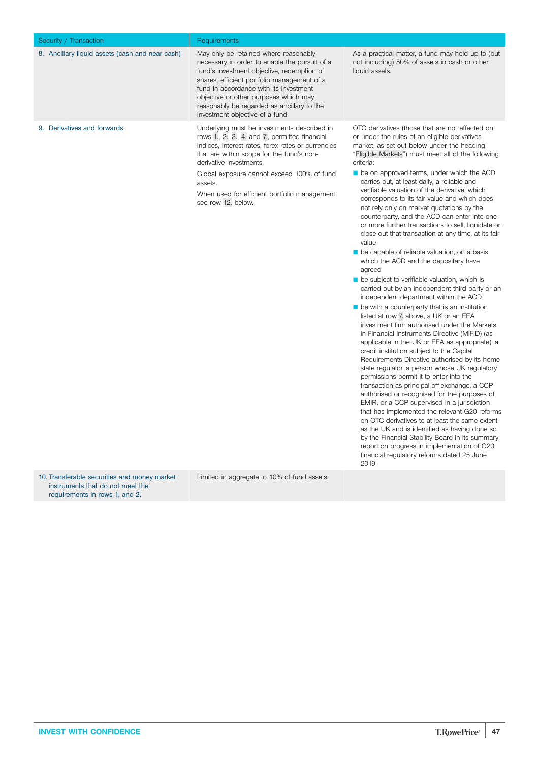<span id="page-46-0"></span>

| Security / Transaction                          | Requirements                                                                                                                                                                                                                                                                                                                                                 |                                                                                                                                                                                                                                                                                                                                                                                                                                                                                                                                                                                                                                                                                                                                                                                                                                                                                                                                                                                                                                                                                                                                                                                                                                                                                                                                                                                                                                                                                                                                                                                                                                                                                                                                                                                                      |
|-------------------------------------------------|--------------------------------------------------------------------------------------------------------------------------------------------------------------------------------------------------------------------------------------------------------------------------------------------------------------------------------------------------------------|------------------------------------------------------------------------------------------------------------------------------------------------------------------------------------------------------------------------------------------------------------------------------------------------------------------------------------------------------------------------------------------------------------------------------------------------------------------------------------------------------------------------------------------------------------------------------------------------------------------------------------------------------------------------------------------------------------------------------------------------------------------------------------------------------------------------------------------------------------------------------------------------------------------------------------------------------------------------------------------------------------------------------------------------------------------------------------------------------------------------------------------------------------------------------------------------------------------------------------------------------------------------------------------------------------------------------------------------------------------------------------------------------------------------------------------------------------------------------------------------------------------------------------------------------------------------------------------------------------------------------------------------------------------------------------------------------------------------------------------------------------------------------------------------------|
| 8. Ancillary liquid assets (cash and near cash) | May only be retained where reasonably<br>necessary in order to enable the pursuit of a<br>fund's investment objective, redemption of<br>shares, efficient portfolio management of a<br>fund in accordance with its investment<br>objective or other purposes which may<br>reasonably be regarded as ancillary to the<br>investment objective of a fund       | As a practical matter, a fund may hold up to (but<br>not including) 50% of assets in cash or other<br>liquid assets.                                                                                                                                                                                                                                                                                                                                                                                                                                                                                                                                                                                                                                                                                                                                                                                                                                                                                                                                                                                                                                                                                                                                                                                                                                                                                                                                                                                                                                                                                                                                                                                                                                                                                 |
| 9. Derivatives and forwards                     | Underlying must be investments described in<br>rows 1., 2., 3., 4. and 7., permitted financial<br>indices, interest rates, forex rates or currencies<br>that are within scope for the fund's non-<br>derivative investments.<br>Global exposure cannot exceed 100% of fund<br>assets.<br>When used for efficient portfolio management,<br>see row 12. below. | OTC derivatives (those that are not effected on<br>or under the rules of an eligible derivatives<br>market, as set out below under the heading<br>"Eligible Markets") must meet all of the following<br>criteria:<br>be on approved terms, under which the ACD<br>carries out, at least daily, a reliable and<br>verifiable valuation of the derivative, which<br>corresponds to its fair value and which does<br>not rely only on market quotations by the<br>counterparty, and the ACD can enter into one<br>or more further transactions to sell, liquidate or<br>close out that transaction at any time, at its fair<br>value<br>be capable of reliable valuation, on a basis<br>which the ACD and the depositary have<br>agreed<br>be subject to verifiable valuation, which is<br>carried out by an independent third party or an<br>independent department within the ACD<br>$\blacksquare$ be with a counterparty that is an institution<br>listed at row 7. above, a UK or an EEA<br>investment firm authorised under the Markets<br>in Financial Instruments Directive (MiFID) (as<br>applicable in the UK or EEA as appropriate), a<br>credit institution subject to the Capital<br>Requirements Directive authorised by its home<br>state regulator, a person whose UK regulatory<br>permissions permit it to enter into the<br>transaction as principal off-exchange, a CCP<br>authorised or recognised for the purposes of<br>EMIR, or a CCP supervised in a jurisdiction<br>that has implemented the relevant G20 reforms<br>on OTC derivatives to at least the same extent<br>as the UK and is identified as having done so<br>by the Financial Stability Board in its summary<br>report on progress in implementation of G20<br>financial regulatory reforms dated 25 June<br>2019. |

10. Transferable securities and money market instruments that do not meet the requirements in rows [1.](#page-44-0) and [2.](#page-44-0)

Limited in aggregate to 10% of fund assets.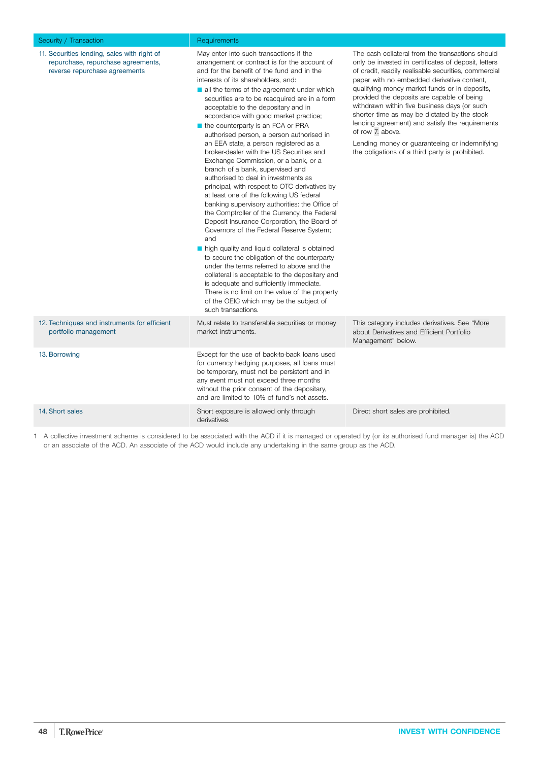<span id="page-47-0"></span>

| Security / Transaction                                                                                             | Requirements                                                                                                                                                                                                                                                                                                                                                                                                                                                                                                                                                                                                                                                                                                                                                                                                                                                                                                                                                                                                                                                                                                                                                                                                                                                                                                                            |                                                                                                                                                                                                                                                                                                                                                                                                                                                                                                                                                                                          |
|--------------------------------------------------------------------------------------------------------------------|-----------------------------------------------------------------------------------------------------------------------------------------------------------------------------------------------------------------------------------------------------------------------------------------------------------------------------------------------------------------------------------------------------------------------------------------------------------------------------------------------------------------------------------------------------------------------------------------------------------------------------------------------------------------------------------------------------------------------------------------------------------------------------------------------------------------------------------------------------------------------------------------------------------------------------------------------------------------------------------------------------------------------------------------------------------------------------------------------------------------------------------------------------------------------------------------------------------------------------------------------------------------------------------------------------------------------------------------|------------------------------------------------------------------------------------------------------------------------------------------------------------------------------------------------------------------------------------------------------------------------------------------------------------------------------------------------------------------------------------------------------------------------------------------------------------------------------------------------------------------------------------------------------------------------------------------|
| 11. Securities lending, sales with right of<br>repurchase, repurchase agreements,<br>reverse repurchase agreements | May enter into such transactions if the<br>arrangement or contract is for the account of<br>and for the benefit of the fund and in the<br>interests of its shareholders, and:<br>all the terms of the agreement under which<br>securities are to be reacquired are in a form<br>acceptable to the depositary and in<br>accordance with good market practice;<br>$\blacksquare$ the counterparty is an FCA or PRA<br>authorised person, a person authorised in<br>an EEA state, a person registered as a<br>broker-dealer with the US Securities and<br>Exchange Commission, or a bank, or a<br>branch of a bank, supervised and<br>authorised to deal in investments as<br>principal, with respect to OTC derivatives by<br>at least one of the following US federal<br>banking supervisory authorities: the Office of<br>the Comptroller of the Currency, the Federal<br>Deposit Insurance Corporation, the Board of<br>Governors of the Federal Reserve System;<br>and<br>high quality and liquid collateral is obtained<br>to secure the obligation of the counterparty<br>under the terms referred to above and the<br>collateral is acceptable to the depositary and<br>is adequate and sufficiently immediate.<br>There is no limit on the value of the property<br>of the OEIC which may be the subject of<br>such transactions. | The cash collateral from the transactions should<br>only be invested in certificates of deposit, letters<br>of credit, readily realisable securities, commercial<br>paper with no embedded derivative content,<br>qualifying money market funds or in deposits,<br>provided the deposits are capable of being<br>withdrawn within five business days (or such<br>shorter time as may be dictated by the stock<br>lending agreement) and satisfy the requirements<br>of row 7. above.<br>Lending money or guaranteeing or indemnifying<br>the obligations of a third party is prohibited. |
| 12. Techniques and instruments for efficient<br>portfolio management                                               | Must relate to transferable securities or money<br>market instruments.                                                                                                                                                                                                                                                                                                                                                                                                                                                                                                                                                                                                                                                                                                                                                                                                                                                                                                                                                                                                                                                                                                                                                                                                                                                                  | This category includes derivatives. See "More"<br>about Derivatives and Efficient Portfolio<br>Management" below.                                                                                                                                                                                                                                                                                                                                                                                                                                                                        |
| 13. Borrowing                                                                                                      | Except for the use of back-to-back loans used<br>for currency hedging purposes, all loans must<br>be temporary, must not be persistent and in<br>any event must not exceed three months<br>without the prior consent of the depositary,<br>and are limited to 10% of fund's net assets.                                                                                                                                                                                                                                                                                                                                                                                                                                                                                                                                                                                                                                                                                                                                                                                                                                                                                                                                                                                                                                                 |                                                                                                                                                                                                                                                                                                                                                                                                                                                                                                                                                                                          |
| 14. Short sales                                                                                                    | Short exposure is allowed only through<br>derivatives.                                                                                                                                                                                                                                                                                                                                                                                                                                                                                                                                                                                                                                                                                                                                                                                                                                                                                                                                                                                                                                                                                                                                                                                                                                                                                  | Direct short sales are prohibited.                                                                                                                                                                                                                                                                                                                                                                                                                                                                                                                                                       |

1 A collective investment scheme is considered to be associated with the ACD if it is managed or operated by (or its authorised fund manager is) the ACD or an associate of the ACD. An associate of the ACD would include any undertaking in the same group as the ACD.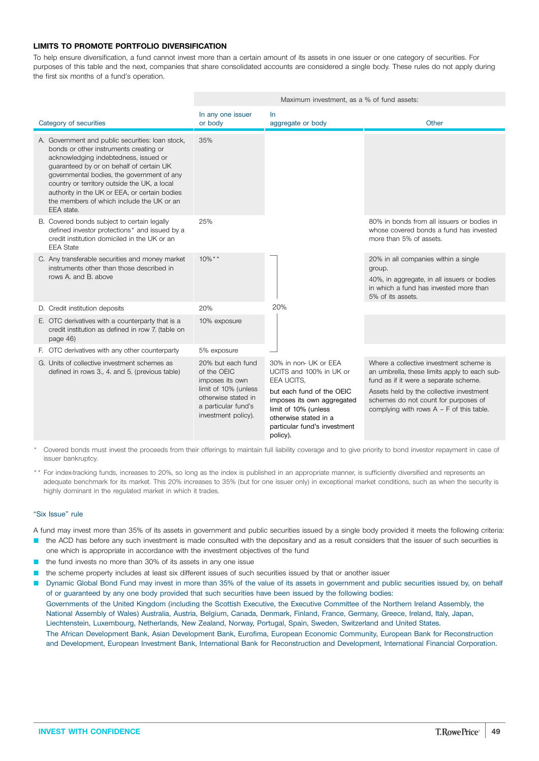### **LIMITS TO PROMOTE PORTFOLIO DIVERSIFICATION**

To help ensure diversification, a fund cannot invest more than a certain amount of its assets in one issuer or one category of securities. For purposes of this table and the next, companies that share consolidated accounts are considered a single body. These rules do not apply during the first six months of a fund's operation.

|                                                                                                                                                                                                                                                                                                                                                                                           |                                                                                                                                                  | Maximum investment, as a % of fund assets:                                                                                                                                                                             |                                                                                                                                                                                                                                                                    |  |  |
|-------------------------------------------------------------------------------------------------------------------------------------------------------------------------------------------------------------------------------------------------------------------------------------------------------------------------------------------------------------------------------------------|--------------------------------------------------------------------------------------------------------------------------------------------------|------------------------------------------------------------------------------------------------------------------------------------------------------------------------------------------------------------------------|--------------------------------------------------------------------------------------------------------------------------------------------------------------------------------------------------------------------------------------------------------------------|--|--|
| Category of securities                                                                                                                                                                                                                                                                                                                                                                    | In any one issuer<br>or body                                                                                                                     | <b>In</b><br>aggregate or body                                                                                                                                                                                         | Other                                                                                                                                                                                                                                                              |  |  |
| A. Government and public securities: Ioan stock,<br>bonds or other instruments creating or<br>acknowledging indebtedness, issued or<br>guaranteed by or on behalf of certain UK<br>governmental bodies, the government of any<br>country or territory outside the UK, a local<br>authority in the UK or EEA, or certain bodies<br>the members of which include the UK or an<br>EEA state. | 35%                                                                                                                                              |                                                                                                                                                                                                                        |                                                                                                                                                                                                                                                                    |  |  |
| B. Covered bonds subject to certain legally<br>defined investor protections* and issued by a<br>credit institution domiciled in the UK or an<br><b>EEA State</b>                                                                                                                                                                                                                          | 25%                                                                                                                                              |                                                                                                                                                                                                                        | 80% in bonds from all issuers or bodies in<br>whose covered bonds a fund has invested<br>more than 5% of assets.                                                                                                                                                   |  |  |
| C. Any transferable securities and money market<br>instruments other than those described in<br>rows A. and B. above                                                                                                                                                                                                                                                                      | $10\%$ **                                                                                                                                        |                                                                                                                                                                                                                        | 20% in all companies within a single<br>group.<br>40%, in aggregate, in all issuers or bodies<br>in which a fund has invested more than<br>5% of its assets.                                                                                                       |  |  |
| D. Credit institution deposits                                                                                                                                                                                                                                                                                                                                                            | 20%                                                                                                                                              | 20%                                                                                                                                                                                                                    |                                                                                                                                                                                                                                                                    |  |  |
| E. OTC derivatives with a counterparty that is a<br>credit institution as defined in row 7. (table on<br>page 46)                                                                                                                                                                                                                                                                         | 10% exposure                                                                                                                                     |                                                                                                                                                                                                                        |                                                                                                                                                                                                                                                                    |  |  |
| F. OTC derivatives with any other counterparty                                                                                                                                                                                                                                                                                                                                            | 5% exposure                                                                                                                                      |                                                                                                                                                                                                                        |                                                                                                                                                                                                                                                                    |  |  |
| G. Units of collective investment schemes as<br>defined in rows 3., 4. and 5. (previous table)                                                                                                                                                                                                                                                                                            | 20% but each fund<br>of the OEIC<br>imposes its own<br>limit of 10% (unless<br>otherwise stated in<br>a particular fund's<br>investment policy). | 30% in non- UK or EEA<br>UCITS and 100% in UK or<br>EEA UCITS.<br>but each fund of the OEIC<br>imposes its own aggregated<br>limit of 10% (unless<br>otherwise stated in a<br>particular fund's investment<br>policy). | Where a collective investment scheme is<br>an umbrella, these limits apply to each sub-<br>fund as if it were a separate scheme.<br>Assets held by the collective investment<br>schemes do not count for purposes of<br>complying with rows $A - F$ of this table. |  |  |

Covered bonds must invest the proceeds from their offerings to maintain full liability coverage and to give priority to bond investor repayment in case of issuer bankruptcy.

\*\* For index-tracking funds, increases to 20%, so long as the index is published in an appropriate manner, is sufficiently diversified and represents an adequate benchmark for its market. This 20% increases to 35% (but for one issuer only) in exceptional market conditions, such as when the security is highly dominant in the regulated market in which it trades.

### "Six Issue" rule

A fund may invest more than 35% of its assets in government and public securities issued by a single body provided it meets the following criteria:

- the ACD has before any such investment is made consulted with the depositary and as a result considers that the issuer of such securities is one which is appropriate in accordance with the investment objectives of the fund
- the fund invests no more than 30% of its assets in any one issue
- the scheme property includes at least six different issues of such securities issued by that or another issuer
- Dynamic Global Bond Fund may invest in more than 35% of the value of its assets in government and public securities issued by, on behalf of or guaranteed by any one body provided that such securities have been issued by the following bodies: Governments of the United Kingdom (including the Scottish Executive, the Executive Committee of the Northern Ireland Assembly, the National Assembly of Wales) Australia, Austria, Belgium, Canada, Denmark, Finland, France, Germany, Greece, Ireland, Italy, Japan, Liechtenstein, Luxembourg, Netherlands, New Zealand, Norway, Portugal, Spain, Sweden, Switzerland and United States. The African Development Bank, Asian Development Bank, Eurofima, European Economic Community, European Bank for Reconstruction and Development, European Investment Bank, International Bank for Reconstruction and Development, International Financial Corporation.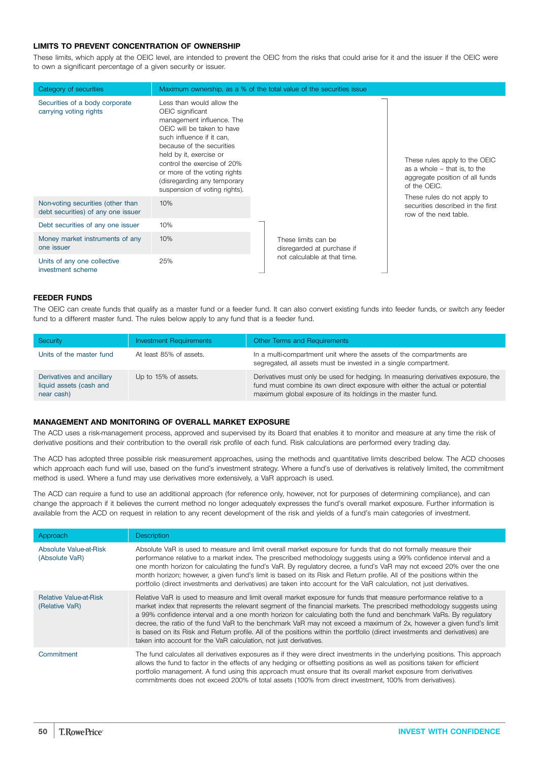### **LIMITS TO PREVENT CONCENTRATION OF OWNERSHIP**

These limits, which apply at the OEIC level, are intended to prevent the OEIC from the risks that could arise for it and the issuer if the OEIC were to own a significant percentage of a given security or issuer.

| Category of securities                                                  |                                                                                                                                                                                                                                                                                                                              | Maximum ownership, as a % of the total value of the securities issue |                                                                                                                  |
|-------------------------------------------------------------------------|------------------------------------------------------------------------------------------------------------------------------------------------------------------------------------------------------------------------------------------------------------------------------------------------------------------------------|----------------------------------------------------------------------|------------------------------------------------------------------------------------------------------------------|
| Securities of a body corporate<br>carrying voting rights                | Less than would allow the<br>OEIC significant<br>management influence. The<br>OEIC will be taken to have<br>such influence if it can,<br>because of the securities<br>held by it, exercise or<br>control the exercise of 20%<br>or more of the voting rights<br>(disregarding any temporary<br>suspension of voting rights). |                                                                      | These rules apply to the OEIC<br>as a whole - that is, to the<br>aggregate position of all funds<br>of the OEIC. |
| Non-voting securities (other than<br>debt securities) of any one issuer | 10%                                                                                                                                                                                                                                                                                                                          |                                                                      | These rules do not apply to<br>securities described in the first<br>row of the next table.                       |
| Debt securities of any one issuer                                       | 10%                                                                                                                                                                                                                                                                                                                          |                                                                      |                                                                                                                  |
| Money market instruments of any<br>one issuer                           | 10%                                                                                                                                                                                                                                                                                                                          | These limits can be<br>disregarded at purchase if                    |                                                                                                                  |
| Units of any one collective<br>investment scheme                        | 25%                                                                                                                                                                                                                                                                                                                          | not calculable at that time.                                         |                                                                                                                  |

### **FEEDER FUNDS**

The OEIC can create funds that qualify as a master fund or a feeder fund. It can also convert existing funds into feeder funds, or switch any feeder fund to a different master fund. The rules below apply to any fund that is a feeder fund.

| Security                                                           | <b>Investment Requirements</b> | Other Terms and Requirements                                                                                                                                                                                                      |
|--------------------------------------------------------------------|--------------------------------|-----------------------------------------------------------------------------------------------------------------------------------------------------------------------------------------------------------------------------------|
| Units of the master fund                                           | At least 85% of assets.        | In a multi-compartment unit where the assets of the compartments are<br>segregated, all assets must be invested in a single compartment.                                                                                          |
| Derivatives and ancillary<br>liquid assets (cash and<br>near cash) | Up to 15% of assets.           | Derivatives must only be used for hedging. In measuring derivatives exposure, the<br>fund must combine its own direct exposure with either the actual or potential<br>maximum global exposure of its holdings in the master fund. |

### **MANAGEMENT AND MONITORING OF OVERALL MARKET EXPOSURE**

The ACD uses a risk-management process, approved and supervised by its Board that enables it to monitor and measure at any time the risk of derivative positions and their contribution to the overall risk profile of each fund. Risk calculations are performed every trading day.

The ACD has adopted three possible risk measurement approaches, using the methods and quantitative limits described below. The ACD chooses which approach each fund will use, based on the fund's investment strategy. Where a fund's use of derivatives is relatively limited, the commitment method is used. Where a fund may use derivatives more extensively, a VaR approach is used.

The ACD can require a fund to use an additional approach (for reference only, however, not for purposes of determining compliance), and can change the approach if it believes the current method no longer adequately expresses the fund's overall market exposure. Further information is available from the ACD on request in relation to any recent development of the risk and yields of a fund's main categories of investment.

| Approach                                        | <b>Description</b>                                                                                                                                                                                                                                                                                                                                                                                                                                                                                                                                                                                                                                                                          |
|-------------------------------------------------|---------------------------------------------------------------------------------------------------------------------------------------------------------------------------------------------------------------------------------------------------------------------------------------------------------------------------------------------------------------------------------------------------------------------------------------------------------------------------------------------------------------------------------------------------------------------------------------------------------------------------------------------------------------------------------------------|
| Absolute Value-at-Risk<br>(Absolute VaR)        | Absolute VaR is used to measure and limit overall market exposure for funds that do not formally measure their<br>performance relative to a market index. The prescribed methodology suggests using a 99% confidence interval and a<br>one month horizon for calculating the fund's VaR. By regulatory decree, a fund's VaR may not exceed 20% over the one<br>month horizon; however, a given fund's limit is based on its Risk and Return profile. All of the positions within the<br>portfolio (direct investments and derivatives) are taken into account for the VaR calculation, not just derivatives.                                                                                |
| <b>Relative Value-at-Risk</b><br>(Relative VaR) | Relative VaR is used to measure and limit overall market exposure for funds that measure performance relative to a<br>market index that represents the relevant segment of the financial markets. The prescribed methodology suggests using<br>a 99% confidence interval and a one month horizon for calculating both the fund and benchmark VaRs. By regulatory<br>decree, the ratio of the fund VaR to the benchmark VaR may not exceed a maximum of 2x, however a given fund's limit<br>is based on its Risk and Return profile. All of the positions within the portfolio (direct investments and derivatives) are<br>taken into account for the VaR calculation, not just derivatives. |
| Commitment                                      | The fund calculates all derivatives exposures as if they were direct investments in the underlying positions. This approach<br>allows the fund to factor in the effects of any hedging or offsetting positions as well as positions taken for efficient<br>portfolio management. A fund using this approach must ensure that its overall market exposure from derivatives<br>commitments does not exceed 200% of total assets (100% from direct investment, 100% from derivatives).                                                                                                                                                                                                         |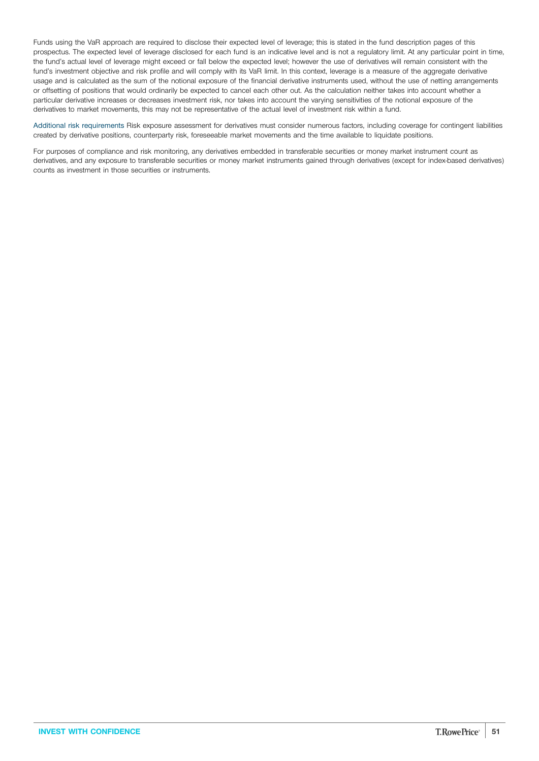Funds using the VaR approach are required to disclose their expected level of leverage; this is stated in the fund description pages of this prospectus. The expected level of leverage disclosed for each fund is an indicative level and is not a regulatory limit. At any particular point in time, the fund's actual level of leverage might exceed or fall below the expected level; however the use of derivatives will remain consistent with the fund's investment objective and risk profile and will comply with its VaR limit. In this context, leverage is a measure of the aggregate derivative usage and is calculated as the sum of the notional exposure of the financial derivative instruments used, without the use of netting arrangements or offsetting of positions that would ordinarily be expected to cancel each other out. As the calculation neither takes into account whether a particular derivative increases or decreases investment risk, nor takes into account the varying sensitivities of the notional exposure of the derivatives to market movements, this may not be representative of the actual level of investment risk within a fund.

Additional risk requirements Risk exposure assessment for derivatives must consider numerous factors, including coverage for contingent liabilities created by derivative positions, counterparty risk, foreseeable market movements and the time available to liquidate positions.

For purposes of compliance and risk monitoring, any derivatives embedded in transferable securities or money market instrument count as derivatives, and any exposure to transferable securities or money market instruments gained through derivatives (except for index-based derivatives) counts as investment in those securities or instruments.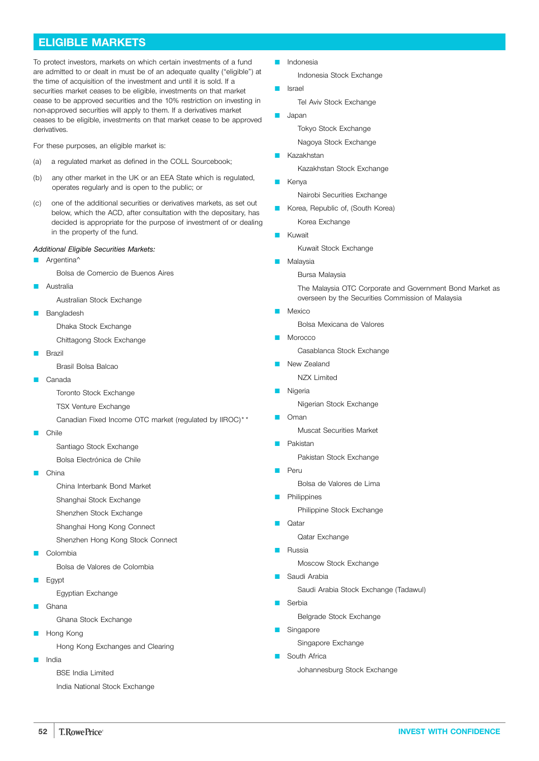# <span id="page-51-0"></span>**ELIGIBLE MARKETS**

To protect investors, markets on which certain investments of a fund are admitted to or dealt in must be of an adequate quality ("eligible") at the time of acquisition of the investment and until it is sold. If a securities market ceases to be eligible, investments on that market cease to be approved securities and the 10% restriction on investing in non-approved securities will apply to them. If a derivatives market ceases to be eligible, investments on that market cease to be approved derivatives.

For these purposes, an eligible market is:

- (a) a regulated market as defined in the COLL Sourcebook;
- (b) any other market in the UK or an EEA State which is regulated, operates regularly and is open to the public; or
- (c) one of the additional securities or derivatives markets, as set out below, which the ACD, after consultation with the depositary, has decided is appropriate for the purpose of investment of or dealing in the property of the fund.

### *Additional Eligible Securities Markets:*

Argentina<sup>^</sup>

Bolsa de Comercio de Buenos Aires

Australia

Australian Stock Exchange

Bangladesh

Dhaka Stock Exchange

Chittagong Stock Exchange

Brazil

Brasil Bolsa Balcao

- Canada
	- Toronto Stock Exchange
	- TSX Venture Exchange

Canadian Fixed Income OTC market (regulated by IIROC)\*\*

**Q** Chile

Santiago Stock Exchange

- Bolsa Electrónica de Chile
- Q China

China Interbank Bond Market

- Shanghai Stock Exchange
- Shenzhen Stock Exchange
- Shanghai Hong Kong Connect

Shenzhen Hong Kong Stock Connect

- Colombia
	- Bolsa de Valores de Colombia
- Egypt

Egyptian Exchange

Ghana

Ghana Stock Exchange

Hong Kong

Hong Kong Exchanges and Clearing

- India
	- BSE India Limited

India National Stock Exchange

**D** Indonesia

Indonesia Stock Exchange

**D** Israel

Tel Aviv Stock Exchange

**L** Japan

Tokyo Stock Exchange

Nagoya Stock Exchange

Kazakhstan

Kazakhstan Stock Exchange

**E** Kenya

Nairobi Securities Exchange

- Korea, Republic of, (South Korea) Korea Exchange
- **Kuwait**

Kuwait Stock Exchange

**Malaysia** 

Bursa Malaysia

The Malaysia OTC Corporate and Government Bond Market as overseen by the Securities Commission of Malaysia

Mexico

Bolsa Mexicana de Valores

Morocco

Casablanca Stock Exchange

- New Zealand
- NZX Limited
- **Nigeria**

Nigerian Stock Exchange

 $\Box$  Oman

Muscat Securities Market

Pakistan

Pakistan Stock Exchange

**P** Peru

Bolsa de Valores de Lima

- Philippines Philippine Stock Exchange
- $\bigcap_{a}$
- Qatar Exchange
- Russia

Moscow Stock Exchange

**B** Saudi Arabia

Saudi Arabia Stock Exchange (Tadawul)

**B** Serbia

Belgrade Stock Exchange

Singapore

Singapore Exchange

**B** South Africa Johannesburg Stock Exchange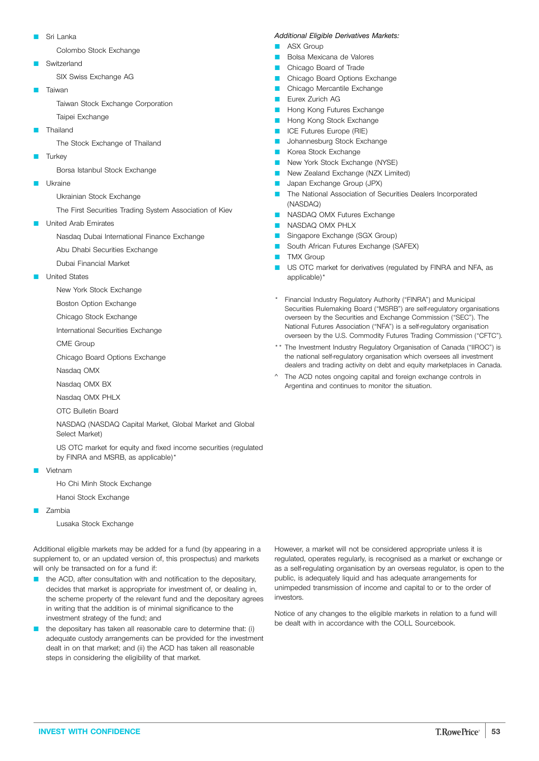Sri Lanka

Colombo Stock Exchange

- Switzerland SIX Swiss Exchange AG
- Taiwan

Taiwan Stock Exchange Corporation

- Taipei Exchange
- Thailand

The Stock Exchange of Thailand

**Turkey** 

Borsa Istanbul Stock Exchange

Q Ukraine

Ukrainian Stock Exchange

The First Securities Trading System Association of Kiev

United Arab Emirates

Nasdaq Dubai International Finance Exchange

- Abu Dhabi Securities Exchange
- Dubai Financial Market
- United States
	- New York Stock Exchange
	- Boston Option Exchange
	- Chicago Stock Exchange
	- International Securities Exchange
	- CME Group
	- Chicago Board Options Exchange
	- Nasdaq OMX
	- Nasdaq OMX BX
	- Nasdaq OMX PHLX
	- OTC Bulletin Board

NASDAQ (NASDAQ Capital Market, Global Market and Global Select Market)

US OTC market for equity and fixed income securities (regulated by FINRA and MSRB, as applicable)\*

- **D** Vietnam
	- Ho Chi Minh Stock Exchange
	- Hanoi Stock Exchange
- Zambia

Lusaka Stock Exchange

Additional eligible markets may be added for a fund (by appearing in a supplement to, or an updated version of, this prospectus) and markets will only be transacted on for a fund if:

- the ACD, after consultation with and notification to the depositary, decides that market is appropriate for investment of, or dealing in, the scheme property of the relevant fund and the depositary agrees in writing that the addition is of minimal significance to the investment strategy of the fund; and
- the depositary has taken all reasonable care to determine that: (i) adequate custody arrangements can be provided for the investment dealt in on that market; and (ii) the ACD has taken all reasonable steps in considering the eligibility of that market.

#### *Additional Eligible Derivatives Markets:*

- ASX Group
- Bolsa Mexicana de Valores
- Chicago Board of Trade
- Chicago Board Options Exchange
- Chicago Mercantile Exchange
- Eurex Zurich AG
- Hong Kong Futures Exchange
- Hong Kong Stock Exchange
- ICE Futures Europe (RIE)
- Johannesburg Stock Exchange
- Korea Stock Exchange
- New York Stock Exchange (NYSE)
- New Zealand Exchange (NZX Limited)
- Japan Exchange Group (JPX)
- The National Association of Securities Dealers Incorporated (NASDAQ)
- **NASDAQ OMX Futures Exchange**
- **NASDAQ OMX PHLX**
- Singapore Exchange (SGX Group)
- **C** South African Futures Exchange (SAFEX)
- **TMX Group**
- **Q US OTC market for derivatives (regulated by FINRA and NFA, as** applicable)\*
- Financial Industry Regulatory Authority ("FINRA") and Municipal Securities Rulemaking Board ("MSRB") are self-regulatory organisations overseen by the Securities and Exchange Commission ("SEC"). The National Futures Association ("NFA") is a self-regulatory organisation overseen by the U.S. Commodity Futures Trading Commission ("CFTC").
- \*\* The Investment Industry Regulatory Organisation of Canada ("IIROC") is the national self-regulatory organisation which oversees all investment dealers and trading activity on debt and equity marketplaces in Canada.
- ^ The ACD notes ongoing capital and foreign exchange controls in Argentina and continues to monitor the situation.

However, a market will not be considered appropriate unless it is regulated, operates regularly, is recognised as a market or exchange or as a self-regulating organisation by an overseas regulator, is open to the public, is adequately liquid and has adequate arrangements for unimpeded transmission of income and capital to or to the order of investors.

Notice of any changes to the eligible markets in relation to a fund will be dealt with in accordance with the COLL Sourcebook.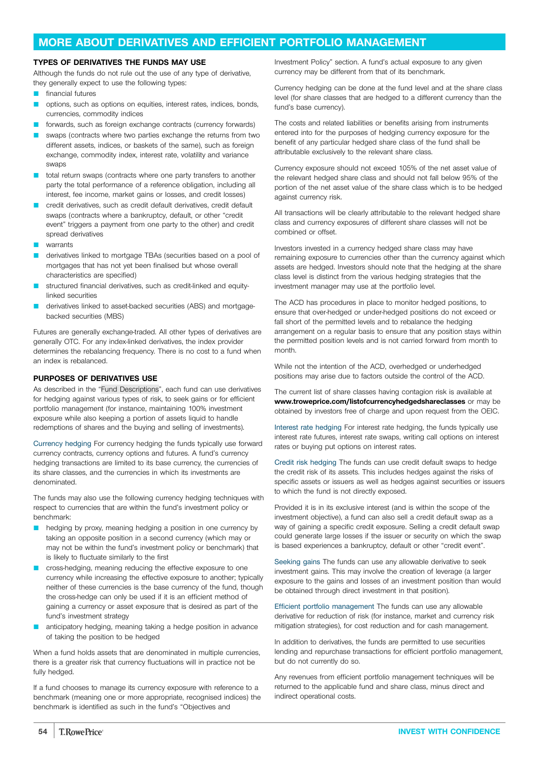### <span id="page-53-0"></span>**MORE ABOUT DERIVATIVES AND EFFICIENT PORTFOLIO MANAGEMENT**

### **TYPES OF DERIVATIVES THE FUNDS MAY USE**

Although the funds do not rule out the use of any type of derivative, they generally expect to use the following types:

- **n** financial futures
- options, such as options on equities, interest rates, indices, bonds, currencies, commodity indices
- forwards, such as foreign exchange contracts (currency forwards)
- swaps (contracts where two parties exchange the returns from two different assets, indices, or baskets of the same), such as foreign exchange, commodity index, interest rate, volatility and variance swaps
- total return swaps (contracts where one party transfers to another party the total performance of a reference obligation, including all interest, fee income, market gains or losses, and credit losses)
- credit derivatives, such as credit default derivatives, credit default swaps (contracts where a bankruptcy, default, or other "credit event" triggers a payment from one party to the other) and credit spread derivatives
- warrants
- derivatives linked to mortgage TBAs (securities based on a pool of mortgages that has not yet been finalised but whose overall characteristics are specified)
- structured financial derivatives, such as credit-linked and equitylinked securities
- derivatives linked to asset-backed securities (ABS) and mortgagebacked securities (MBS)

Futures are generally exchange-traded. All other types of derivatives are generally OTC. For any index-linked derivatives, the index provider determines the rebalancing frequency. There is no cost to a fund when an index is rebalanced.

### **PURPOSES OF DERIVATIVES USE**

As described in the "Fund [Descriptions](#page-3-0)", each fund can use derivatives for hedging against various types of risk, to seek gains or for efficient portfolio management (for instance, maintaining 100% investment exposure while also keeping a portion of assets liquid to handle redemptions of shares and the buying and selling of investments).

Currency hedging For currency hedging the funds typically use forward currency contracts, currency options and futures. A fund's currency hedging transactions are limited to its base currency, the currencies of its share classes, and the currencies in which its investments are denominated.

The funds may also use the following currency hedging techniques with respect to currencies that are within the fund's investment policy or benchmark:

- hedging by proxy, meaning hedging a position in one currency by taking an opposite position in a second currency (which may or may not be within the fund's investment policy or benchmark) that is likely to fluctuate similarly to the first
- cross-hedging, meaning reducing the effective exposure to one currency while increasing the effective exposure to another; typically neither of these currencies is the base currency of the fund, though the cross-hedge can only be used if it is an efficient method of gaining a currency or asset exposure that is desired as part of the fund's investment strategy
- anticipatory hedging, meaning taking a hedge position in advance of taking the position to be hedged

When a fund holds assets that are denominated in multiple currencies, there is a greater risk that currency fluctuations will in practice not be fully hedged.

If a fund chooses to manage its currency exposure with reference to a benchmark (meaning one or more appropriate, recognised indices) the benchmark is identified as such in the fund's "Objectives and

Investment Policy" section. A fund's actual exposure to any given currency may be different from that of its benchmark.

Currency hedging can be done at the fund level and at the share class level (for share classes that are hedged to a different currency than the fund's base currency).

The costs and related liabilities or benefits arising from instruments entered into for the purposes of hedging currency exposure for the benefit of any particular hedged share class of the fund shall be attributable exclusively to the relevant share class.

Currency exposure should not exceed 105% of the net asset value of the relevant hedged share class and should not fall below 95% of the portion of the net asset value of the share class which is to be hedged against currency risk.

All transactions will be clearly attributable to the relevant hedged share class and currency exposures of different share classes will not be combined or offset.

Investors invested in a currency hedged share class may have remaining exposure to currencies other than the currency against which assets are hedged. Investors should note that the hedging at the share class level is distinct from the various hedging strategies that the investment manager may use at the portfolio level.

The ACD has procedures in place to monitor hedged positions, to ensure that over-hedged or under-hedged positions do not exceed or fall short of the permitted levels and to rebalance the hedging arrangement on a regular basis to ensure that any position stays within the permitted position levels and is not carried forward from month to month.

While not the intention of the ACD, overhedged or underhedged positions may arise due to factors outside the control of the ACD.

The current list of share classes having contagion risk is available at **[www.troweprice.com/listofcurrencyhedgedshareclasses](http://www.troweprice.com/listofcurrencyhedgedshareclasses)** or may be obtained by investors free of charge and upon request from the OEIC.

Interest rate hedging For interest rate hedging, the funds typically use interest rate futures, interest rate swaps, writing call options on interest rates or buying put options on interest rates.

Credit risk hedging The funds can use credit default swaps to hedge the credit risk of its assets. This includes hedges against the risks of specific assets or issuers as well as hedges against securities or issuers to which the fund is not directly exposed.

Provided it is in its exclusive interest (and is within the scope of the investment objective), a fund can also sell a credit default swap as a way of gaining a specific credit exposure. Selling a credit default swap could generate large losses if the issuer or security on which the swap is based experiences a bankruptcy, default or other "credit event".

Seeking gains The funds can use any allowable derivative to seek investment gains. This may involve the creation of leverage (a larger exposure to the gains and losses of an investment position than would be obtained through direct investment in that position).

Efficient portfolio management The funds can use any allowable derivative for reduction of risk (for instance, market and currency risk mitigation strategies), for cost reduction and for cash management.

In addition to derivatives, the funds are permitted to use securities lending and repurchase transactions for efficient portfolio management, but do not currently do so.

Any revenues from efficient portfolio management techniques will be returned to the applicable fund and share class, minus direct and indirect operational costs.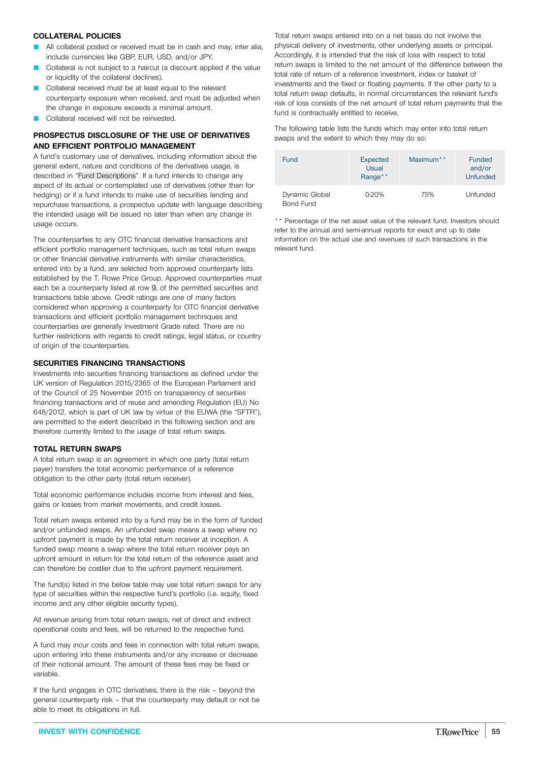### **COLLATERAL POLICIES**

- All collateral posted or received must be in cash and may, inter alia, include currencies like GBP, EUR, USD, and/or JPY.
- Collateral is not subject to a haircut (a discount applied if the value or liquidity of the collateral declines).
- Collateral received must be at least equal to the relevant counterparty exposure when received, and must be adjusted when the change in exposure exceeds a minimal amount.
- Collateral received will not be reinvested.

### **PROSPECTUS DISCLOSURE OF THE USE OF DERIVATIVES AND EFFICIENT PORTFOLIO MANAGEMENT**

A fund's customary use of derivatives, including information about the general extent, nature and conditions of the derivatives usage, is described in "Fund [Descriptions"](#page-3-0). If a fund intends to change any aspect of its actual or contemplated use of derivatives (other than for hedging) or if a fund intends to make use of securities lending and repurchase transactions, a prospectus update with language describing the intended usage will be issued no later than when any change in usage occurs.

The counterparties to any OTC financial derivative transactions and efficient portfolio management techniques, such as total return swaps or other financial derivative instruments with similar characteristics, entered into by a fund, are selected from approved counterparty lists established by the T. Rowe Price Group. Approved counterparties must each be a counterparty listed at row [9.](#page-46-0) of the permitted securities and transactions table above. Credit ratings are one of many factors considered when approving a counterparty for OTC financial derivative transactions and efficient portfolio management techniques and counterparties are generally Investment Grade rated. There are no further restrictions with regards to credit ratings, legal status, or country of origin of the counterparties.

### **SECURITIES FINANCING TRANSACTIONS**

Investments into securities financing transactions as defined under the UK version of Regulation 2015/2365 of the European Parliament and of the Council of 25 November 2015 on transparency of securities financing transactions and of reuse and amending Regulation (EU) No 648/2012, which is part of UK law by virtue of the EUWA (the "SFTR"), are permitted to the extent described in the following section and are therefore currently limited to the usage of total return swaps.

### **TOTAL RETURN SWAPS**

A total return swap is an agreement in which one party (total return payer) transfers the total economic performance of a reference obligation to the other party (total return receiver).

Total economic performance includes income from interest and fees, gains or losses from market movements, and credit losses.

Total return swaps entered into by a fund may be in the form of funded and/or unfunded swaps. An unfunded swap means a swap where no upfront payment is made by the total return receiver at inception. A funded swap means a swap where the total return receiver pays an upfront amount in return for the total return of the reference asset and can therefore be costlier due to the upfront payment requirement.

The fund(s) listed in the below table may use total return swaps for any type of securities within the respective fund's portfolio (i.e. equity, fixed income and any other eligible security types).

All revenue arising from total return swaps, net of direct and indirect operational costs and fees, will be returned to the respective fund.

A fund may incur costs and fees in connection with total return swaps, upon entering into these instruments and/or any increase or decrease of their notional amount. The amount of these fees may be fixed or variable.

If the fund engages in OTC derivatives, there is the risk – beyond the general counterparty risk – that the counterparty may default or not be able to meet its obligations in full.

Total return swaps entered into on a net basis do not involve the physical delivery of investments, other underlying assets or principal. Accordingly, it is intended that the risk of loss with respect to total return swaps is limited to the net amount of the difference between the total rate of return of a reference investment, index or basket of investments and the fixed or floating payments. If the other party to a total return swap defaults, in normal circumstances the relevant fund's risk of loss consists of the net amount of total return payments that the fund is contractually entitled to receive.

The following table lists the funds which may enter into total return swaps and the extent to which they may do so:

| <b>Fund</b>                 | <b>Expected</b><br>Usual<br>Range** |     | <b>Funded</b><br>and/or<br><b>Unfunded</b> |  |
|-----------------------------|-------------------------------------|-----|--------------------------------------------|--|
| Dynamic Global<br>Bond Fund | 0-20%                               | 75% | Unfunded                                   |  |

\*\* Percentage of the net asset value of the relevant fund. Investors should refer to the annual and semi-annual reports for exact and up to date information on the actual use and revenues of such transactions in the relevant fund.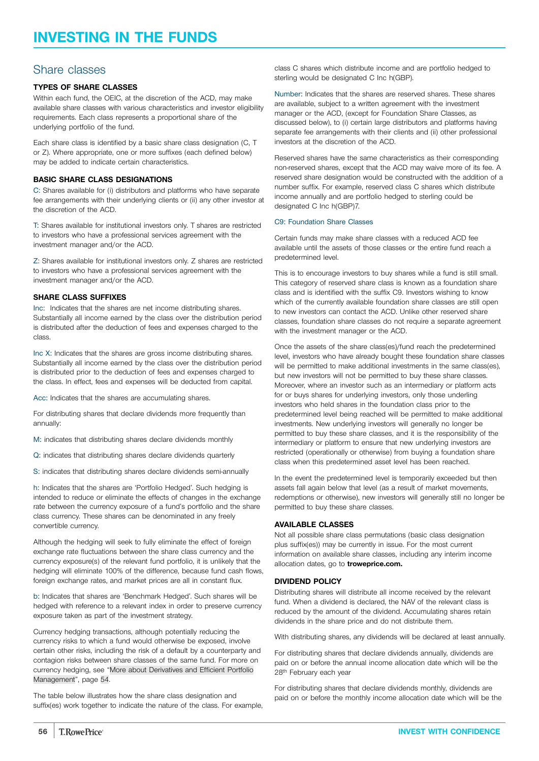### Share classes

### **TYPES OF SHARE CLASSES**

Within each fund, the OEIC, at the discretion of the ACD, may make available share classes with various characteristics and investor eligibility requirements. Each class represents a proportional share of the underlying portfolio of the fund.

Each share class is identified by a basic share class designation (C, T or Z). Where appropriate, one or more suffixes (each defined below) may be added to indicate certain characteristics.

### **BASIC SHARE CLASS DESIGNATIONS**

C: Shares available for (i) distributors and platforms who have separate fee arrangements with their underlying clients or (ii) any other investor at the discretion of the ACD.

T: Shares available for institutional investors only. T shares are restricted to investors who have a professional services agreement with the investment manager and/or the ACD.

Z: Shares available for institutional investors only. Z shares are restricted to investors who have a professional services agreement with the investment manager and/or the ACD.

### **SHARE CLASS SUFFIXES**

Inc: Indicates that the shares are net income distributing shares. Substantially all income earned by the class over the distribution period is distributed after the deduction of fees and expenses charged to the class.

Inc X: Indicates that the shares are gross income distributing shares. Substantially all income earned by the class over the distribution period is distributed prior to the deduction of fees and expenses charged to the class. In effect, fees and expenses will be deducted from capital.

Acc: Indicates that the shares are accumulating shares.

For distributing shares that declare dividends more frequently than annually:

M: indicates that distributing shares declare dividends monthly

Q: indicates that distributing shares declare dividends quarterly

S: indicates that distributing shares declare dividends semi-annually

h: Indicates that the shares are 'Portfolio Hedged'. Such hedging is intended to reduce or eliminate the effects of changes in the exchange rate between the currency exposure of a fund's portfolio and the share class currency. These shares can be denominated in any freely convertible currency.

Although the hedging will seek to fully eliminate the effect of foreign exchange rate fluctuations between the share class currency and the currency exposure(s) of the relevant fund portfolio, it is unlikely that the hedging will eliminate 100% of the difference, because fund cash flows, foreign exchange rates, and market prices are all in constant flux.

b: Indicates that shares are 'Benchmark Hedged'. Such shares will be hedged with reference to a relevant index in order to preserve currency exposure taken as part of the investment strategy.

Currency hedging transactions, although potentially reducing the currency risks to which a fund would otherwise be exposed, involve certain other risks, including the risk of a default by a counterparty and contagion risks between share classes of the same fund. For more on currency hedging, see "More about [Derivatives](#page-53-0) and Efficient Portfolio [Management"](#page-53-0), page [54](#page-53-0).

The table below illustrates how the share class designation and suffix(es) work together to indicate the nature of the class. For example,

class C shares which distribute income and are portfolio hedged to sterling would be designated C Inc h(GBP).

Number: Indicates that the shares are reserved shares. These shares are available, subject to a written agreement with the investment manager or the ACD, (except for Foundation Share Classes, as discussed below), to (i) certain large distributors and platforms having separate fee arrangements with their clients and (ii) other professional investors at the discretion of the ACD.

Reserved shares have the same characteristics as their corresponding non-reserved shares, except that the ACD may waive more of its fee. A reserved share designation would be constructed with the addition of a number suffix. For example, reserved class C shares which distribute income annually and are portfolio hedged to sterling could be designated C Inc h(GBP)7.

### C9: Foundation Share Classes

Certain funds may make share classes with a reduced ACD fee available until the assets of those classes or the entire fund reach a predetermined level.

This is to encourage investors to buy shares while a fund is still small. This category of reserved share class is known as a foundation share class and is identified with the suffix C9. Investors wishing to know which of the currently available foundation share classes are still open to new investors can contact the ACD. Unlike other reserved share classes, foundation share classes do not require a separate agreement with the investment manager or the ACD.

Once the assets of the share class(es)/fund reach the predetermined level, investors who have already bought these foundation share classes will be permitted to make additional investments in the same class(es). but new investors will not be permitted to buy these share classes. Moreover, where an investor such as an intermediary or platform acts for or buys shares for underlying investors, only those underling investors who held shares in the foundation class prior to the predetermined level being reached will be permitted to make additional investments. New underlying investors will generally no longer be permitted to buy these share classes, and it is the responsibility of the intermediary or platform to ensure that new underlying investors are restricted (operationally or otherwise) from buying a foundation share class when this predetermined asset level has been reached.

In the event the predetermined level is temporarily exceeded but then assets fall again below that level (as a result of market movements, redemptions or otherwise), new investors will generally still no longer be permitted to buy these share classes.

### **AVAILABLE CLASSES**

Not all possible share class permutations (basic class designation plus suffix(es)) may be currently in issue. For the most current information on available share classes, including any interim income allocation dates, go to **[troweprice.com.](http://www.troweprice.com)**

### **DIVIDEND POLICY**

Distributing shares will distribute all income received by the relevant fund. When a dividend is declared, the NAV of the relevant class is reduced by the amount of the dividend. Accumulating shares retain dividends in the share price and do not distribute them.

With distributing shares, any dividends will be declared at least annually.

For distributing shares that declare dividends annually, dividends are paid on or before the annual income allocation date which will be the 28th February each year

For distributing shares that declare dividends monthly, dividends are paid on or before the monthly income allocation date which will be the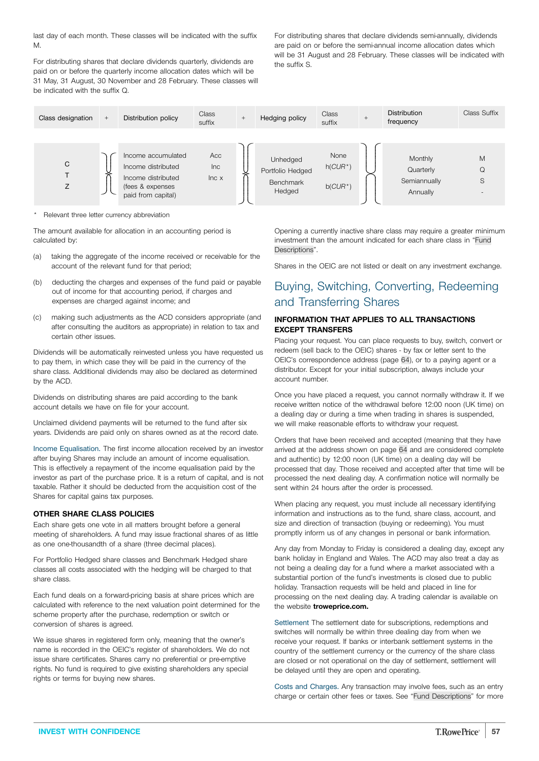last day of each month. These classes will be indicated with the suffix M.

For distributing shares that declare dividends quarterly, dividends are paid on or before the quarterly income allocation dates which will be 31 May, 31 August, 30 November and 28 February. These classes will be indicated with the suffix Q.

For distributing shares that declare dividends semi-annually, dividends are paid on or before the semi-annual income allocation dates which will be 31 August and 28 February. These classes will be indicated with the suffix S.

| Class designation | $+$ | Distribution policy                                            | Class<br>suffix     | $^{+}$ | Hedging policy                                   | Class<br>suffix    | $\ddot{}$ | <b>Distribution</b><br>frequency     | Class Suffix |
|-------------------|-----|----------------------------------------------------------------|---------------------|--------|--------------------------------------------------|--------------------|-----------|--------------------------------------|--------------|
| C                 |     | Income accumulated<br>Income distributed<br>Income distributed | Acc<br>Inc<br>Inc x |        | Unhedged<br>Portfolio Hedged<br><b>Benchmark</b> | None<br>$h(CUR^*)$ |           | Monthly<br>Quarterly<br>Semiannually | M<br>Q<br>S  |
|                   |     | (fees & expenses<br>paid from capital)                         |                     |        | Hedged                                           | $b(CUR^*)$         |           | Annually                             |              |

\* Relevant three letter currency abbreviation

The amount available for allocation in an accounting period is calculated by:

- (a) taking the aggregate of the income received or receivable for the account of the relevant fund for that period;
- (b) deducting the charges and expenses of the fund paid or payable out of income for that accounting period, if charges and expenses are charged against income; and
- (c) making such adjustments as the ACD considers appropriate (and after consulting the auditors as appropriate) in relation to tax and certain other issues.

Dividends will be automatically reinvested unless you have requested us to pay them, in which case they will be paid in the currency of the share class. Additional dividends may also be declared as determined by the ACD.

Dividends on distributing shares are paid according to the bank account details we have on file for your account.

Unclaimed dividend payments will be returned to the fund after six years. Dividends are paid only on shares owned as at the record date.

Income Equalisation. The first income allocation received by an investor after buying Shares may include an amount of income equalisation. This is effectively a repayment of the income equalisation paid by the investor as part of the purchase price. It is a return of capital, and is not taxable. Rather it should be deducted from the acquisition cost of the Shares for capital gains tax purposes.

### **OTHER SHARE CLASS POLICIES**

Each share gets one vote in all matters brought before a general meeting of shareholders. A fund may issue fractional shares of as little as one one-thousandth of a share (three decimal places).

For Portfolio Hedged share classes and Benchmark Hedged share classes all costs associated with the hedging will be charged to that share class.

Each fund deals on a forward-pricing basis at share prices which are calculated with reference to the next valuation point determined for the scheme property after the purchase, redemption or switch or conversion of shares is agreed.

We issue shares in registered form only, meaning that the owner's name is recorded in the OEIC's register of shareholders. We do not issue share certificates. Shares carry no preferential or pre-emptive rights. No fund is required to give existing shareholders any special rights or terms for buying new shares.

Opening a currently inactive share class may require a greater minimum investment than the amount indicated for each share class in "[Fund](#page-3-0) [Descriptions](#page-3-0)".

Shares in the OEIC are not listed or dealt on any investment exchange.

# Buying, Switching, Converting, Redeeming and Transferring Shares

### **INFORMATION THAT APPLIES TO ALL TRANSACTIONS EXCEPT TRANSFERS**

Placing your request. You can place requests to buy, switch, convert or redeem (sell back to the OEIC) shares - by fax or letter sent to the OEIC's correspondence address (page [64](#page-63-0)), or to a paying agent or a distributor. Except for your initial subscription, always include your account number.

Once you have placed a request, you cannot normally withdraw it. If we receive written notice of the withdrawal before 12:00 noon (UK time) on a dealing day or during a time when trading in shares is suspended, we will make reasonable efforts to withdraw your request.

Orders that have been received and accepted (meaning that they have arrived at the address shown on page [64](#page-63-0) and are considered complete and authentic) by 12:00 noon (UK time) on a dealing day will be processed that day. Those received and accepted after that time will be processed the next dealing day. A confirmation notice will normally be sent within 24 hours after the order is processed.

When placing any request, you must include all necessary identifying information and instructions as to the fund, share class, account, and size and direction of transaction (buying or redeeming). You must promptly inform us of any changes in personal or bank information.

Any day from Monday to Friday is considered a dealing day, except any bank holiday in England and Wales. The ACD may also treat a day as not being a dealing day for a fund where a market associated with a substantial portion of the fund's investments is closed due to public holiday. Transaction requests will be held and placed in line for processing on the next dealing day. A trading calendar is available on the website **[troweprice.com.](http://www.troweprice.com)**

Settlement The settlement date for subscriptions, redemptions and switches will normally be within three dealing day from when we receive your request. If banks or interbank settlement systems in the country of the settlement currency or the currency of the share class are closed or not operational on the day of settlement, settlement will be delayed until they are open and operating.

Costs and Charges. Any transaction may involve fees, such as an entry charge or certain other fees or taxes. See "Fund [Descriptions](#page-3-0)" for more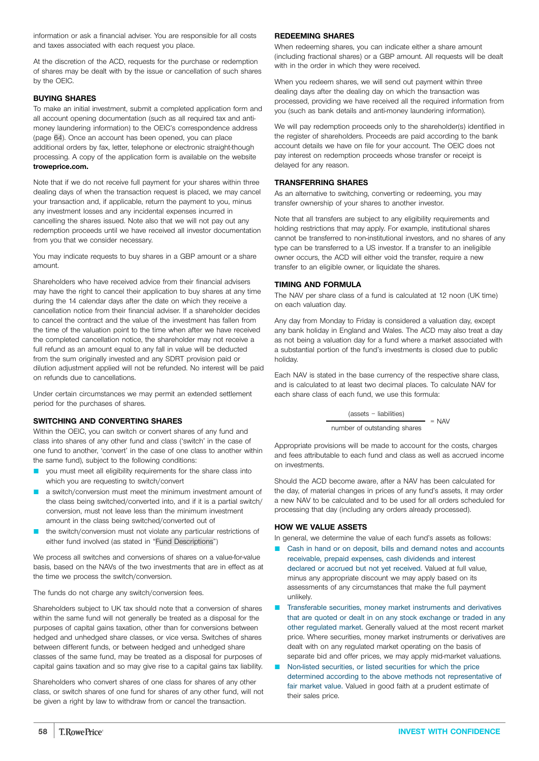information or ask a financial adviser. You are responsible for all costs and taxes associated with each request you place.

At the discretion of the ACD, requests for the purchase or redemption of shares may be dealt with by the issue or cancellation of such shares by the OEIC.

### **BUYING SHARES**

To make an initial investment, submit a completed application form and all account opening documentation (such as all required tax and antimoney laundering information) to the OEIC's correspondence address (page [64\)](#page-63-0). Once an account has been opened, you can place additional orders by fax, letter, telephone or electronic straight-though processing. A copy of the application form is available on the website **[troweprice.com.](http://www.troweprice.com)**

Note that if we do not receive full payment for your shares within three dealing days of when the transaction request is placed, we may cancel your transaction and, if applicable, return the payment to you, minus any investment losses and any incidental expenses incurred in cancelling the shares issued. Note also that we will not pay out any redemption proceeds until we have received all investor documentation from you that we consider necessary.

You may indicate requests to buy shares in a GBP amount or a share amount.

Shareholders who have received advice from their financial advisers may have the right to cancel their application to buy shares at any time during the 14 calendar days after the date on which they receive a cancellation notice from their financial adviser. If a shareholder decides to cancel the contract and the value of the investment has fallen from the time of the valuation point to the time when after we have received the completed cancellation notice, the shareholder may not receive a full refund as an amount equal to any fall in value will be deducted from the sum originally invested and any SDRT provision paid or dilution adjustment applied will not be refunded. No interest will be paid on refunds due to cancellations.

Under certain circumstances we may permit an extended settlement period for the purchases of shares.

### **SWITCHING AND CONVERTING SHARES**

Within the OEIC, you can switch or convert shares of any fund and class into shares of any other fund and class ('switch' in the case of one fund to another, 'convert' in the case of one class to another within the same fund), subject to the following conditions:

- you must meet all eligibility requirements for the share class into which you are requesting to switch/convert
- a switch/conversion must meet the minimum investment amount of the class being switched/converted into, and if it is a partial switch/ conversion, must not leave less than the minimum investment amount in the class being switched/converted out of
- **D** the switch/conversion must not violate any particular restrictions of either fund involved (as stated in "Fund [Descriptions"](#page-3-0))

We process all switches and conversions of shares on a value-for-value basis, based on the NAVs of the two investments that are in effect as at the time we process the switch/conversion.

The funds do not charge any switch/conversion fees.

Shareholders subject to UK tax should note that a conversion of shares within the same fund will not generally be treated as a disposal for the purposes of capital gains taxation, other than for conversions between hedged and unhedged share classes, or vice versa. Switches of shares between different funds, or between hedged and unhedged share classes of the same fund, may be treated as a disposal for purposes of capital gains taxation and so may give rise to a capital gains tax liability.

Shareholders who convert shares of one class for shares of any other class, or switch shares of one fund for shares of any other fund, will not be given a right by law to withdraw from or cancel the transaction.

### **REDEEMING SHARES**

When redeeming shares, you can indicate either a share amount (including fractional shares) or a GBP amount. All requests will be dealt with in the order in which they were received.

When you redeem shares, we will send out payment within three dealing days after the dealing day on which the transaction was processed, providing we have received all the required information from you (such as bank details and anti-money laundering information).

We will pay redemption proceeds only to the shareholder(s) identified in the register of shareholders. Proceeds are paid according to the bank account details we have on file for your account. The OEIC does not pay interest on redemption proceeds whose transfer or receipt is delayed for any reason.

### **TRANSFERRING SHARES**

As an alternative to switching, converting or redeeming, you may transfer ownership of your shares to another investor.

Note that all transfers are subject to any eligibility requirements and holding restrictions that may apply. For example, institutional shares cannot be transferred to non-institutional investors, and no shares of any type can be transferred to a US investor. If a transfer to an ineligible owner occurs, the ACD will either void the transfer, require a new transfer to an eligible owner, or liquidate the shares.

### **TIMING AND FORMULA**

The NAV per share class of a fund is calculated at 12 noon (UK time) on each valuation day.

Any day from Monday to Friday is considered a valuation day, except any bank holiday in England and Wales. The ACD may also treat a day as not being a valuation day for a fund where a market associated with a substantial portion of the fund's investments is closed due to public holiday.

Each NAV is stated in the base currency of the respective share class, and is calculated to at least two decimal places. To calculate NAV for each share class of each fund, we use this formula:

> (assets − liabilities)  $=$  NAV number of outstanding shares

Appropriate provisions will be made to account for the costs, charges and fees attributable to each fund and class as well as accrued income on investments.

Should the ACD become aware, after a NAV has been calculated for the day, of material changes in prices of any fund's assets, it may order a new NAV to be calculated and to be used for all orders scheduled for processing that day (including any orders already processed).

### **HOW WE VALUE ASSETS**

In general, we determine the value of each fund's assets as follows:

- Cash in hand or on deposit, bills and demand notes and accounts receivable, prepaid expenses, cash dividends and interest declared or accrued but not yet received. Valued at full value, minus any appropriate discount we may apply based on its assessments of any circumstances that make the full payment unlikely.
- Transferable securities, money market instruments and derivatives that are quoted or dealt in on any stock exchange or traded in any other regulated market. Generally valued at the most recent market price. Where securities, money market instruments or derivatives are dealt with on any regulated market operating on the basis of separate bid and offer prices, we may apply mid-market valuations.
- Non-listed securities, or listed securities for which the price determined according to the above methods not representative of fair market value. Valued in good faith at a prudent estimate of their sales price.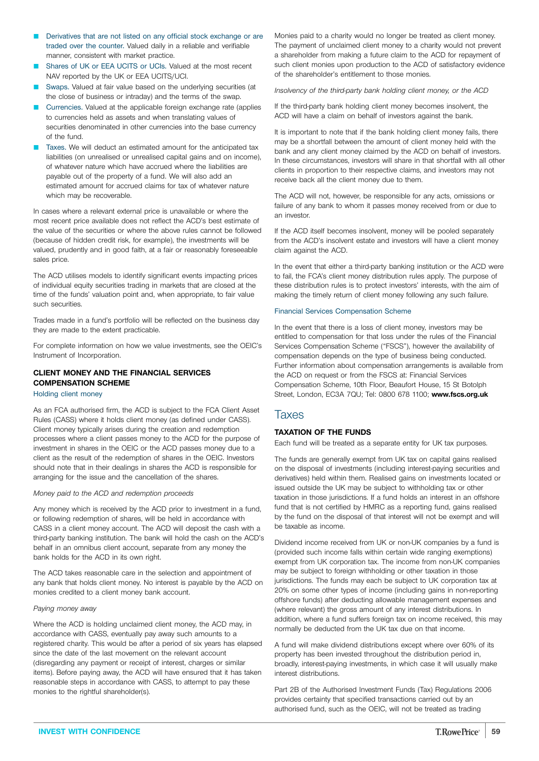- Derivatives that are not listed on any official stock exchange or are traded over the counter. Valued daily in a reliable and verifiable manner, consistent with market practice.
- Shares of UK or EEA UCITS or UCIs. Valued at the most recent NAV reported by the UK or EEA UCITS/UCI.
- Swaps. Valued at fair value based on the underlying securities (at the close of business or intraday) and the terms of the swap.
- Q Currencies. Valued at the applicable foreign exchange rate (applies to currencies held as assets and when translating values of securities denominated in other currencies into the base currency of the fund.
- Taxes. We will deduct an estimated amount for the anticipated tax liabilities (on unrealised or unrealised capital gains and on income), of whatever nature which have accrued where the liabilities are payable out of the property of a fund. We will also add an estimated amount for accrued claims for tax of whatever nature which may be recoverable.

In cases where a relevant external price is unavailable or where the most recent price available does not reflect the ACD's best estimate of the value of the securities or where the above rules cannot be followed (because of hidden credit risk, for example), the investments will be valued, prudently and in good faith, at a fair or reasonably foreseeable sales price.

The ACD utilises models to identify significant events impacting prices of individual equity securities trading in markets that are closed at the time of the funds' valuation point and, when appropriate, to fair value such securities.

Trades made in a fund's portfolio will be reflected on the business day they are made to the extent practicable.

For complete information on how we value investments, see the OEIC's Instrument of Incorporation.

### **CLIENT MONEY AND THE FINANCIAL SERVICES COMPENSATION SCHEME** Holding client money

As an FCA authorised firm, the ACD is subject to the FCA Client Asset Rules (CASS) where it holds client money (as defined under CASS). Client money typically arises during the creation and redemption processes where a client passes money to the ACD for the purpose of investment in shares in the OEIC or the ACD passes money due to a client as the result of the redemption of shares in the OEIC. Investors should note that in their dealings in shares the ACD is responsible for arranging for the issue and the cancellation of the shares.

### *Money paid to the ACD and redemption proceeds*

Any money which is received by the ACD prior to investment in a fund, or following redemption of shares, will be held in accordance with CASS in a client money account. The ACD will deposit the cash with a third-party banking institution. The bank will hold the cash on the ACD's behalf in an omnibus client account, separate from any money the bank holds for the ACD in its own right.

The ACD takes reasonable care in the selection and appointment of any bank that holds client money. No interest is payable by the ACD on monies credited to a client money bank account.

### *Paying money away*

Where the ACD is holding unclaimed client money, the ACD may, in accordance with CASS, eventually pay away such amounts to a registered charity. This would be after a period of six years has elapsed since the date of the last movement on the relevant account (disregarding any payment or receipt of interest, charges or similar items). Before paying away, the ACD will have ensured that it has taken reasonable steps in accordance with CASS, to attempt to pay these monies to the rightful shareholder(s).

Monies paid to a charity would no longer be treated as client money. The payment of unclaimed client money to a charity would not prevent a shareholder from making a future claim to the ACD for repayment of such client monies upon production to the ACD of satisfactory evidence of the shareholder's entitlement to those monies.

*Insolvency of the third-party bank holding client money, or the ACD*

If the third-party bank holding client money becomes insolvent, the ACD will have a claim on behalf of investors against the bank.

It is important to note that if the bank holding client money fails, there may be a shortfall between the amount of client money held with the bank and any client money claimed by the ACD on behalf of investors. In these circumstances, investors will share in that shortfall with all other clients in proportion to their respective claims, and investors may not receive back all the client money due to them.

The ACD will not, however, be responsible for any acts, omissions or failure of any bank to whom it passes money received from or due to an investor.

If the ACD itself becomes insolvent, money will be pooled separately from the ACD's insolvent estate and investors will have a client money claim against the ACD.

In the event that either a third-party banking institution or the ACD were to fail, the FCA's client money distribution rules apply. The purpose of these distribution rules is to protect investors' interests, with the aim of making the timely return of client money following any such failure.

### Financial Services Compensation Scheme

In the event that there is a loss of client money, investors may be entitled to compensation for that loss under the rules of the Financial Services Compensation Scheme ("FSCS"), however the availability of compensation depends on the type of business being conducted. Further information about compensation arrangements is available from the ACD on request or from the FSCS at: Financial Services Compensation Scheme, 10th Floor, Beaufort House, 15 St Botolph Street, London, EC3A 7QU; Tel: 0800 678 1100; **[www.fscs.org.uk](http://www.fscs.org.uk)**

### **Taxes**

### **TAXATION OF THE FUNDS**

Each fund will be treated as a separate entity for UK tax purposes.

The funds are generally exempt from UK tax on capital gains realised on the disposal of investments (including interest-paying securities and derivatives) held within them. Realised gains on investments located or issued outside the UK may be subject to withholding tax or other taxation in those jurisdictions. If a fund holds an interest in an offshore fund that is not certified by HMRC as a reporting fund, gains realised by the fund on the disposal of that interest will not be exempt and will be taxable as income.

Dividend income received from UK or non-UK companies by a fund is (provided such income falls within certain wide ranging exemptions) exempt from UK corporation tax. The income from non-UK companies may be subject to foreign withholding or other taxation in those jurisdictions. The funds may each be subject to UK corporation tax at 20% on some other types of income (including gains in non-reporting offshore funds) after deducting allowable management expenses and (where relevant) the gross amount of any interest distributions. In addition, where a fund suffers foreign tax on income received, this may normally be deducted from the UK tax due on that income.

A fund will make dividend distributions except where over 60% of its property has been invested throughout the distribution period in, broadly, interest-paying investments, in which case it will usually make interest distributions.

Part 2B of the Authorised Investment Funds (Tax) Regulations 2006 provides certainty that specified transactions carried out by an authorised fund, such as the OEIC, will not be treated as trading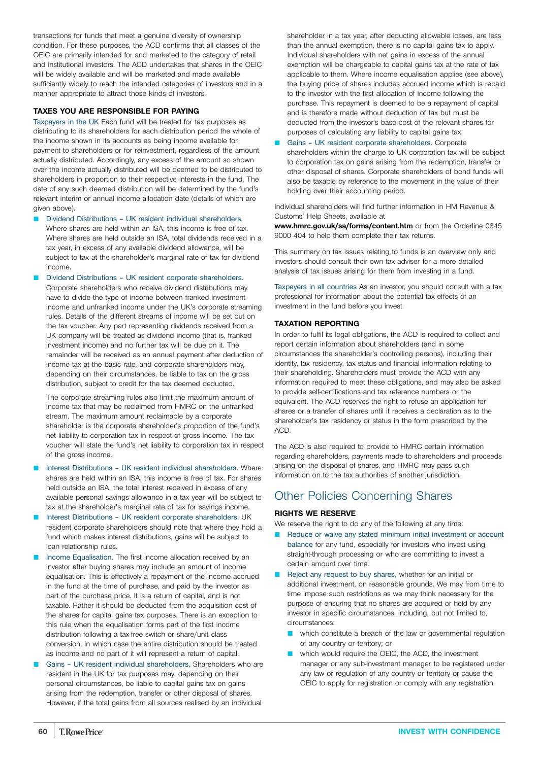transactions for funds that meet a genuine diversity of ownership condition. For these purposes, the ACD confirms that all classes of the OEIC are primarily intended for and marketed to the category of retail and institutional investors. The ACD undertakes that shares in the OEIC will be widely available and will be marketed and made available sufficiently widely to reach the intended categories of investors and in a manner appropriate to attract those kinds of investors.

### **TAXES YOU ARE RESPONSIBLE FOR PAYING**

Taxpayers in the UK Each fund will be treated for tax purposes as distributing to its shareholders for each distribution period the whole of the income shown in its accounts as being income available for payment to shareholders or for reinvestment, regardless of the amount actually distributed. Accordingly, any excess of the amount so shown over the income actually distributed will be deemed to be distributed to shareholders in proportion to their respective interests in the fund. The date of any such deemed distribution will be determined by the fund's relevant interim or annual income allocation date (details of which are given above).

Dividend Distributions – UK resident individual shareholders. Where shares are held within an ISA, this income is free of tax. Where shares are held outside an ISA, total dividends received in a tax year, in excess of any available dividend allowance, will be subject to tax at the shareholder's marginal rate of tax for dividend income.

Dividend Distributions - UK resident corporate shareholders.

Corporate shareholders who receive dividend distributions may have to divide the type of income between franked investment income and unfranked income under the UK's corporate streaming rules. Details of the different streams of income will be set out on the tax voucher. Any part representing dividends received from a UK company will be treated as dividend income (that is, franked investment income) and no further tax will be due on it. The remainder will be received as an annual payment after deduction of income tax at the basic rate, and corporate shareholders may, depending on their circumstances, be liable to tax on the gross distribution, subject to credit for the tax deemed deducted.

The corporate streaming rules also limit the maximum amount of income tax that may be reclaimed from HMRC on the unfranked stream. The maximum amount reclaimable by a corporate shareholder is the corporate shareholder's proportion of the fund's net liability to corporation tax in respect of gross income. The tax voucher will state the fund's net liability to corporation tax in respect of the gross income.

- Interest Distributions UK resident individual shareholders. Where shares are held within an ISA, this income is free of tax. For shares held outside an ISA, the total interest received in excess of any available personal savings allowance in a tax year will be subject to tax at the shareholder's marginal rate of tax for savings income.
- Interest Distributions UK resident corporate shareholders. UK resident corporate shareholders should note that where they hold a fund which makes interest distributions, gains will be subject to loan relationship rules.
- Income Equalisation. The first income allocation received by an investor after buying shares may include an amount of income equalisation. This is effectively a repayment of the income accrued in the fund at the time of purchase, and paid by the investor as part of the purchase price. It is a return of capital, and is not taxable. Rather it should be deducted from the acquisition cost of the shares for capital gains tax purposes. There is an exception to this rule when the equalisation forms part of the first income distribution following a tax-free switch or share/unit class conversion, in which case the entire distribution should be treated as income and no part of it will represent a return of capital.
- Gains UK resident individual shareholders. Shareholders who are resident in the UK for tax purposes may, depending on their personal circumstances, be liable to capital gains tax on gains arising from the redemption, transfer or other disposal of shares. However, if the total gains from all sources realised by an individual

shareholder in a tax year, after deducting allowable losses, are less than the annual exemption, there is no capital gains tax to apply. Individual shareholders with net gains in excess of the annual exemption will be chargeable to capital gains tax at the rate of tax applicable to them. Where income equalisation applies (see above), the buying price of shares includes accrued income which is repaid to the investor with the first allocation of income following the purchase. This repayment is deemed to be a repayment of capital and is therefore made without deduction of tax but must be deducted from the investor's base cost of the relevant shares for purposes of calculating any liability to capital gains tax.

Q Gains – UK resident corporate shareholders. Corporate shareholders within the charge to UK corporation tax will be subject to corporation tax on gains arising from the redemption, transfer or other disposal of shares. Corporate shareholders of bond funds will also be taxable by reference to the movement in the value of their holding over their accounting period.

Individual shareholders will find further information in HM Revenue & Customs' Help Sheets, available at

**[www.hmrc.gov.uk/sa/forms/content.htm](http://www.hmrc.gov.uk/sa/forms/content.htm)** or from the Orderline 0845 9000 404 to help them complete their tax returns.

This summary on tax issues relating to funds is an overview only and investors should consult their own tax adviser for a more detailed analysis of tax issues arising for them from investing in a fund.

Taxpayers in all countries As an investor, you should consult with a tax professional for information about the potential tax effects of an investment in the fund before you invest.

### **TAXATION REPORTING**

In order to fulfil its legal obligations, the ACD is required to collect and report certain information about shareholders (and in some circumstances the shareholder's controlling persons), including their identity, tax residency, tax status and financial information relating to their shareholding. Shareholders must provide the ACD with any information required to meet these obligations, and may also be asked to provide self-certifications and tax reference numbers or the equivalent. The ACD reserves the right to refuse an application for shares or a transfer of shares until it receives a declaration as to the shareholder's tax residency or status in the form prescribed by the ACD.

The ACD is also required to provide to HMRC certain information regarding shareholders, payments made to shareholders and proceeds arising on the disposal of shares, and HMRC may pass such information on to the tax authorities of another jurisdiction.

# Other Policies Concerning Shares

### **RIGHTS WE RESERVE**

We reserve the right to do any of the following at any time:

- Reduce or waive any stated minimum initial investment or account balance for any fund, especially for investors who invest using straight-through processing or who are committing to invest a certain amount over time.
- Reject any request to buy shares, whether for an initial or additional investment, on reasonable grounds. We may from time to time impose such restrictions as we may think necessary for the purpose of ensuring that no shares are acquired or held by any investor in specific circumstances, including, but not limited to, circumstances:
	- $\blacksquare$  which constitute a breach of the law or governmental regulation of any country or territory; or
	- which would require the OEIC, the ACD, the investment manager or any sub-investment manager to be registered under any law or regulation of any country or territory or cause the OEIC to apply for registration or comply with any registration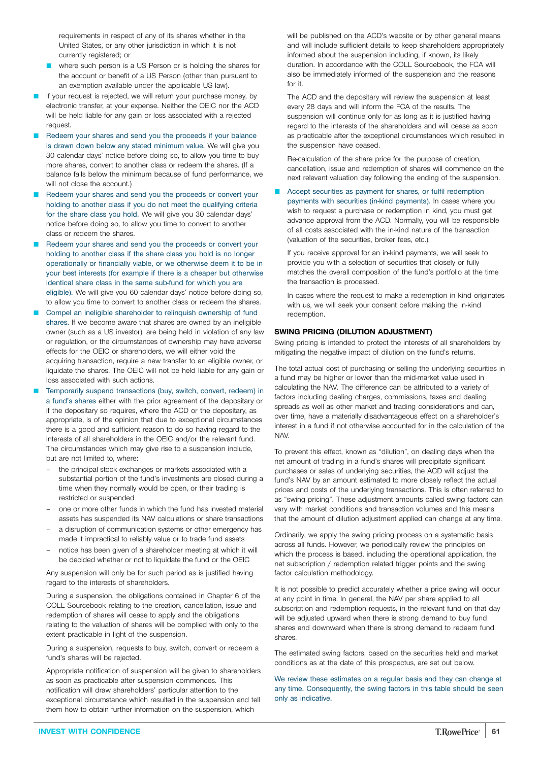requirements in respect of any of its shares whether in the United States, or any other jurisdiction in which it is not currently registered; or

- where such person is a US Person or is holding the shares for the account or benefit of a US Person (other than pursuant to an exemption available under the applicable US law).
- If your request is rejected, we will return your purchase money, by electronic transfer, at your expense. Neither the OEIC nor the ACD will be held liable for any gain or loss associated with a rejected request.
- Redeem your shares and send you the proceeds if your balance is drawn down below any stated minimum value. We will give you 30 calendar days' notice before doing so, to allow you time to buy more shares, convert to another class or redeem the shares. (If a balance falls below the minimum because of fund performance, we will not close the account.)
- Redeem your shares and send you the proceeds or convert your holding to another class if you do not meet the qualifying criteria for the share class you hold. We will give you 30 calendar days' notice before doing so, to allow you time to convert to another class or redeem the shares.
- Redeem your shares and send you the proceeds or convert your holding to another class if the share class you hold is no longer operationally or financially viable, or we otherwise deem it to be in your best interests (for example if there is a cheaper but otherwise identical share class in the same sub-fund for which you are eligible). We will give you 60 calendar days' notice before doing so, to allow you time to convert to another class or redeem the shares.
- Compel an ineligible shareholder to relinguish ownership of fund shares. If we become aware that shares are owned by an ineligible owner (such as a US investor), are being held in violation of any law or regulation, or the circumstances of ownership may have adverse effects for the OEIC or shareholders, we will either void the acquiring transaction, require a new transfer to an eligible owner, or liquidate the shares. The OEIC will not be held liable for any gain or loss associated with such actions.
- Temporarily suspend transactions (buy, switch, convert, redeem) in a fund's shares either with the prior agreement of the depositary or if the depositary so requires, where the ACD or the depositary, as appropriate, is of the opinion that due to exceptional circumstances there is a good and sufficient reason to do so having regard to the interests of all shareholders in the OEIC and/or the relevant fund. The circumstances which may give rise to a suspension include, but are not limited to, where:
	- the principal stock exchanges or markets associated with a substantial portion of the fund's investments are closed during a time when they normally would be open, or their trading is restricted or suspended
	- one or more other funds in which the fund has invested material assets has suspended its NAV calculations or share transactions
	- a disruption of communication systems or other emergency has made it impractical to reliably value or to trade fund assets
	- notice has been given of a shareholder meeting at which it will be decided whether or not to liquidate the fund or the OEIC

Any suspension will only be for such period as is justified having regard to the interests of shareholders.

During a suspension, the obligations contained in Chapter 6 of the COLL Sourcebook relating to the creation, cancellation, issue and redemption of shares will cease to apply and the obligations relating to the valuation of shares will be complied with only to the extent practicable in light of the suspension.

During a suspension, requests to buy, switch, convert or redeem a fund's shares will be rejected.

Appropriate notification of suspension will be given to shareholders as soon as practicable after suspension commences. This notification will draw shareholders' particular attention to the exceptional circumstance which resulted in the suspension and tell them how to obtain further information on the suspension, which

will be published on the ACD's website or by other general means and will include sufficient details to keep shareholders appropriately informed about the suspension including, if known, its likely duration. In accordance with the COLL Sourcebook, the FCA will also be immediately informed of the suspension and the reasons for it.

The ACD and the depositary will review the suspension at least every 28 days and will inform the FCA of the results. The suspension will continue only for as long as it is justified having regard to the interests of the shareholders and will cease as soon as practicable after the exceptional circumstances which resulted in the suspension have ceased.

Re-calculation of the share price for the purpose of creation, cancellation, issue and redemption of shares will commence on the next relevant valuation day following the ending of the suspension.

### Accept securities as payment for shares, or fulfil redemption

payments with securities (in-kind payments). In cases where you wish to request a purchase or redemption in kind, you must get advance approval from the ACD. Normally, you will be responsible of all costs associated with the in-kind nature of the transaction (valuation of the securities, broker fees, etc.).

If you receive approval for an in-kind payments, we will seek to provide you with a selection of securities that closely or fully matches the overall composition of the fund's portfolio at the time the transaction is processed.

In cases where the request to make a redemption in kind originates with us, we will seek your consent before making the in-kind redemption.

### **SWING PRICING (DILUTION ADJUSTMENT)**

Swing pricing is intended to protect the interests of all shareholders by mitigating the negative impact of dilution on the fund's returns.

The total actual cost of purchasing or selling the underlying securities in a fund may be higher or lower than the mid-market value used in calculating the NAV. The difference can be attributed to a variety of factors including dealing charges, commissions, taxes and dealing spreads as well as other market and trading considerations and can, over time, have a materially disadvantageous effect on a shareholder's interest in a fund if not otherwise accounted for in the calculation of the NAV.

To prevent this effect, known as "dilution", on dealing days when the net amount of trading in a fund's shares will precipitate significant purchases or sales of underlying securities, the ACD will adjust the fund's NAV by an amount estimated to more closely reflect the actual prices and costs of the underlying transactions. This is often referred to as "swing pricing". These adjustment amounts called swing factors can vary with market conditions and transaction volumes and this means that the amount of dilution adjustment applied can change at any time.

Ordinarily, we apply the swing pricing process on a systematic basis across all funds. However, we periodically review the principles on which the process is based, including the operational application, the net subscription / redemption related trigger points and the swing factor calculation methodology.

It is not possible to predict accurately whether a price swing will occur at any point in time. In general, the NAV per share applied to all subscription and redemption requests, in the relevant fund on that day will be adjusted upward when there is strong demand to buy fund shares and downward when there is strong demand to redeem fund shares.

The estimated swing factors, based on the securities held and market conditions as at the date of this prospectus, are set out below.

We review these estimates on a regular basis and they can change at any time. Consequently, the swing factors in this table should be seen only as indicative.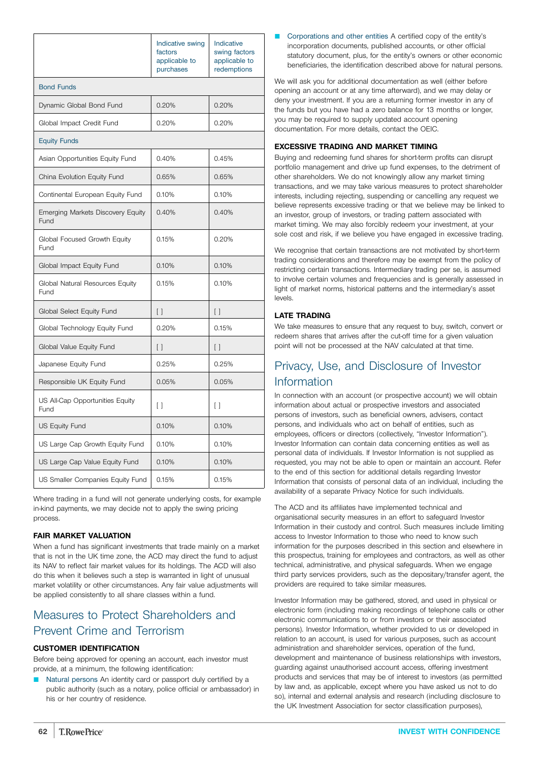|                                           | Indicative swing<br>factors<br>applicable to<br>purchases | Indicative<br>swing factors<br>applicable to<br>redemptions |
|-------------------------------------------|-----------------------------------------------------------|-------------------------------------------------------------|
| <b>Bond Funds</b>                         |                                                           |                                                             |
| Dynamic Global Bond Fund                  | 0.20%                                                     | 0.20%                                                       |
| Global Impact Credit Fund                 | 0.20%                                                     | 0.20%                                                       |
| <b>Equity Funds</b>                       |                                                           |                                                             |
| Asian Opportunities Equity Fund           | 0.40%                                                     | 0.45%                                                       |
| China Evolution Equity Fund               | 0.65%                                                     | 0.65%                                                       |
| Continental European Equity Fund          | 0.10%                                                     | 0.10%                                                       |
| Emerging Markets Discovery Equity<br>Fund | 0.40%                                                     | 0.40%                                                       |
| Global Focused Growth Equity<br>Fund      | 0.15%                                                     | 0.20%                                                       |
| Global Impact Equity Fund                 | 0.10%                                                     | 0.10%                                                       |
| Global Natural Resources Equity<br>Fund   | 0.15%                                                     | 0.10%                                                       |
| Global Select Equity Fund                 | $\left[ \ \right]$                                        | $\left[ \ \right]$                                          |
| Global Technology Equity Fund             | 0.20%                                                     | 0.15%                                                       |
| Global Value Equity Fund                  | $\left[ \ \right]$                                        | $[ \ ]$                                                     |
| Japanese Equity Fund                      | 0.25%                                                     | 0.25%                                                       |
| Responsible UK Equity Fund                | 0.05%                                                     | 0.05%                                                       |
| US All-Cap Opportunities Equity<br>Fund   | $\Box$                                                    | $\Box$                                                      |
| <b>US Equity Fund</b>                     | 0.10%                                                     | 0.10%                                                       |
| US Large Cap Growth Equity Fund           | 0.10%                                                     | 0.10%                                                       |
| US Large Cap Value Equity Fund            | 0.10%                                                     | 0.10%                                                       |
| US Smaller Companies Equity Fund          | 0.15%                                                     | 0.15%                                                       |

Where trading in a fund will not generate underlying costs, for example in-kind payments, we may decide not to apply the swing pricing process.

### **FAIR MARKET VALUATION**

When a fund has significant investments that trade mainly on a market that is not in the UK time zone, the ACD may direct the fund to adjust its NAV to reflect fair market values for its holdings. The ACD will also do this when it believes such a step is warranted in light of unusual market volatility or other circumstances. Any fair value adjustments will be applied consistently to all share classes within a fund.

# Measures to Protect Shareholders and Prevent Crime and Terrorism

### **CUSTOMER IDENTIFICATION**

Before being approved for opening an account, each investor must provide, at a minimum, the following identification:

Natural persons An identity card or passport duly certified by a public authority (such as a notary, police official or ambassador) in his or her country of residence.

■ Corporations and other entities A certified copy of the entity's incorporation documents, published accounts, or other official statutory document, plus, for the entity's owners or other economic beneficiaries, the identification described above for natural persons.

We will ask you for additional documentation as well (either before opening an account or at any time afterward), and we may delay or deny your investment. If you are a returning former investor in any of the funds but you have had a zero balance for 13 months or longer, you may be required to supply updated account opening documentation. For more details, contact the OEIC.

### **EXCESSIVE TRADING AND MARKET TIMING**

Buying and redeeming fund shares for short-term profits can disrupt portfolio management and drive up fund expenses, to the detriment of other shareholders. We do not knowingly allow any market timing transactions, and we may take various measures to protect shareholder interests, including rejecting, suspending or cancelling any request we believe represents excessive trading or that we believe may be linked to an investor, group of investors, or trading pattern associated with market timing. We may also forcibly redeem your investment, at your sole cost and risk, if we believe you have engaged in excessive trading.

We recognise that certain transactions are not motivated by short-term trading considerations and therefore may be exempt from the policy of restricting certain transactions. Intermediary trading per se, is assumed to involve certain volumes and frequencies and is generally assessed in light of market norms, historical patterns and the intermediary's asset levels.

### **LATE TRADING**

We take measures to ensure that any request to buy, switch, convert or redeem shares that arrives after the cut-off time for a given valuation point will not be processed at the NAV calculated at that time.

# Privacy, Use, and Disclosure of Investor Information

In connection with an account (or prospective account) we will obtain information about actual or prospective investors and associated persons of investors, such as beneficial owners, advisers, contact persons, and individuals who act on behalf of entities, such as employees, officers or directors (collectively, "Investor Information"). Investor Information can contain data concerning entities as well as personal data of individuals. If Investor Information is not supplied as requested, you may not be able to open or maintain an account. Refer to the end of this section for additional details regarding Investor Information that consists of personal data of an individual, including the availability of a separate Privacy Notice for such individuals.

The ACD and its affiliates have implemented technical and organisational security measures in an effort to safeguard Investor Information in their custody and control. Such measures include limiting access to Investor Information to those who need to know such information for the purposes described in this section and elsewhere in this prospectus, training for employees and contractors, as well as other technical, administrative, and physical safeguards. When we engage third party services providers, such as the depositary/transfer agent, the providers are required to take similar measures.

Investor Information may be gathered, stored, and used in physical or electronic form (including making recordings of telephone calls or other electronic communications to or from investors or their associated persons). Investor Information, whether provided to us or developed in relation to an account, is used for various purposes, such as account administration and shareholder services, operation of the fund, development and maintenance of business relationships with investors, guarding against unauthorised account access, offering investment products and services that may be of interest to investors (as permitted by law and, as applicable, except where you have asked us not to do so), internal and external analysis and research (including disclosure to the UK Investment Association for sector classification purposes),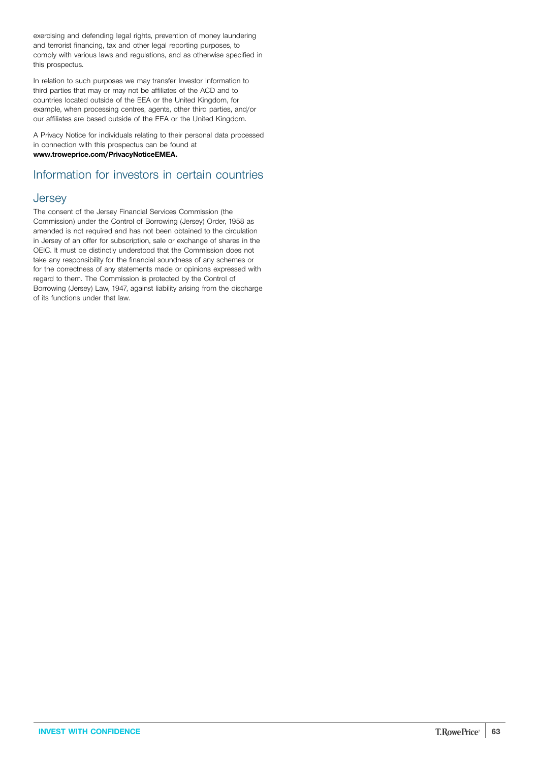exercising and defending legal rights, prevention of money laundering and terrorist financing, tax and other legal reporting purposes, to comply with various laws and regulations, and as otherwise specified in this prospectus.

In relation to such purposes we may transfer Investor Information to third parties that may or may not be affiliates of the ACD and to countries located outside of the EEA or the United Kingdom, for example, when processing centres, agents, other third parties, and/or our affiliates are based outside of the EEA or the United Kingdom.

A Privacy Notice for individuals relating to their personal data processed in connection with this prospectus can be found at **[www.troweprice.com/PrivacyNoticeEMEA.](http://www.troweprice.com/PrivacyNoticeEMEA)**

# Information for investors in certain countries

### **Jersey**

The consent of the Jersey Financial Services Commission (the Commission) under the Control of Borrowing (Jersey) Order, 1958 as amended is not required and has not been obtained to the circulation in Jersey of an offer for subscription, sale or exchange of shares in the OEIC. It must be distinctly understood that the Commission does not take any responsibility for the financial soundness of any schemes or for the correctness of any statements made or opinions expressed with regard to them. The Commission is protected by the Control of Borrowing (Jersey) Law, 1947, against liability arising from the discharge of its functions under that law.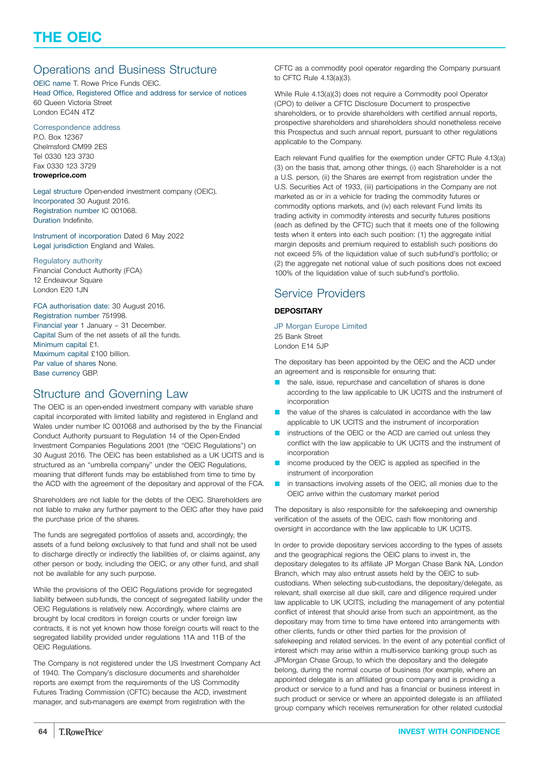# <span id="page-63-0"></span>Operations and Business Structure

OEIC name T. Rowe Price Funds OEIC. Head Office, Registered Office and address for service of notices 60 Queen Victoria Street London EC4N 4TZ

Correspondence address

P.O. Box 12367 Chelmsford CM99 2ES Tel 0330 123 3730 Fax 0330 123 3729 **[troweprice.com](http://www.troweprice.com)**

Legal structure Open-ended investment company (OEIC). Incorporated 30 August 2016. Registration number IC 001068. Duration Indefinite.

Instrument of incorporation Dated 6 May 2022 Legal jurisdiction England and Wales.

### Regulatory authority

Financial Conduct Authority (FCA) 12 Endeavour Square London E20 1JN

### FCA authorisation date: 30 August 2016.

Registration number 751998. Financial year 1 January – 31 December. Capital Sum of the net assets of all the funds. Minimum capital £1. Maximum capital £100 billion. Par value of shares None. Base currency GBP.

### Structure and Governing Law

The OEIC is an open-ended investment company with variable share capital incorporated with limited liability and registered in England and Wales under number IC 001068 and authorised by the by the Financial Conduct Authority pursuant to Regulation 14 of the Open-Ended Investment Companies Regulations 2001 (the "OEIC Regulations") on 30 August 2016. The OEIC has been established as a UK UCITS and is structured as an "umbrella company" under the OEIC Regulations, meaning that different funds may be established from time to time by the ACD with the agreement of the depositary and approval of the FCA.

Shareholders are not liable for the debts of the OEIC. Shareholders are not liable to make any further payment to the OEIC after they have paid the purchase price of the shares.

The funds are segregated portfolios of assets and, accordingly, the assets of a fund belong exclusively to that fund and shall not be used to discharge directly or indirectly the liabilities of, or claims against, any other person or body, including the OEIC, or any other fund, and shall not be available for any such purpose.

While the provisions of the OEIC Regulations provide for segregated liability between sub-funds, the concept of segregated liability under the OEIC Regulations is relatively new. Accordingly, where claims are brought by local creditors in foreign courts or under foreign law contracts, it is not yet known how those foreign courts will react to the segregated liability provided under regulations 11A and 11B of the OEIC Regulations.

The Company is not registered under the US Investment Company Act of 1940. The Company's disclosure documents and shareholder reports are exempt from the requirements of the US Commodity Futures Trading Commission (CFTC) because the ACD, investment manager, and sub-managers are exempt from registration with the

CFTC as a commodity pool operator regarding the Company pursuant to CFTC Rule 4.13(a)(3).

While Rule 4.13(a)(3) does not require a Commodity pool Operator (CPO) to deliver a CFTC Disclosure Document to prospective shareholders, or to provide shareholders with certified annual reports, prospective shareholders and shareholders should nonetheless receive this Prospectus and such annual report, pursuant to other regulations applicable to the Company.

Each relevant Fund qualifies for the exemption under CFTC Rule 4.13(a) (3) on the basis that, among other things, (i) each Shareholder is a not a U.S. person, (ii) the Shares are exempt from registration under the U.S. Securities Act of 1933, (iii) participations in the Company are not marketed as or in a vehicle for trading the commodity futures or commodity options markets, and (iv) each relevant Fund limits its trading activity in commodity interests and security futures positions (each as defined by the CFTC) such that it meets one of the following tests when it enters into each such position: (1) the aggregate initial margin deposits and premium required to establish such positions do not exceed 5% of the liquidation value of such sub-fund's portfolio; or (2) the aggregate net notional value of such positions does not exceed 100% of the liquidation value of such sub-fund's portfolio.

# Service Providers

### **DEPOSITARY**

JP Morgan Europe Limited 25 Bank Street London E14 5JP

The depositary has been appointed by the OEIC and the ACD under an agreement and is responsible for ensuring that:

- **D** the sale, issue, repurchase and cancellation of shares is done according to the law applicable to UK UCITS and the instrument of incorporation
- the value of the shares is calculated in accordance with the law applicable to UK UCITS and the instrument of incorporation
- instructions of the OEIC or the ACD are carried out unless they conflict with the law applicable to UK UCITS and the instrument of incorporation
- income produced by the OEIC is applied as specified in the instrument of incorporation
- **n** in transactions involving assets of the OEIC, all monies due to the OEIC arrive within the customary market period

The depositary is also responsible for the safekeeping and ownership verification of the assets of the OEIC, cash flow monitoring and oversight in accordance with the law applicable to UK UCITS.

In order to provide depositary services according to the types of assets and the geographical regions the OEIC plans to invest in, the depositary delegates to its affiliate JP Morgan Chase Bank NA, London Branch, which may also entrust assets held by the OEIC to subcustodians. When selecting sub-custodians, the depositary/delegate, as relevant, shall exercise all due skill, care and diligence required under law applicable to UK UCITS, including the management of any potential conflict of interest that should arise from such an appointment, as the depositary may from time to time have entered into arrangements with other clients, funds or other third parties for the provision of safekeeping and related services. In the event of any potential conflict of interest which may arise within a multi-service banking group such as JPMorgan Chase Group, to which the depositary and the delegate belong, during the normal course of business (for example, where an appointed delegate is an affiliated group company and is providing a product or service to a fund and has a financial or business interest in such product or service or where an appointed delegate is an affiliated group company which receives remuneration for other related custodial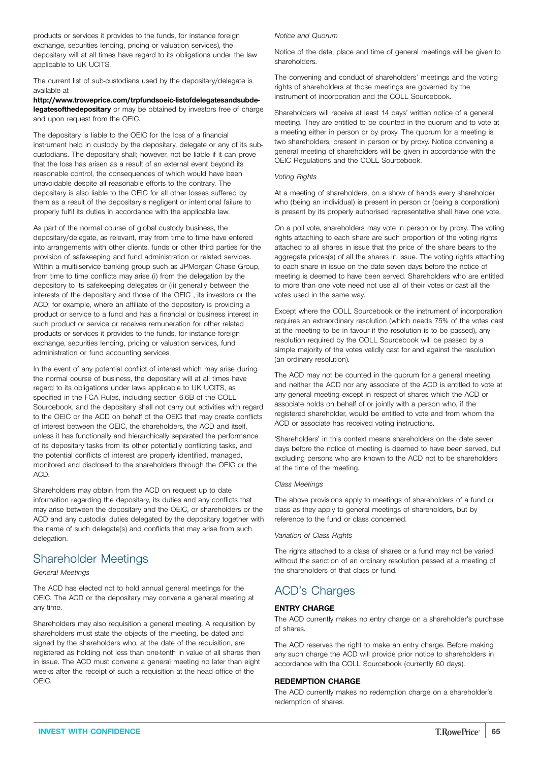products or services it provides to the funds, for instance foreign exchange, securities lending, pricing or valuation services), the depositary will at all times have regard to its obligations under the law applicable to UK UCITS.

The current list of sub-custodians used by the depositary/delegate is available at

**[http://www.troweprice.com/trpfundsoeic-listofdelegatesandsubde](http://www.troweprice.com/trpfundsoeic-listofdelegatesandsubdelegatesofthedepositary)[legatesofthedepositary](http://www.troweprice.com/trpfundsoeic-listofdelegatesandsubdelegatesofthedepositary)** or may be obtained by investors free of charge and upon request from the OEIC.

The depositary is liable to the OEIC for the loss of a financial instrument held in custody by the depositary, delegate or any of its subcustodians. The depositary shall; however, not be liable if it can prove that the loss has arisen as a result of an external event beyond its reasonable control, the consequences of which would have been unavoidable despite all reasonable efforts to the contrary. The depositary is also liable to the OEIC for all other losses suffered by them as a result of the depositary's negligent or intentional failure to properly fulfil its duties in accordance with the applicable law.

As part of the normal course of global custody business, the depositary/delegate, as relevant, may from time to time have entered into arrangements with other clients, funds or other third parties for the provision of safekeeping and fund administration or related services. Within a multi-service banking group such as JPMorgan Chase Group, from time to time conflicts may arise (i) from the delegation by the depository to its safekeeping delegates or (ii) generally between the interests of the depositary and those of the OEIC , its investors or the ACD; for example, where an affiliate of the depository is providing a product or service to a fund and has a financial or business interest in such product or service or receives remuneration for other related products or services it provides to the funds, for instance foreign exchange, securities lending, pricing or valuation services, fund administration or fund accounting services.

In the event of any potential conflict of interest which may arise during the normal course of business, the depositary will at all times have regard to its obligations under laws applicable to UK UCITS, as specified in the FCA Rules, including section 6.6B of the COLL Sourcebook, and the depositary shall not carry out activities with regard to the OEIC or the ACD on behalf of the OEIC that may create conflicts of interest between the OEIC, the shareholders, the ACD and itself, unless it has functionally and hierarchically separated the performance of its depositary tasks from its other potentially conflicting tasks, and the potential conflicts of interest are properly identified, managed, monitored and disclosed to the shareholders through the OEIC or the ACD.

Shareholders may obtain from the ACD on request up to date information regarding the depositary, its duties and any conflicts that may arise between the depositary and the OEIC, or shareholders or the ACD and any custodial duties delegated by the depositary together with the name of such delegate(s) and conflicts that may arise from such delegation.

# Shareholder Meetings

*General Meetings*

The ACD has elected not to hold annual general meetings for the OEIC. The ACD or the depositary may convene a general meeting at any time.

Shareholders may also requisition a general meeting. A requisition by shareholders must state the objects of the meeting, be dated and signed by the shareholders who, at the date of the requisition, are registered as holding not less than one-tenth in value of all shares then in issue. The ACD must convene a general meeting no later than eight weeks after the receipt of such a requisition at the head office of the OEIC.

### *Notice and Quorum*

Notice of the date, place and time of general meetings will be given to shareholders.

The convening and conduct of shareholders' meetings and the voting rights of shareholders at those meetings are governed by the instrument of incorporation and the COLL Sourcebook.

Shareholders will receive at least 14 days' written notice of a general meeting. They are entitled to be counted in the quorum and to vote at a meeting either in person or by proxy. The quorum for a meeting is two shareholders, present in person or by proxy. Notice convening a general meeting of shareholders will be given in accordance with the OEIC Regulations and the COLL Sourcebook.

### *Voting Rights*

At a meeting of shareholders, on a show of hands every shareholder who (being an individual) is present in person or (being a corporation) is present by its properly authorised representative shall have one vote.

On a poll vote, shareholders may vote in person or by proxy. The voting rights attaching to each share are such proportion of the voting rights attached to all shares in issue that the price of the share bears to the aggregate prices(s) of all the shares in issue. The voting rights attaching to each share in issue on the date seven days before the notice of meeting is deemed to have been served. Shareholders who are entitled to more than one vote need not use all of their votes or cast all the votes used in the same way.

Except where the COLL Sourcebook or the instrument of incorporation requires an extraordinary resolution (which needs 75% of the votes cast at the meeting to be in favour if the resolution is to be passed), any resolution required by the COLL Sourcebook will be passed by a simple majority of the votes validly cast for and against the resolution (an ordinary resolution).

The ACD may not be counted in the quorum for a general meeting, and neither the ACD nor any associate of the ACD is entitled to vote at any general meeting except in respect of shares which the ACD or associate holds on behalf of or jointly with a person who, if the registered shareholder, would be entitled to vote and from whom the ACD or associate has received voting instructions.

'Shareholders' in this context means shareholders on the date seven days before the notice of meeting is deemed to have been served, but excluding persons who are known to the ACD not to be shareholders at the time of the meeting.

### *Class Meetings*

The above provisions apply to meetings of shareholders of a fund or class as they apply to general meetings of shareholders, but by reference to the fund or class concerned.

#### *Variation of Class Rights*

The rights attached to a class of shares or a fund may not be varied without the sanction of an ordinary resolution passed at a meeting of the shareholders of that class or fund.

# ACD's Charges

### **ENTRY CHARGE**

The ACD currently makes no entry charge on a shareholder's purchase of shares.

The ACD reserves the right to make an entry charge. Before making any such charge the ACD will provide prior notice to shareholders in accordance with the COLL Sourcebook (currently 60 days).

### **REDEMPTION CHARGE**

The ACD currently makes no redemption charge on a shareholder's redemption of shares.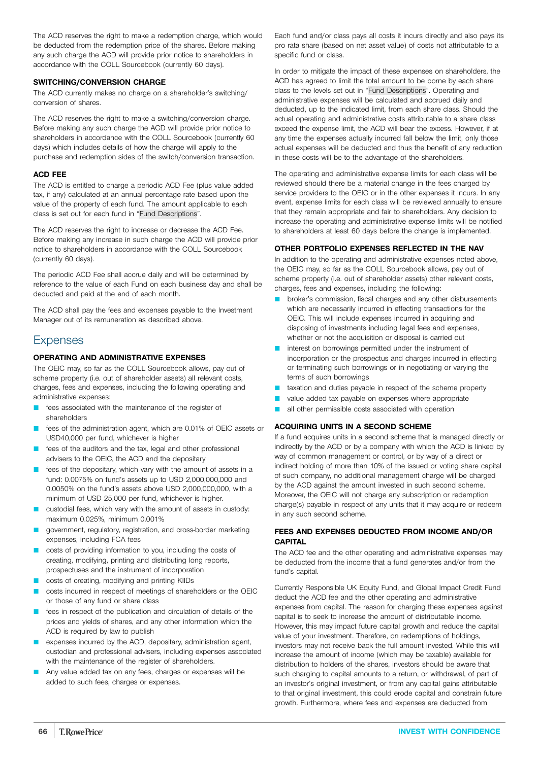The ACD reserves the right to make a redemption charge, which would be deducted from the redemption price of the shares. Before making any such charge the ACD will provide prior notice to shareholders in accordance with the COLL Sourcebook (currently 60 days).

### **SWITCHING/CONVERSION CHARGE**

The ACD currently makes no charge on a shareholder's switching/ conversion of shares.

The ACD reserves the right to make a switching/conversion charge. Before making any such charge the ACD will provide prior notice to shareholders in accordance with the COLL Sourcebook (currently 60 days) which includes details of how the charge will apply to the purchase and redemption sides of the switch/conversion transaction.

### **ACD FEE**

The ACD is entitled to charge a periodic ACD Fee (plus value added tax, if any) calculated at an annual percentage rate based upon the value of the property of each fund. The amount applicable to each class is set out for each fund in "Fund [Descriptions"](#page-3-0).

The ACD reserves the right to increase or decrease the ACD Fee. Before making any increase in such charge the ACD will provide prior notice to shareholders in accordance with the COLL Sourcebook (currently 60 days).

The periodic ACD Fee shall accrue daily and will be determined by reference to the value of each Fund on each business day and shall be deducted and paid at the end of each month.

The ACD shall pay the fees and expenses payable to the Investment Manager out of its remuneration as described above.

# **Expenses**

### **OPERATING AND ADMINISTRATIVE EXPENSES**

The OEIC may, so far as the COLL Sourcebook allows, pay out of scheme property (i.e. out of shareholder assets) all relevant costs, charges, fees and expenses, including the following operating and administrative expenses:

- **E** fees associated with the maintenance of the register of shareholders
- fees of the administration agent, which are 0.01% of OEIC assets or USD40,000 per fund, whichever is higher
- fees of the auditors and the tax, legal and other professional advisers to the OEIC, the ACD and the depositary
- fees of the depositary, which vary with the amount of assets in a fund: 0.0075% on fund's assets up to USD 2,000,000,000 and 0.0050% on the fund's assets above USD 2,000,000,000, with a minimum of USD 25,000 per fund, whichever is higher.
- custodial fees, which vary with the amount of assets in custody: maximum 0.025%, minimum 0.001%
- Q government, regulatory, registration, and cross-border marketing expenses, including FCA fees
- costs of providing information to you, including the costs of creating, modifying, printing and distributing long reports, prospectuses and the instrument of incorporation
- costs of creating, modifying and printing KIIDs
- costs incurred in respect of meetings of shareholders or the OEIC or those of any fund or share class
- fees in respect of the publication and circulation of details of the prices and yields of shares, and any other information which the ACD is required by law to publish
- expenses incurred by the ACD, depositary, administration agent, custodian and professional advisers, including expenses associated with the maintenance of the register of shareholders.
- Any value added tax on any fees, charges or expenses will be added to such fees, charges or expenses.

Each fund and/or class pays all costs it incurs directly and also pays its pro rata share (based on net asset value) of costs not attributable to a specific fund or class.

In order to mitigate the impact of these expenses on shareholders, the ACD has agreed to limit the total amount to be borne by each share class to the levels set out in "Fund [Descriptions"](#page-3-0). Operating and administrative expenses will be calculated and accrued daily and deducted, up to the indicated limit, from each share class. Should the actual operating and administrative costs attributable to a share class exceed the expense limit, the ACD will bear the excess. However, if at any time the expenses actually incurred fall below the limit, only those actual expenses will be deducted and thus the benefit of any reduction in these costs will be to the advantage of the shareholders.

The operating and administrative expense limits for each class will be reviewed should there be a material change in the fees charged by service providers to the OEIC or in the other expenses it incurs. In any event, expense limits for each class will be reviewed annually to ensure that they remain appropriate and fair to shareholders. Any decision to increase the operating and administrative expense limits will be notified to shareholders at least 60 days before the change is implemented.

### **OTHER PORTFOLIO EXPENSES REFLECTED IN THE NAV**

In addition to the operating and administrative expenses noted above, the OEIC may, so far as the COLL Sourcebook allows, pay out of scheme property (i.e. out of shareholder assets) other relevant costs, charges, fees and expenses, including the following:

- broker's commission, fiscal charges and any other disbursements which are necessarily incurred in effecting transactions for the OEIC. This will include expenses incurred in acquiring and disposing of investments including legal fees and expenses, whether or not the acquisition or disposal is carried out
- interest on borrowings permitted under the instrument of incorporation or the prospectus and charges incurred in effecting or terminating such borrowings or in negotiating or varying the terms of such borrowings
- **L** taxation and duties payable in respect of the scheme property
- value added tax payable on expenses where appropriate
- all other permissible costs associated with operation

### **ACQUIRING UNITS IN A SECOND SCHEME**

If a fund acquires units in a second scheme that is managed directly or indirectly by the ACD or by a company with which the ACD is linked by way of common management or control, or by way of a direct or indirect holding of more than 10% of the issued or voting share capital of such company, no additional management charge will be charged by the ACD against the amount invested in such second scheme. Moreover, the OEIC will not charge any subscription or redemption charge(s) payable in respect of any units that it may acquire or redeem in any such second scheme.

### **FEES AND EXPENSES DEDUCTED FROM INCOME AND/OR CAPITAL**

The ACD fee and the other operating and administrative expenses may be deducted from the income that a fund generates and/or from the fund's capital.

Currently Responsible UK Equity Fund, and Global Impact Credit Fund deduct the ACD fee and the other operating and administrative expenses from capital. The reason for charging these expenses against capital is to seek to increase the amount of distributable income. However, this may impact future capital growth and reduce the capital value of your investment. Therefore, on redemptions of holdings, investors may not receive back the full amount invested. While this will increase the amount of income (which may be taxable) available for distribution to holders of the shares, investors should be aware that such charging to capital amounts to a return, or withdrawal, of part of an investor's original investment, or from any capital gains attributable to that original investment, this could erode capital and constrain future growth. Furthermore, where fees and expenses are deducted from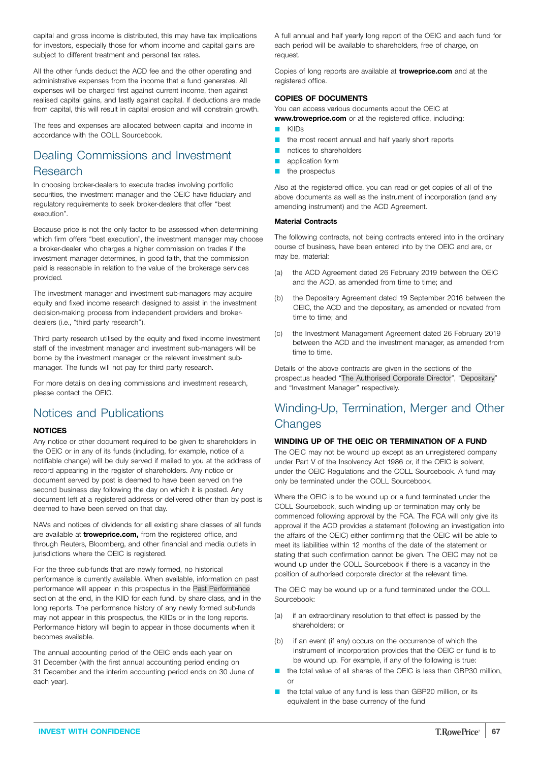capital and gross income is distributed, this may have tax implications for investors, especially those for whom income and capital gains are subject to different treatment and personal tax rates.

All the other funds deduct the ACD fee and the other operating and administrative expenses from the income that a fund generates. All expenses will be charged first against current income, then against realised capital gains, and lastly against capital. If deductions are made from capital, this will result in capital erosion and will constrain growth.

The fees and expenses are allocated between capital and income in accordance with the COLL Sourcebook.

### Dealing Commissions and Investment Research

In choosing broker-dealers to execute trades involving portfolio securities, the investment manager and the OEIC have fiduciary and regulatory requirements to seek broker-dealers that offer "best execution".

Because price is not the only factor to be assessed when determining which firm offers "best execution", the investment manager may choose a broker-dealer who charges a higher commission on trades if the investment manager determines, in good faith, that the commission paid is reasonable in relation to the value of the brokerage services provided.

The investment manager and investment sub-managers may acquire equity and fixed income research designed to assist in the investment decision-making process from independent providers and brokerdealers (i.e., "third party research").

Third party research utilised by the equity and fixed income investment staff of the investment manager and investment sub-managers will be borne by the investment manager or the relevant investment submanager. The funds will not pay for third party research.

For more details on dealing commissions and investment research, please contact the OEIC.

## Notices and Publications

### **NOTICES**

Any notice or other document required to be given to shareholders in the OEIC or in any of its funds (including, for example, notice of a notifiable change) will be duly served if mailed to you at the address of record appearing in the register of shareholders. Any notice or document served by post is deemed to have been served on the second business day following the day on which it is posted. Any document left at a registered address or delivered other than by post is deemed to have been served on that day.

NAVs and notices of dividends for all existing share classes of all funds are available at **[troweprice.com,](http://www.troweprice.com)** from the registered office, and through Reuters, Bloomberg, and other financial and media outlets in jurisdictions where the OEIC is registered.

For the three sub-funds that are newly formed, no historical performance is currently available. When available, information on past performance will appear in this prospectus in the Past [Performance](#page-72-0) section at the end, in the KIID for each fund, by share class, and in the long reports. The performance history of any newly formed sub-funds may not appear in this prospectus, the KIIDs or in the long reports. Performance history will begin to appear in those documents when it becomes available.

The annual accounting period of the OEIC ends each year on 31 December (with the first annual accounting period ending on 31 December and the interim accounting period ends on 30 June of each year).

A full annual and half yearly long report of the OEIC and each fund for each period will be available to shareholders, free of charge, on request.

Copies of long reports are available at **[troweprice.com](http://www.troweprice.com)** and at the registered office.

### **COPIES OF DOCUMENTS**

You can access various documents about the OEIC at

**[www.troweprice.com](http://www.troweprice.com)** or at the registered office, including:

- **C** KIIDs
- $\blacksquare$  the most recent annual and half yearly short reports
- notices to shareholders
- **Q** application form
- the prospectus

Also at the registered office, you can read or get copies of all of the above documents as well as the instrument of incorporation (and any amending instrument) and the ACD Agreement.

### **Material Contracts**

The following contracts, not being contracts entered into in the ordinary course of business, have been entered into by the OEIC and are, or may be, material:

- (a) the ACD Agreement dated 26 February 2019 between the OEIC and the ACD, as amended from time to time; and
- (b) the Depositary Agreement dated 19 September 2016 between the OEIC, the ACD and the depositary, as amended or novated from time to time; and
- (c) the Investment Management Agreement dated 26 February 2019 between the ACD and the investment manager, as amended from time to time.

Details of the above contracts are given in the sections of the prospectus headed "The [Authorised](#page-68-0) Corporate Director", ["Depositary](#page-63-0)" and "Investment Manager" respectively.

# Winding-Up, Termination, Merger and Other **Changes**

### **WINDING UP OF THE OEIC OR TERMINATION OF A FUND**

The OEIC may not be wound up except as an unregistered company under Part V of the Insolvency Act 1986 or, if the OEIC is solvent, under the OEIC Regulations and the COLL Sourcebook. A fund may only be terminated under the COLL Sourcebook.

Where the OEIC is to be wound up or a fund terminated under the COLL Sourcebook, such winding up or termination may only be commenced following approval by the FCA. The FCA will only give its approval if the ACD provides a statement (following an investigation into the affairs of the OEIC) either confirming that the OEIC will be able to meet its liabilities within 12 months of the date of the statement or stating that such confirmation cannot be given. The OEIC may not be wound up under the COLL Sourcebook if there is a vacancy in the position of authorised corporate director at the relevant time.

The OEIC may be wound up or a fund terminated under the COLL Sourcebook:

- (a) if an extraordinary resolution to that effect is passed by the shareholders; or
- (b) if an event (if any) occurs on the occurrence of which the instrument of incorporation provides that the OEIC or fund is to be wound up. For example, if any of the following is true:
- the total value of all shares of the OEIC is less than GBP30 million, or
- the total value of any fund is less than GBP20 million, or its equivalent in the base currency of the fund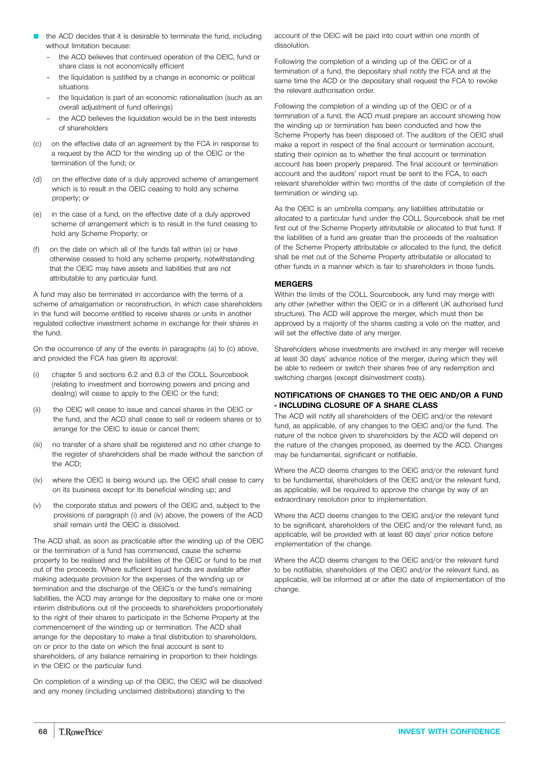- the ACD decides that it is desirable to terminate the fund, including without limitation because:
	- the ACD believes that continued operation of the OEIC, fund or share class is not economically efficient
	- the liquidation is justified by a change in economic or political situations
	- the liquidation is part of an economic rationalisation (such as an overall adjustment of fund offerings)
	- the ACD believes the liquidation would be in the best interests of shareholders
- (c) on the effective date of an agreement by the FCA in response to a request by the ACD for the winding up of the OEIC or the termination of the fund; or
- (d) on the effective date of a duly approved scheme of arrangement which is to result in the OEIC ceasing to hold any scheme property; or
- (e) in the case of a fund, on the effective date of a duly approved scheme of arrangement which is to result in the fund ceasing to hold any Scheme Property; or
- on the date on which all of the funds fall within (e) or have otherwise ceased to hold any scheme property, notwithstanding that the OEIC may have assets and liabilities that are not attributable to any particular fund.

A fund may also be terminated in accordance with the terms of a scheme of amalgamation or reconstruction, in which case shareholders in the fund will become entitled to receive shares or units in another regulated collective investment scheme in exchange for their shares in the fund.

On the occurrence of any of the events in paragraphs (a) to (c) above, and provided the FCA has given its approval:

- (i) chapter 5 and sections 6.2 and 6.3 of the COLL Sourcebook (relating to investment and borrowing powers and pricing and dealing) will cease to apply to the OEIC or the fund;
- (ii) the OEIC will cease to issue and cancel shares in the OEIC or the fund, and the ACD shall cease to sell or redeem shares or to arrange for the OEIC to issue or cancel them;
- (iii) no transfer of a share shall be registered and no other change to the register of shareholders shall be made without the sanction of the ACD;
- (iv) where the OEIC is being wound up, the OEIC shall cease to carry on its business except for its beneficial winding up; and
- (v) the corporate status and powers of the OEIC and, subject to the provisions of paragraph (i) and (iv) above, the powers of the ACD shall remain until the OEIC is dissolved.

The ACD shall, as soon as practicable after the winding up of the OEIC or the termination of a fund has commenced, cause the scheme property to be realised and the liabilities of the OEIC or fund to be met out of the proceeds. Where sufficient liquid funds are available after making adequate provision for the expenses of the winding up or termination and the discharge of the OEIC's or the fund's remaining liabilities, the ACD may arrange for the depositary to make one or more interim distributions out of the proceeds to shareholders proportionately to the right of their shares to participate in the Scheme Property at the commencement of the winding up or termination. The ACD shall arrange for the depositary to make a final distribution to shareholders, on or prior to the date on which the final account is sent to shareholders, of any balance remaining in proportion to their holdings in the OEIC or the particular fund.

On completion of a winding up of the OEIC, the OEIC will be dissolved and any money (including unclaimed distributions) standing to the

account of the OEIC will be paid into court within one month of dissolution.

Following the completion of a winding up of the OEIC or of a termination of a fund, the depositary shall notify the FCA and at the same time the ACD or the depositary shall request the FCA to revoke the relevant authorisation order.

Following the completion of a winding up of the OEIC or of a termination of a fund, the ACD must prepare an account showing how the winding up or termination has been conducted and how the Scheme Property has been disposed of. The auditors of the OEIC shall make a report in respect of the final account or termination account, stating their opinion as to whether the final account or termination account has been properly prepared. The final account or termination account and the auditors' report must be sent to the FCA, to each relevant shareholder within two months of the date of completion of the termination or winding up.

As the OEIC is an umbrella company, any liabilities attributable or allocated to a particular fund under the COLL Sourcebook shall be met first out of the Scheme Property attributable or allocated to that fund. If the liabilities of a fund are greater than the proceeds of the realisation of the Scheme Property attributable or allocated to the fund, the deficit shall be met out of the Scheme Property attributable or allocated to other funds in a manner which is fair to shareholders in those funds.

### **MERGERS**

Within the limits of the COLL Sourcebook, any fund may merge with any other (whether within the OEIC or in a different UK authorised fund structure). The ACD will approve the merger, which must then be approved by a majority of the shares casting a vote on the matter, and will set the effective date of any merger.

Shareholders whose investments are involved in any merger will receive at least 30 days' advance notice of the merger, during which they will be able to redeem or switch their shares free of any redemption and switching charges (except disinvestment costs).

### **NOTIFICATIONS OF CHANGES TO THE OEIC AND/OR A FUND - INCLUDING CLOSURE OF A SHARE CLASS**

The ACD will notify all shareholders of the OEIC and/or the relevant fund, as applicable, of any changes to the OEIC and/or the fund. The nature of the notice given to shareholders by the ACD will depend on the nature of the changes proposed, as deemed by the ACD. Changes may be fundamental, significant or notifiable.

Where the ACD deems changes to the OEIC and/or the relevant fund to be fundamental, shareholders of the OEIC and/or the relevant fund, as applicable, will be required to approve the change by way of an extraordinary resolution prior to implementation.

Where the ACD deems changes to the OEIC and/or the relevant fund to be significant, shareholders of the OEIC and/or the relevant fund, as applicable, will be provided with at least 60 days' prior notice before implementation of the change.

Where the ACD deems changes to the OEIC and/or the relevant fund to be notifiable, shareholders of the OEIC and/or the relevant fund, as applicable, will be informed at or after the date of implementation of the change.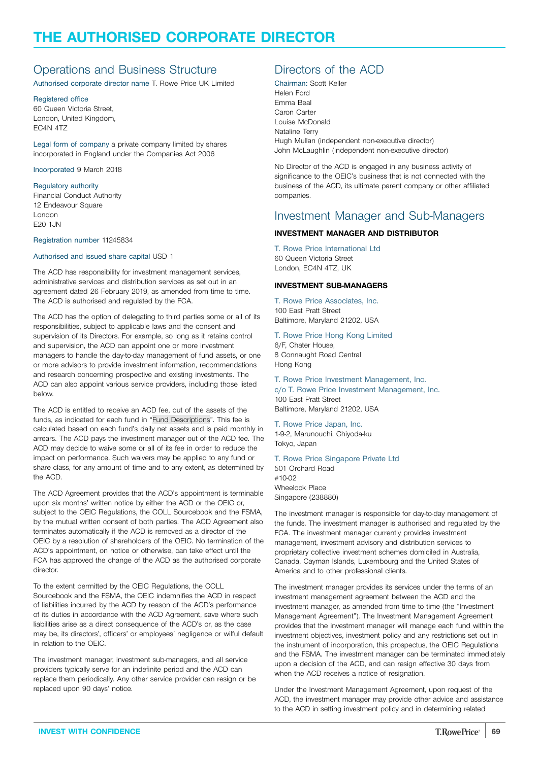# <span id="page-68-0"></span>**THE AUTHORISED CORPORATE DIRECTOR**

# Operations and Business Structure

Authorised corporate director name T. Rowe Price UK Limited

### Registered office

60 Queen Victoria Street, London, United Kingdom, EC4N 4TZ

Legal form of company a private company limited by shares incorporated in England under the Companies Act 2006

Incorporated 9 March 2018

### Regulatory authority

Financial Conduct Authority 12 Endeavour Square London E20 1JN

#### Registration number 11245834

#### Authorised and issued share capital USD 1

The ACD has responsibility for investment management services, administrative services and distribution services as set out in an agreement dated 26 February 2019, as amended from time to time. The ACD is authorised and regulated by the FCA.

The ACD has the option of delegating to third parties some or all of its responsibilities, subject to applicable laws and the consent and supervision of its Directors. For example, so long as it retains control and supervision, the ACD can appoint one or more investment managers to handle the day-to-day management of fund assets, or one or more advisors to provide investment information, recommendations and research concerning prospective and existing investments. The ACD can also appoint various service providers, including those listed below.

The ACD is entitled to receive an ACD fee, out of the assets of the funds, as indicated for each fund in "Fund [Descriptions](#page-3-0)". This fee is calculated based on each fund's daily net assets and is paid monthly in arrears. The ACD pays the investment manager out of the ACD fee. The ACD may decide to waive some or all of its fee in order to reduce the impact on performance. Such waivers may be applied to any fund or share class, for any amount of time and to any extent, as determined by the ACD.

The ACD Agreement provides that the ACD's appointment is terminable upon six months' written notice by either the ACD or the OEIC or, subject to the OEIC Regulations, the COLL Sourcebook and the FSMA, by the mutual written consent of both parties. The ACD Agreement also terminates automatically if the ACD is removed as a director of the OEIC by a resolution of shareholders of the OEIC. No termination of the ACD's appointment, on notice or otherwise, can take effect until the FCA has approved the change of the ACD as the authorised corporate director.

To the extent permitted by the OEIC Regulations, the COLL Sourcebook and the FSMA, the OEIC indemnifies the ACD in respect of liabilities incurred by the ACD by reason of the ACD's performance of its duties in accordance with the ACD Agreement, save where such liabilities arise as a direct consequence of the ACD's or, as the case may be, its directors', officers' or employees' negligence or wilful default in relation to the OEIC.

The investment manager, investment sub-managers, and all service providers typically serve for an indefinite period and the ACD can replace them periodically. Any other service provider can resign or be replaced upon 90 days' notice.

# Directors of the ACD

Chairman: Scott Keller Helen Ford Emma Beal Caron Carter Louise McDonald Nataline Terry Hugh Mullan (independent non-executive director) John McLaughlin (independent non-executive director)

No Director of the ACD is engaged in any business activity of significance to the OEIC's business that is not connected with the business of the ACD, its ultimate parent company or other affiliated companies.

### Investment Manager and Sub-Managers

### **INVESTMENT MANAGER AND DISTRIBUTOR**

T. Rowe Price International Ltd 60 Queen Victoria Street London, EC4N 4TZ, UK

#### **INVESTMENT SUB-MANAGERS**

T. Rowe Price Associates, Inc. 100 East Pratt Street Baltimore, Maryland 21202, USA

T. Rowe Price Hong Kong Limited

6/F, Chater House, 8 Connaught Road Central Hong Kong

### T. Rowe Price Investment Management, Inc.

c/o T. Rowe Price Investment Management, Inc. 100 East Pratt Street

Baltimore, Maryland 21202, USA

T. Rowe Price Japan, Inc. 1-9-2, Marunouchi, Chiyoda-ku Tokyo, Japan

### T. Rowe Price Singapore Private Ltd

501 Orchard Road #10-02 Wheelock Place Singapore (238880)

The investment manager is responsible for day-to-day management of the funds. The investment manager is authorised and regulated by the FCA. The investment manager currently provides investment management, investment advisory and distribution services to proprietary collective investment schemes domiciled in Australia, Canada, Cayman Islands, Luxembourg and the United States of America and to other professional clients.

The investment manager provides its services under the terms of an investment management agreement between the ACD and the investment manager, as amended from time to time (the "Investment Management Agreement"). The Investment Management Agreement provides that the investment manager will manage each fund within the investment objectives, investment policy and any restrictions set out in the instrument of incorporation, this prospectus, the OEIC Regulations and the FSMA. The investment manager can be terminated immediately upon a decision of the ACD, and can resign effective 30 days from when the ACD receives a notice of resignation.

Under the Investment Management Agreement, upon request of the ACD, the investment manager may provide other advice and assistance to the ACD in setting investment policy and in determining related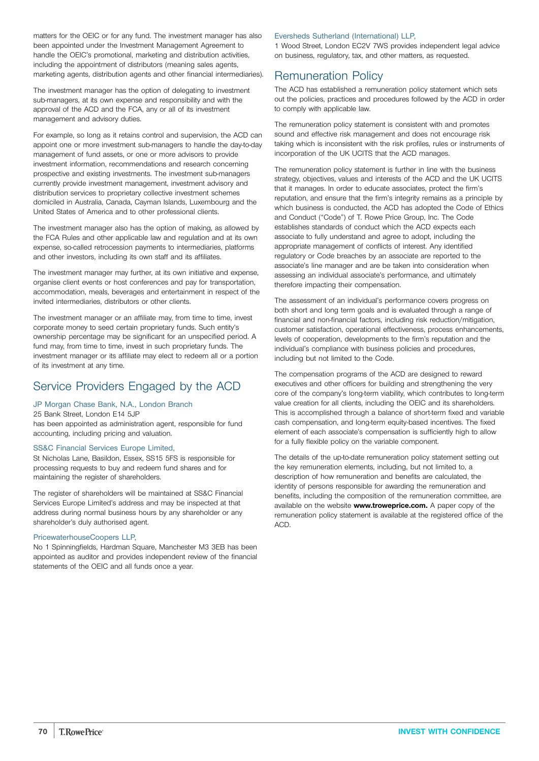matters for the OEIC or for any fund. The investment manager has also been appointed under the Investment Management Agreement to handle the OEIC's promotional, marketing and distribution activities, including the appointment of distributors (meaning sales agents, marketing agents, distribution agents and other financial intermediaries).

The investment manager has the option of delegating to investment sub-managers, at its own expense and responsibility and with the approval of the ACD and the FCA, any or all of its investment management and advisory duties.

For example, so long as it retains control and supervision, the ACD can appoint one or more investment sub-managers to handle the day-to-day management of fund assets, or one or more advisors to provide investment information, recommendations and research concerning prospective and existing investments. The investment sub-managers currently provide investment management, investment advisory and distribution services to proprietary collective investment schemes domiciled in Australia, Canada, Cayman Islands, Luxembourg and the United States of America and to other professional clients.

The investment manager also has the option of making, as allowed by the FCA Rules and other applicable law and regulation and at its own expense, so-called retrocession payments to intermediaries, platforms and other investors, including its own staff and its affiliates.

The investment manager may further, at its own initiative and expense, organise client events or host conferences and pay for transportation, accommodation, meals, beverages and entertainment in respect of the invited intermediaries, distributors or other clients.

The investment manager or an affiliate may, from time to time, invest corporate money to seed certain proprietary funds. Such entity's ownership percentage may be significant for an unspecified period. A fund may, from time to time, invest in such proprietary funds. The investment manager or its affiliate may elect to redeem all or a portion of its investment at any time.

# Service Providers Engaged by the ACD

### JP Morgan Chase Bank, N.A., London Branch

25 Bank Street, London E14 5JP has been appointed as administration agent, responsible for fund accounting, including pricing and valuation.

### SS&C Financial Services Europe Limited,

St Nicholas Lane, Basildon, Essex, SS15 5FS is responsible for processing requests to buy and redeem fund shares and for maintaining the register of shareholders.

The register of shareholders will be maintained at SS&C Financial Services Europe Limited's address and may be inspected at that address during normal business hours by any shareholder or any shareholder's duly authorised agent.

### PricewaterhouseCoopers LLP,

No 1 Spinningfields, Hardman Square, Manchester M3 3EB has been appointed as auditor and provides independent review of the financial statements of the OEIC and all funds once a year.

### Eversheds Sutherland (International) LLP,

1 Wood Street, London EC2V 7WS provides independent legal advice on business, regulatory, tax, and other matters, as requested.

### Remuneration Policy

The ACD has established a remuneration policy statement which sets out the policies, practices and procedures followed by the ACD in order to comply with applicable law.

The remuneration policy statement is consistent with and promotes sound and effective risk management and does not encourage risk taking which is inconsistent with the risk profiles, rules or instruments of incorporation of the UK UCITS that the ACD manages.

The remuneration policy statement is further in line with the business strategy, objectives, values and interests of the ACD and the UK UCITS that it manages. In order to educate associates, protect the firm's reputation, and ensure that the firm's integrity remains as a principle by which business is conducted, the ACD has adopted the Code of Ethics and Conduct ("Code") of T. Rowe Price Group, Inc. The Code establishes standards of conduct which the ACD expects each associate to fully understand and agree to adopt, including the appropriate management of conflicts of interest. Any identified regulatory or Code breaches by an associate are reported to the associate's line manager and are be taken into consideration when assessing an individual associate's performance, and ultimately therefore impacting their compensation.

The assessment of an individual's performance covers progress on both short and long term goals and is evaluated through a range of financial and non-financial factors, including risk reduction/mitigation, customer satisfaction, operational effectiveness, process enhancements, levels of cooperation, developments to the firm's reputation and the individual's compliance with business policies and procedures, including but not limited to the Code.

The compensation programs of the ACD are designed to reward executives and other officers for building and strengthening the very core of the company's long-term viability, which contributes to long-term value creation for all clients, including the OEIC and its shareholders. This is accomplished through a balance of short-term fixed and variable cash compensation, and long-term equity-based incentives. The fixed element of each associate's compensation is sufficiently high to allow for a fully flexible policy on the variable component.

The details of the up-to-date remuneration policy statement setting out the key remuneration elements, including, but not limited to, a description of how remuneration and benefits are calculated, the identity of persons responsible for awarding the remuneration and benefits, including the composition of the remuneration committee, are available on the website **[www.troweprice.com.](http://www.troweprice.com)** A paper copy of the remuneration policy statement is available at the registered office of the ACD.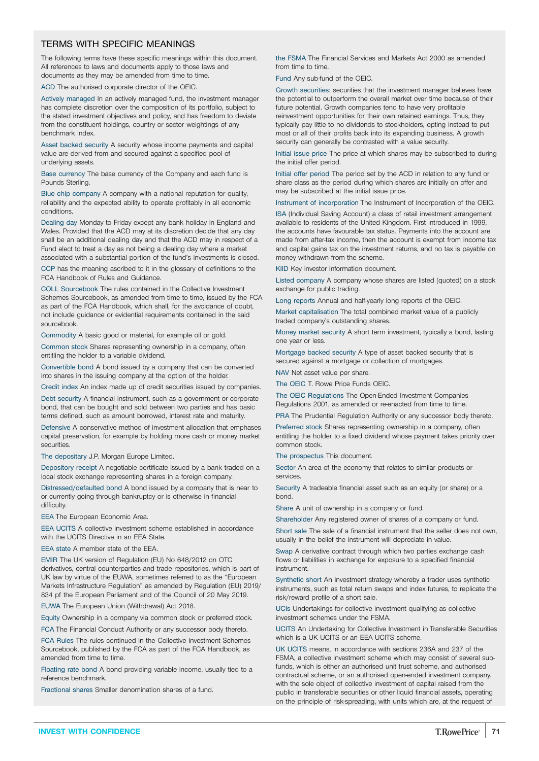### TERMS WITH SPECIFIC MEANINGS

The following terms have these specific meanings within this document. All references to laws and documents apply to those laws and documents as they may be amended from time to time.

ACD The authorised corporate director of the OEIC.

Actively managed In an actively managed fund, the investment manager has complete discretion over the composition of its portfolio, subject to the stated investment objectives and policy, and has freedom to deviate from the constituent holdings, country or sector weightings of any benchmark index.

Asset backed security A security whose income payments and capital value are derived from and secured against a specified pool of underlying assets.

Base currency The base currency of the Company and each fund is Pounds Sterling.

Blue chip company A company with a national reputation for quality, reliability and the expected ability to operate profitably in all economic conditions.

Dealing day Monday to Friday except any bank holiday in England and Wales. Provided that the ACD may at its discretion decide that any day shall be an additional dealing day and that the ACD may in respect of a Fund elect to treat a day as not being a dealing day where a market associated with a substantial portion of the fund's investments is closed.

CCP has the meaning ascribed to it in the glossary of definitions to the FCA Handbook of Rules and Guidance.

COLL Sourcebook The rules contained in the Collective Investment Schemes Sourcebook, as amended from time to time, issued by the FCA as part of the FCA Handbook, which shall, for the avoidance of doubt, not include guidance or evidential requirements contained in the said sourcebook.

Commodity A basic good or material, for example oil or gold.

Common stock Shares representing ownership in a company, often entitling the holder to a variable dividend.

Convertible bond A bond issued by a company that can be converted into shares in the issuing company at the option of the holder.

Credit index An index made up of credit securities issued by companies.

Debt security A financial instrument, such as a government or corporate bond, that can be bought and sold between two parties and has basic terms defined, such as amount borrowed, interest rate and maturity.

Defensive A conservative method of investment allocation that emphases capital preservation, for example by holding more cash or money market securities.

The depositary J.P. Morgan Europe Limited.

Depository receipt A negotiable certificate issued by a bank traded on a local stock exchange representing shares in a foreign company.

Distressed/defaulted bond A bond issued by a company that is near to or currently going through bankruptcy or is otherwise in financial difficulty.

EEA The European Economic Area.

EEA UCITS A collective investment scheme established in accordance with the UCITS Directive in an EEA State.

EEA state A member state of the EEA.

EMIR The UK version of Regulation (EU) No 648/2012 on OTC derivatives, central counterparties and trade repositories, which is part of UK law by virtue of the EUWA, sometimes referred to as the "European Markets Infrastructure Regulation" as amended by Regulation (EU) 2019/ 834 pf the European Parliament and of the Council of 20 May 2019.

EUWA The European Union (Withdrawal) Act 2018.

Equity Ownership in a company via common stock or preferred stock.

FCA The Financial Conduct Authority or any successor body thereto.

FCA Rules The rules continued in the Collective Investment Schemes Sourcebook, published by the FCA as part of the FCA Handbook, as amended from time to time.

Floating rate bond A bond providing variable income, usually tied to a reference benchmark.

Fractional shares Smaller denomination shares of a fund.

the FSMA The Financial Services and Markets Act 2000 as amended from time to time.

Fund Any sub-fund of the OEIC.

Growth securities: securities that the investment manager believes have the potential to outperform the overall market over time because of their future potential. Growth companies tend to have very profitable reinvestment opportunities for their own retained earnings. Thus, they typically pay little to no dividends to stockholders, opting instead to put most or all of their profits back into its expanding business. A growth security can generally be contrasted with a value security.

Initial issue price The price at which shares may be subscribed to during the initial offer period.

Initial offer period The period set by the ACD in relation to any fund or share class as the period during which shares are initially on offer and may be subscribed at the initial issue price.

Instrument of incorporation The Instrument of Incorporation of the OEIC.

ISA (Individual Saving Account) a class of retail investment arrangement available to residents of the United Kingdom. First introduced in 1999, the accounts have favourable tax status. Payments into the account are made from after-tax income, then the account is exempt from income tax and capital gains tax on the investment returns, and no tax is payable on money withdrawn from the scheme.

KIID Key investor information document.

Listed company A company whose shares are listed (quoted) on a stock exchange for public trading.

Long reports Annual and half-yearly long reports of the OEIC.

Market capitalisation The total combined market value of a publicly traded company's outstanding shares.

Money market security A short term investment, typically a bond, lasting one year or less.

Mortgage backed security A type of asset backed security that is secured against a mortgage or collection of mortgages.

NAV Net asset value per share.

The OEIC T. Rowe Price Funds OEIC.

The OEIC Regulations The Open-Ended Investment Companies Regulations 2001, as amended or re-enacted from time to time.

PRA The Prudential Regulation Authority or any successor body thereto.

Preferred stock Shares representing ownership in a company, often entitling the holder to a fixed dividend whose payment takes priority over common stock.

The prospectus This document.

Sector An area of the economy that relates to similar products or services.

Security A tradeable financial asset such as an equity (or share) or a bond.

Share A unit of ownership in a company or fund.

Shareholder Any registered owner of shares of a company or fund.

Short sale The sale of a financial instrument that the seller does not own, usually in the belief the instrument will depreciate in value.

Swap A derivative contract through which two parties exchange cash flows or liabilities in exchange for exposure to a specified financial instrument.

Synthetic short An investment strategy whereby a trader uses synthetic instruments, such as total return swaps and index futures, to replicate the risk/reward profile of a short sale.

UCIs Undertakings for collective investment qualifying as collective investment schemes under the FSMA.

UCITS An Undertaking for Collective Investment in Transferable Securities which is a UK UCITS or an EEA UCITS scheme.

UK UCITS means, in accordance with sections 236A and 237 of the FSMA, a collective investment scheme which may consist of several subfunds, which is either an authorised unit trust scheme, and authorised contractual scheme, or an authorised open-ended investment company, with the sole object of collective investment of capital raised from the public in transferable securities or other liquid financial assets, operating on the principle of risk-spreading, with units which are, at the request of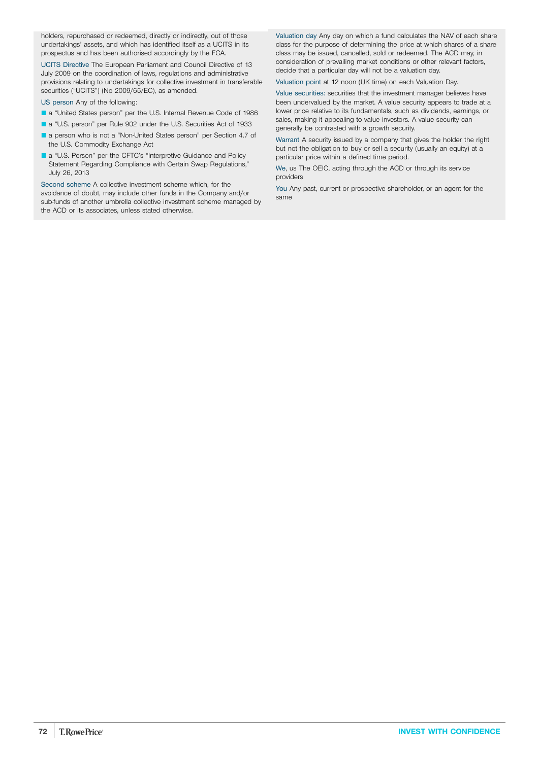holders, repurchased or redeemed, directly or indirectly, out of those undertakings' assets, and which has identified itself as a UCITS in its prospectus and has been authorised accordingly by the FCA.

UCITS Directive The European Parliament and Council Directive of 13 July 2009 on the coordination of laws, regulations and administrative provisions relating to undertakings for collective investment in transferable securities ("UCITS") (No 2009/65/EC), as amended.

US person Any of the following:

- a "United States person" per the U.S. Internal Revenue Code of 1986
- a "U.S. person" per Rule 902 under the U.S. Securities Act of 1933
- **L** a person who is not a "Non-United States person" per Section 4.7 of the U.S. Commodity Exchange Act
- a "U.S. Person" per the CFTC's "Interpretive Guidance and Policy Statement Regarding Compliance with Certain Swap Regulations," July 26, 2013

Second scheme A collective investment scheme which, for the avoidance of doubt, may include other funds in the Company and/or sub-funds of another umbrella collective investment scheme managed by the ACD or its associates, unless stated otherwise.

Valuation day Any day on which a fund calculates the NAV of each share class for the purpose of determining the price at which shares of a share class may be issued, cancelled, sold or redeemed. The ACD may, in consideration of prevailing market conditions or other relevant factors, decide that a particular day will not be a valuation day.

Valuation point at 12 noon (UK time) on each Valuation Day.

Value securities: securities that the investment manager believes have been undervalued by the market. A value security appears to trade at a lower price relative to its fundamentals, such as dividends, earnings, or sales, making it appealing to value investors. A value security can generally be contrasted with a growth security.

Warrant A security issued by a company that gives the holder the right but not the obligation to buy or sell a security (usually an equity) at a particular price within a defined time period.

We, us The OEIC, acting through the ACD or through its service providers

You Any past, current or prospective shareholder, or an agent for the same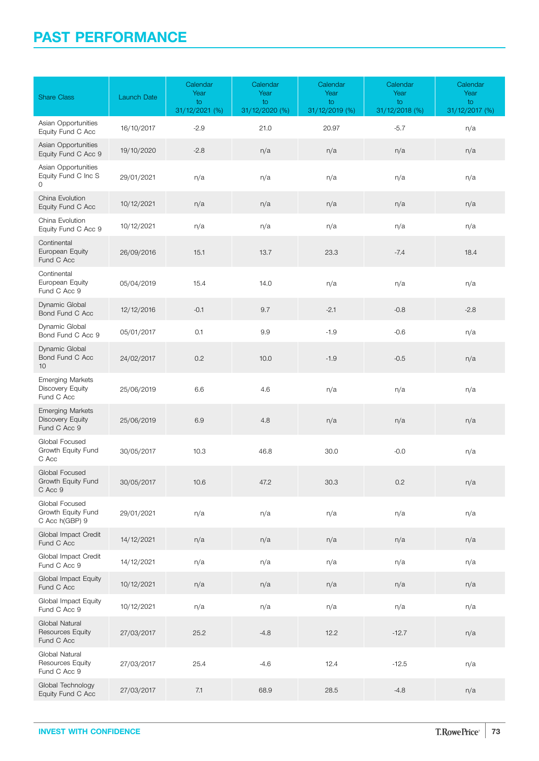## **PAST PERFORMANCE**

| <b>Share Class</b>                                                 | <b>Launch Date</b> | Calendar<br>Year<br>to<br>31/12/2021 (%) | Calendar<br>Year<br>to<br>31/12/2020 (%) | Calendar<br>Year<br>to<br>31/12/2019 (%) | Calendar<br>Year<br>to<br>31/12/2018 (%) | Calendar<br>Year<br>to<br>31/12/2017 (%) |
|--------------------------------------------------------------------|--------------------|------------------------------------------|------------------------------------------|------------------------------------------|------------------------------------------|------------------------------------------|
| Asian Opportunities<br>Equity Fund C Acc                           | 16/10/2017         | $-2.9$                                   | 21.0                                     | 20.97                                    | $-5.7$                                   | n/a                                      |
| Asian Opportunities<br>Equity Fund C Acc 9                         | 19/10/2020         | $-2.8$                                   | n/a                                      | n/a                                      | n/a                                      | n/a                                      |
| Asian Opportunities<br>Equity Fund C Inc S<br>0                    | 29/01/2021         | n/a                                      | n/a                                      | n/a                                      | n/a                                      | n/a                                      |
| China Evolution<br>Equity Fund C Acc                               | 10/12/2021         | n/a                                      | n/a                                      | n/a                                      | n/a                                      | n/a                                      |
| China Evolution<br>Equity Fund C Acc 9                             | 10/12/2021         | n/a                                      | n/a                                      | n/a                                      | n/a                                      | n/a                                      |
| Continental<br>European Equity<br>Fund C Acc                       | 26/09/2016         | 15.1                                     | 13.7                                     | 23.3                                     | $-7.4$                                   | 18.4                                     |
| Continental<br>European Equity<br>Fund C Acc 9                     | 05/04/2019         | 15.4                                     | 14.0                                     | n/a                                      | n/a                                      | n/a                                      |
| Dynamic Global<br>Bond Fund C Acc                                  | 12/12/2016         | $-0.1$                                   | 9.7                                      | $-2.1$                                   | $-0.8$                                   | $-2.8$                                   |
| Dynamic Global<br>Bond Fund C Acc 9                                | 05/01/2017         | 0.1                                      | 9.9                                      | $-1.9$                                   | $-0.6$                                   | n/a                                      |
| Dynamic Global<br>Bond Fund C Acc<br>10 <sup>1</sup>               | 24/02/2017         | 0.2                                      | 10.0                                     | $-1.9$                                   | $-0.5$                                   | n/a                                      |
| <b>Emerging Markets</b><br><b>Discovery Equity</b><br>Fund C Acc   | 25/06/2019         | 6.6                                      | 4.6                                      | n/a                                      | n/a                                      | n/a                                      |
| <b>Emerging Markets</b><br><b>Discovery Equity</b><br>Fund C Acc 9 | 25/06/2019         | 6.9                                      | 4.8                                      | n/a                                      | n/a                                      | n/a                                      |
| Global Focused<br>Growth Equity Fund<br>C Acc                      | 30/05/2017         | 10.3                                     | 46.8                                     | 30.0                                     | $-0.0$                                   | n/a                                      |
| Global Focused<br>Growth Equity Fund<br>C Acc 9                    | 30/05/2017         | 10.6                                     | 47.2                                     | 30.3                                     | 0.2                                      | n/a                                      |
| Global Focused<br>Growth Equity Fund<br>C Acc h(GBP) 9             | 29/01/2021         | n/a                                      | n/a                                      | n/a                                      | n/a                                      | n/a                                      |
| Global Impact Credit<br>Fund C Acc                                 | 14/12/2021         | n/a                                      | n/a                                      | n/a                                      | n/a                                      | n/a                                      |
| Global Impact Credit<br>Fund C Acc 9                               | 14/12/2021         | n/a                                      | n/a                                      | n/a                                      | n/a                                      | n/a                                      |
| Global Impact Equity<br>Fund C Acc                                 | 10/12/2021         | n/a                                      | n/a                                      | n/a                                      | n/a                                      | n/a                                      |
| Global Impact Equity<br>Fund C Acc 9                               | 10/12/2021         | n/a                                      | n/a                                      | n/a                                      | n/a                                      | n/a                                      |
| Global Natural<br><b>Resources Equity</b><br>Fund C Acc            | 27/03/2017         | 25.2                                     | $-4.8$                                   | 12.2                                     | $-12.7$                                  | n/a                                      |
| Global Natural<br>Resources Equity<br>Fund C Acc 9                 | 27/03/2017         | 25.4                                     | $-4.6$                                   | 12.4                                     | $-12.5$                                  | n/a                                      |
| Global Technology<br>Equity Fund C Acc                             | 27/03/2017         | 7.1                                      | 68.9                                     | 28.5                                     | $-4.8$                                   | n/a                                      |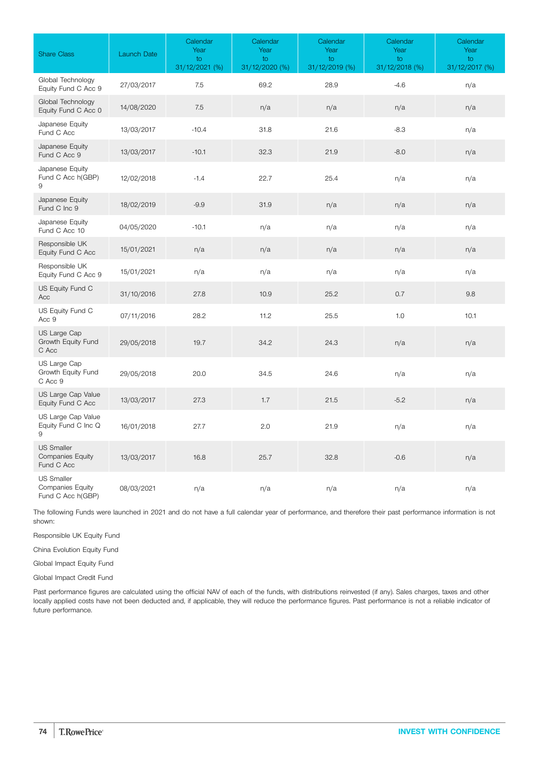| <b>Share Class</b>                                         | Launch Date | Calendar<br>Year<br>to<br>31/12/2021 (%) | Calendar<br>Year<br>to<br>31/12/2020 (%) | Calendar<br>Year<br>to<br>31/12/2019 (%) | Calendar<br>Year<br>to<br>31/12/2018 (%) | Calendar<br>Year<br>to<br>31/12/2017 (%) |
|------------------------------------------------------------|-------------|------------------------------------------|------------------------------------------|------------------------------------------|------------------------------------------|------------------------------------------|
| Global Technology<br>Equity Fund C Acc 9                   | 27/03/2017  | 7.5                                      | 69.2                                     | 28.9                                     | $-4.6$                                   | n/a                                      |
| Global Technology<br>Equity Fund C Acc 0                   | 14/08/2020  | 7.5                                      | n/a                                      | n/a                                      | n/a                                      | n/a                                      |
| Japanese Equity<br>Fund C Acc                              | 13/03/2017  | $-10.4$                                  | 31.8                                     | 21.6                                     | $-8.3$                                   | n/a                                      |
| Japanese Equity<br>Fund C Acc 9                            | 13/03/2017  | $-10.1$                                  | 32.3                                     | 21.9                                     | $-8.0$                                   | n/a                                      |
| Japanese Equity<br>Fund C Acc h(GBP)<br>9                  | 12/02/2018  | $-1.4$                                   | 22.7                                     | 25.4                                     | n/a                                      | n/a                                      |
| Japanese Equity<br>Fund C Inc 9                            | 18/02/2019  | $-9.9$                                   | 31.9                                     | n/a                                      | n/a                                      | n/a                                      |
| Japanese Equity<br>Fund C Acc 10                           | 04/05/2020  | $-10.1$                                  | n/a                                      | n/a                                      | n/a                                      | n/a                                      |
| Responsible UK<br>Equity Fund C Acc                        | 15/01/2021  | n/a                                      | n/a                                      | n/a                                      | n/a                                      | n/a                                      |
| Responsible UK<br>Equity Fund C Acc 9                      | 15/01/2021  | n/a                                      | n/a                                      | n/a                                      | n/a                                      | n/a                                      |
| US Equity Fund C<br>Acc                                    | 31/10/2016  | 27.8                                     | 10.9                                     | 25.2                                     | 0.7                                      | 9.8                                      |
| US Equity Fund C<br>Acc 9                                  | 07/11/2016  | 28.2                                     | 11.2                                     | 25.5                                     | 1.0                                      | 10.1                                     |
| US Large Cap<br>Growth Equity Fund<br>C Acc                | 29/05/2018  | 19.7                                     | 34.2                                     | 24.3                                     | n/a                                      | n/a                                      |
| US Large Cap<br>Growth Equity Fund<br>C Acc 9              | 29/05/2018  | 20.0                                     | 34.5                                     | 24.6                                     | n/a                                      | n/a                                      |
| US Large Cap Value<br>Equity Fund C Acc                    | 13/03/2017  | 27.3                                     | 1.7                                      | 21.5                                     | $-5.2$                                   | n/a                                      |
| US Large Cap Value<br>Equity Fund C Inc Q<br>9             | 16/01/2018  | 27.7                                     | 2.0                                      | 21.9                                     | n/a                                      | n/a                                      |
| <b>US Smaller</b><br><b>Companies Equity</b><br>Fund C Acc | 13/03/2017  | 16.8                                     | 25.7                                     | 32.8                                     | $-0.6$                                   | n/a                                      |
| <b>US Smaller</b><br>Companies Equity<br>Fund C Acc h(GBP) | 08/03/2021  | n/a                                      | n/a                                      | n/a                                      | n/a                                      | n/a                                      |

The following Funds were launched in 2021 and do not have a full calendar year of performance, and therefore their past performance information is not shown:

Responsible UK Equity Fund

China Evolution Equity Fund

Global Impact Equity Fund

Global Impact Credit Fund

Past performance figures are calculated using the official NAV of each of the funds, with distributions reinvested (if any). Sales charges, taxes and other locally applied costs have not been deducted and, if applicable, they will reduce the performance figures. Past performance is not a reliable indicator of future performance.